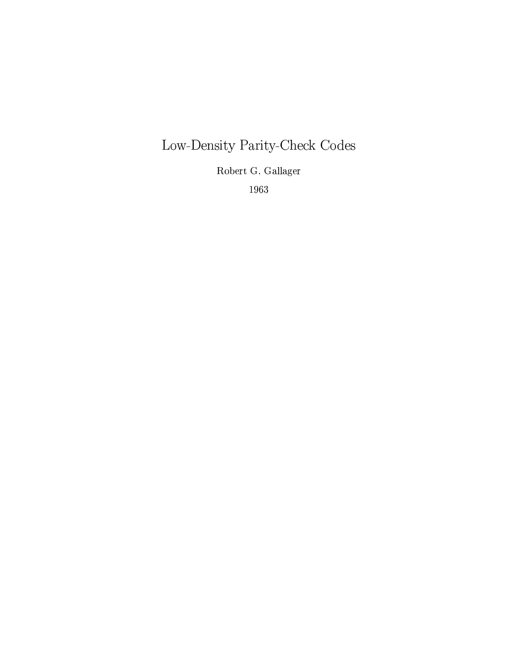# Low-Density Parity-Check Codes

Robert G. Gallager

1963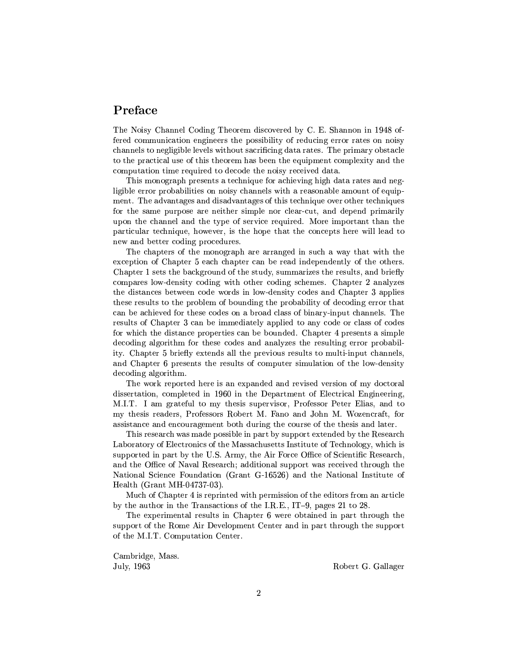# Preface

The Noisy Channel Coding Theorem discovered by C. E. Shannon in 1948 offered communication engineers the possibility of reducing error rates on noisy channels to negligible levels without sacrificing data rates. The primary obstacle to the practical use of this theorem has been the equipment complexity and the computation time required to decode the noisy received data.

This monograph presents a technique for achieving high data rates and negligible error probabilities on noisy channels with a reasonable amount of equipment. The advantages and disadvantages of this technique over other techniques for the same purpose are neither simple nor clear-cut, and depend primarily upon the channel and the type of service required. More important than the particular technique, however, is the hope that the concepts here will lead to new and better coding procedures.

The chapters of the monograph are arranged in such a way that with the exception of Chapter 5 each chapter can be read independently of the others. Chapter 1 sets the background of the study, summarizes the results, and briefly compares low-density coding with other coding schemes. Chapter 2 analyzes the distances between code words in low-density codes and Chapter 3 applies these results to the problem of bounding the probability of decoding error that can be achieved for these codes on a broad class of binary-input channels. The results of Chapter 3 can be immediately applied to any code or class of codes for which the distance properties can be bounded. Chapter 4 presents a simple decoding algorithm for these codes and analyzes the resulting error probability. Chapter 5 briefly extends all the previous results to multi-input channels, and Chapter 6 presents the results of computer simulation of the low-density decoding algorithm.

The work reported here is an expanded and revised version of my doctoral dissertation, completed in 1960 in the Department of Electrical Engineering, M.I.T. I am grateful to my thesis supervisor, Professor Peter Elias, and to my thesis readers, Professors Robert M. Fano and John M. Wozencraft, for assistance and encouragement both during the course of the thesis and later.

This research was made possible in part by support extended by the Research Laboratory of Electronics of the Massachusetts Institute of Technology, which is supported in part by the U.S. Army, the Air Force Office of Scientific Research, and the Office of Naval Research; additional support was received through the National Science Foundation (Grant G-16526) and the National Institute of Health (Grant MH-04737-03).

Much of Chapter 4 is reprinted with permission of the editors from an article by the author in the Transactions of the I.R.E., IT-9, pages 21 to 28.

The experimental results in Chapter 6 were obtained in part through the support of the Rome Air Development Center and in part through the support of the M.I.T. Computation Center.

Cambridge, Mass. July, 1963

Robert G. Gallager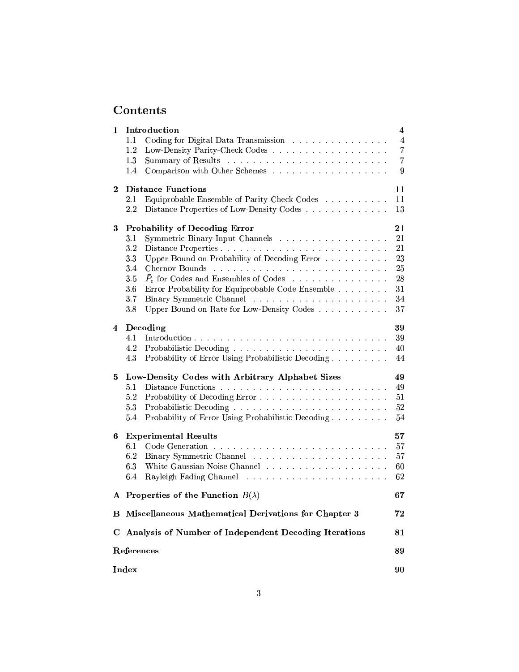# the contract of the contract of the contract of the contract of the contract of the contract of the contract of

| $\mathbf{1}$                          | Introduction                                                                       | 4              |  |  |  |  |  |  |  |  |  |  |
|---------------------------------------|------------------------------------------------------------------------------------|----------------|--|--|--|--|--|--|--|--|--|--|
|                                       | 1.1<br>Coding for Digital Data Transmission                                        | $\overline{4}$ |  |  |  |  |  |  |  |  |  |  |
|                                       | Low-Density Parity-Check Codes<br>$1.2\,$                                          | $\overline{7}$ |  |  |  |  |  |  |  |  |  |  |
|                                       | 1.3                                                                                | $\overline{7}$ |  |  |  |  |  |  |  |  |  |  |
|                                       | 1.4                                                                                | 9              |  |  |  |  |  |  |  |  |  |  |
| <b>Distance Functions</b><br>$\bf{2}$ |                                                                                    |                |  |  |  |  |  |  |  |  |  |  |
|                                       | Equiprobable Ensemble of Parity-Check Codes<br>2.1                                 | 11<br>11       |  |  |  |  |  |  |  |  |  |  |
|                                       | Distance Properties of Low-Density Codes<br>2.2                                    | 13             |  |  |  |  |  |  |  |  |  |  |
|                                       |                                                                                    | 21             |  |  |  |  |  |  |  |  |  |  |
| 3                                     | <b>Probability of Decoding Error</b><br>Symmetric Binary Input Channels<br>$3.1\,$ |                |  |  |  |  |  |  |  |  |  |  |
|                                       |                                                                                    | 21             |  |  |  |  |  |  |  |  |  |  |
|                                       | 3.2                                                                                | 21             |  |  |  |  |  |  |  |  |  |  |
|                                       | Upper Bound on Probability of Decoding Error<br>3.3                                | 23             |  |  |  |  |  |  |  |  |  |  |
|                                       | 3.4                                                                                | 25             |  |  |  |  |  |  |  |  |  |  |
|                                       | $\overline{P}_e$ for Codes and Ensembles of Codes<br>3.5                           | 28             |  |  |  |  |  |  |  |  |  |  |
|                                       | Error Probability for Equiprobable Code Ensemble<br>3.6                            | 31             |  |  |  |  |  |  |  |  |  |  |
|                                       | 3.7                                                                                | 34             |  |  |  |  |  |  |  |  |  |  |
|                                       | Upper Bound on Rate for Low-Density Codes<br>3.8                                   | 37             |  |  |  |  |  |  |  |  |  |  |
| 4                                     | Decoding                                                                           | 39             |  |  |  |  |  |  |  |  |  |  |
|                                       | 4.1                                                                                | 39             |  |  |  |  |  |  |  |  |  |  |
|                                       | 4.2                                                                                | 40             |  |  |  |  |  |  |  |  |  |  |
|                                       | Probability of Error Using Probabilistic Decoding<br>4.3                           | 44             |  |  |  |  |  |  |  |  |  |  |
| 5                                     | Low-Density Codes with Arbitrary Alphabet Sizes                                    | 49             |  |  |  |  |  |  |  |  |  |  |
|                                       | 5.1                                                                                | 49             |  |  |  |  |  |  |  |  |  |  |
|                                       | 5.2                                                                                | 51             |  |  |  |  |  |  |  |  |  |  |
|                                       | 5.3                                                                                | 52             |  |  |  |  |  |  |  |  |  |  |
|                                       | Probability of Error Using Probabilistic Decoding<br>5.4                           | 54             |  |  |  |  |  |  |  |  |  |  |
|                                       |                                                                                    |                |  |  |  |  |  |  |  |  |  |  |
| 6                                     | <b>Experimental Results</b>                                                        | 57             |  |  |  |  |  |  |  |  |  |  |
|                                       | $6.1\,$                                                                            | 57             |  |  |  |  |  |  |  |  |  |  |
|                                       | 6.2                                                                                | 57             |  |  |  |  |  |  |  |  |  |  |
|                                       | 6.3                                                                                | 60             |  |  |  |  |  |  |  |  |  |  |
|                                       | 6.4                                                                                | 62             |  |  |  |  |  |  |  |  |  |  |
|                                       | A Properties of the Function $B(\lambda)$                                          |                |  |  |  |  |  |  |  |  |  |  |
|                                       | B Miscellaneous Mathematical Derivations for Chapter 3                             |                |  |  |  |  |  |  |  |  |  |  |
| $\mathbf C$                           | Analysis of Number of Independent Decoding Iterations                              |                |  |  |  |  |  |  |  |  |  |  |
|                                       | References                                                                         |                |  |  |  |  |  |  |  |  |  |  |
| Index<br>90                           |                                                                                    |                |  |  |  |  |  |  |  |  |  |  |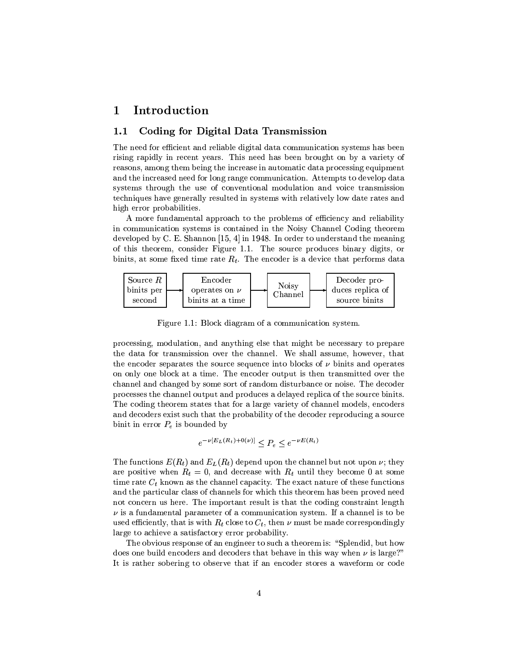# Introduction 1

#### Coding for Digital Data Transmission  $1.1\,$

The need for efficient and reliable digital data communication systems has been rising rapidly in recent years. This need has been brought on by a variety of reasons, among them being the increase in automatic data processing equipment and the increased need for long range communication. Attempts to develop data systems through the use of conventional modulation and voice transmission techniques have generally resulted in systems with relatively low date rates and high error probabilities.

A more fundamental approach to the problems of efficiency and reliability in communication systems is contained in the Noisy Channel Coding theorem developed by C. E. Shannon [15, 4] in 1948. In order to understand the meaning of this theorem, consider Figure 1.1. The source produces binary digits, or binits, at some fixed time rate  $R_t$ . The encoder is a device that performs data



Figure 1.1: Block diagram of a communication system.

processing, modulation, and anything else that might be necessary to prepare the data for transmission over the channel. We shall assume, however, that the encoder separates the source sequence into blocks of  $\nu$  binits and operates on only one block at a time. The encoder output is then transmitted over the channel and changed by some sort of random disturbance or noise. The decoder processes the channel output and produces a delayed replica of the source binits. The coding theorem states that for a large variety of channel models, encoders and decoders exist such that the probability of the decoder reproducing a source binit in error  $P_e$  is bounded by

$$
e^{-\nu[E_L(R_t)+0(\nu)]} < P_e < e^{-\nu E(R_t)}
$$

The functions  $E(R_t)$  and  $E_L(R_t)$  depend upon the channel but not upon  $\nu$ ; they are positive when  $R_t = 0$ , and decrease with  $R_t$  until they become 0 at some time rate  $C_t$  known as the channel capacity. The exact nature of these functions and the particular class of channels for which this theorem has been proved need not concern us here. The important result is that the coding constraint length  $\nu$  is a fundamental parameter of a communication system. If a channel is to be used efficiently, that is with  $R_t$  close to  $C_t$ , then  $\nu$  must be made correspondingly large to achieve a satisfactory error probability.

The obvious response of an engineer to such a theorem is: "Splendid, but how does one build encoders and decoders that behave in this way when  $\nu$  is large?" It is rather sobering to observe that if an encoder stores a waveform or code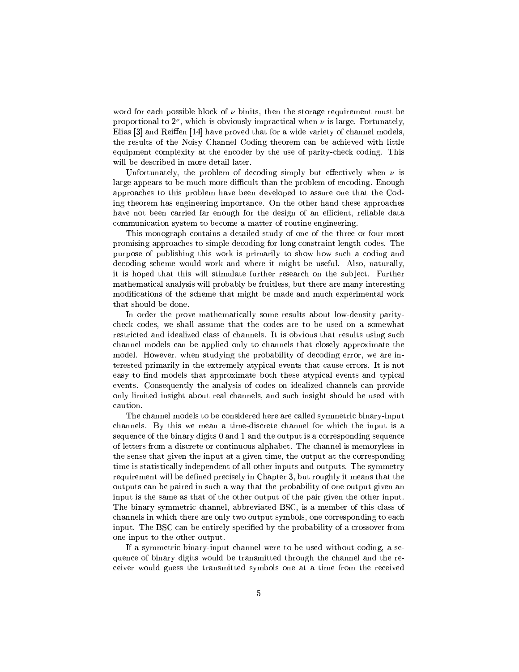word for each possible block of  $\nu$  binits, then the storage requirement must be proportional to  $2^{\nu}$ , which is obviously impractical when  $\nu$  is large. Fortunately, Elias [3] and Reiffen [14] have proved that for a wide variety of channel models. the results of the Noisy Channel Coding theorem can be achieved with little equipment complexity at the encoder by the use of parity-check coding. This will be described in more detail later.

Unfortunately, the problem of decoding simply but effectively when  $\nu$  is large appears to be much more difficult than the problem of encoding. Enough approaches to this problem have been developed to assure one that the Coding theorem has engineering importance. On the other hand these approaches have not been carried far enough for the design of an efficient, reliable data communication system to become a matter of routine engineering.

This monograph contains a detailed study of one of the three or four most promising approaches to simple decoding for long constraint length codes. The purpose of publishing this work is primarily to show how such a coding and decoding scheme would work and where it might be useful. Also, naturally, it is hoped that this will stimulate further research on the subject. Further mathematical analysis will probably be fruitless, but there are many interesting modifications of the scheme that might be made and much experimental work that should be done.

In order the prove mathematically some results about low-density paritycheck codes, we shall assume that the codes are to be used on a somewhat restricted and idealized class of channels. It is obvious that results using such channel models can be applied only to channels that closely approximate the model. However, when studying the probability of decoding error, we are interested primarily in the extremely atypical events that cause errors. It is not easy to find models that approximate both these atypical events and typical events. Consequently the analysis of codes on idealized channels can provide only limited insight about real channels, and such insight should be used with caution.

The channel models to be considered here are called symmetric binary-input channels. By this we mean a time-discrete channel for which the input is a sequence of the binary digits 0 and 1 and the output is a corresponding sequence of letters from a discrete or continuous alphabet. The channel is memoryless in the sense that given the input at a given time, the output at the corresponding time is statistically independent of all other inputs and outputs. The symmetry requirement will be defined precisely in Chapter 3, but roughly it means that the outputs can be paired in such a way that the probability of one output given an input is the same as that of the other output of the pair given the other input. The binary symmetric channel, abbreviated BSC, is a member of this class of channels in which there are only two output symbols, one corresponding to each input. The BSC can be entirely specified by the probability of a crossover from one input to the other output.

If a symmetric binary-input channel were to be used without coding, a sequence of binary digits would be transmitted through the channel and the receiver would guess the transmitted symbols one at a time from the received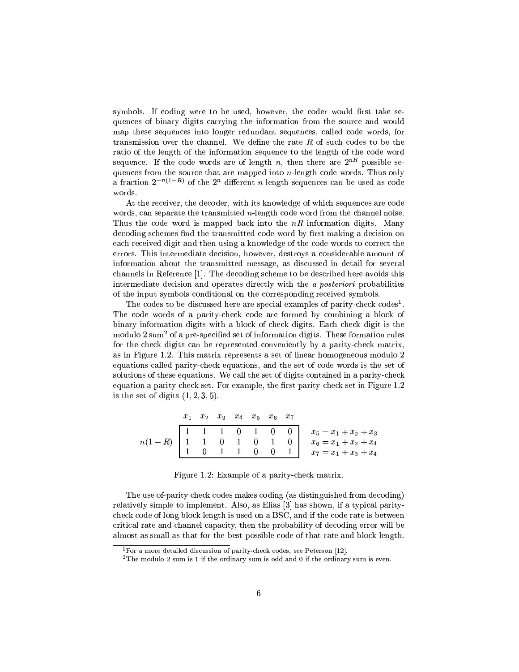symbols. If coding were to be used, however, the coder would first take sequences of binary digits carrying the information from the source and would map these sequences into longer redundant sequences, called code words, for transmission over the channel. We define the rate  $R$  of such codes to be the ratio of the length of the information sequence to the length of the code word sequence. If the code words are of length n, then there are  $2^{nR}$  possible sequences from the source that are mapped into  $n$ -length code words. Thus only a fraction  $2^{-n(1-R)}$  of the  $2^n$  different *n*-length sequences can be used as code words.

At the receiver, the decoder, with its knowledge of which sequences are code words, can separate the transmitted  $n$ -length code word from the channel noise. Thus the code word is mapped back into the  $nR$  information digits. Many decoding schemes find the transmitted code word by first making a decision on each received digit and then using a knowledge of the code words to correct the errors. This intermediate decision, however, destroys a considerable amount of information about the transmitted message, as discussed in detail for several channels in Reference [1]. The decoding scheme to be described here avoids this intermediate decision and operates directly with the *a posteriori* probabilities of the input symbols conditional on the corresponding received symbols.

The codes to be discussed here are special examples of parity-check codes<sup>1</sup>. The code words of a parity-check code are formed by combining a block of binary-information digits with a block of check digits. Each check digit is the modulo 2 sum<sup>2</sup> of a pre-specified set of information digits. These formation rules for the check digits can be represented conveniently by a parity-check matrix, as in Figure 1.2. This matrix represents a set of linear homogeneous modulo 2 equations called parity-check equations, and the set of code words is the set of solutions of these equations. We call the set of digits contained in a parity-check equation a parity-check set. For example, the first parity-check set in Figure 1.2 is the set of digits  $(1, 2, 3, 5)$ .

|  |  | $x_1$ $x_2$ $x_3$ $x_4$ $x_5$ $x_6$ $x_7$ |  |                                                                                                                                                                        |
|--|--|-------------------------------------------|--|------------------------------------------------------------------------------------------------------------------------------------------------------------------------|
|  |  |                                           |  | $n(1-R) \begin{array}{ rrrrrr} 1 & 1 & 1 & 0 & 1 & 0 & 0 \\ 1 & 1 & 0 & 1 & 0 & 1 & 0 \\ 1 & 0 & 1 & 1 & 0 & 0 & 1 \\ \end{array} \hspace{.2cm} x_5 = x_1 + x_2 + x_3$ |
|  |  |                                           |  |                                                                                                                                                                        |
|  |  |                                           |  |                                                                                                                                                                        |

Figure 1.2: Example of a parity-check matrix.

The use of-parity check codes makes coding (as distinguished from decoding) relatively simple to implement. Also, as Elias [3] has shown, if a typical paritycheck code of long block length is used on a BSC, and if the code rate is between critical rate and channel capacity, then the probability of decoding error will be almost as small as that for the best possible code of that rate and block length.

 $1$  For a more detailed discussion of parity-check codes, see Peterson [12].

 $2$ The modulo 2 sum is 1 if the ordinary sum is odd and 0 if the ordinary sum is even.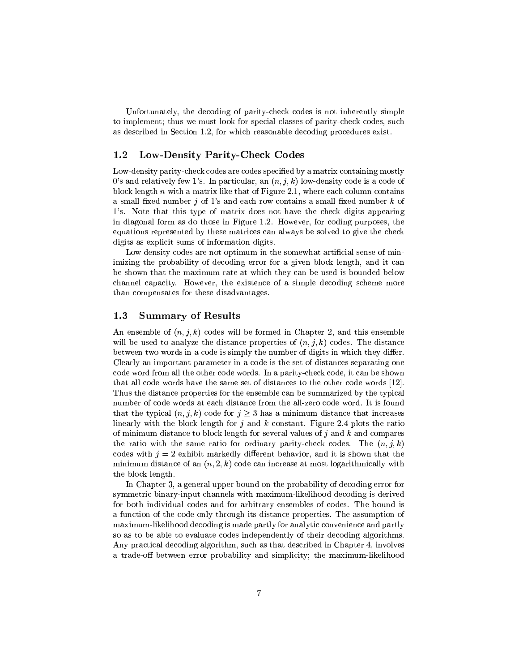Unfortunately, the decoding of parity-check codes is not inherently simple to implement; thus we must look for special classes of parity-check codes, such as described in Section 1.2, for which reasonable decoding procedures exist.

#### **Low-Density Parity-Check Codes**  $1.2$

Low-density parity-check codes are codes specified by a matrix containing mostly 0's and relatively few 1's. In particular, an  $(n, j, k)$  low-density code is a code of block length  $n$  with a matrix like that of Figure 2.1, where each column contains a small fixed number  $j$  of 1's and each row contains a small fixed number  $k$  of 1's. Note that this type of matrix does not have the check digits appearing in diagonal form as do those in Figure 1.2. However, for coding purposes, the equations represented by these matrices can always be solved to give the check digits as explicit sums of information digits.

Low density codes are not optimum in the somewhat artificial sense of minimizing the probability of decoding error for a given block length, and it can be shown that the maximum rate at which they can be used is bounded below channel capacity. However, the existence of a simple decoding scheme more than compensates for these disadvantages.

#### $1.3$ **Summary of Results**

An ensemble of  $(n, j, k)$  codes will be formed in Chapter 2, and this ensemble will be used to analyze the distance properties of  $(n, j, k)$  codes. The distance between two words in a code is simply the number of digits in which they differ. Clearly an important parameter in a code is the set of distances separating one code word from all the other code words. In a parity-check code, it can be shown that all code words have the same set of distances to the other code words [12]. Thus the distance properties for the ensemble can be summarized by the typical number of code words at each distance from the all-zero code word. It is found that the typical  $(n, j, k)$  code for  $j \geq 3$  has a minimum distance that increases linearly with the block length for  $j$  and  $k$  constant. Figure 2.4 plots the ratio of minimum distance to block length for several values of  $j$  and  $k$  and compares the ratio with the same ratio for ordinary parity-check codes. The  $(n, j, k)$ codes with  $j = 2$  exhibit markedly different behavior, and it is shown that the minimum distance of an  $(n, 2, k)$  code can increase at most logarithmically with the block length.

In Chapter 3, a general upper bound on the probability of decoding error for symmetric binary-input channels with maximum-likelihood decoding is derived for both individual codes and for arbitrary ensembles of codes. The bound is a function of the code only through its distance properties. The assumption of maximum-likelihood decoding is made partly for analytic convenience and partly so as to be able to evaluate codes independently of their decoding algorithms. Any practical decoding algorithm, such as that described in Chapter 4, involves a trade-off between error probability and simplicity; the maximum-likelihood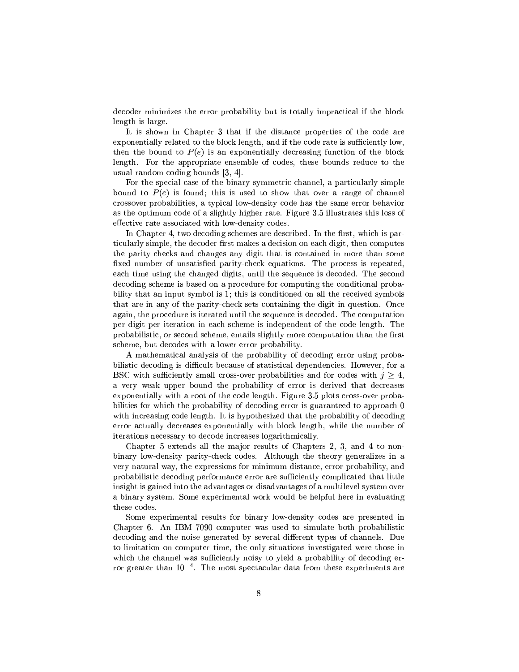decoder minimizes the error probability but is totally impractical if the block length is large.

It is shown in Chapter 3 that if the distance properties of the code are exponentially related to the block length, and if the code rate is sufficiently low. then the bound to  $P(e)$  is an exponentially decreasing function of the block length. For the appropriate ensemble of codes, these bounds reduce to the usual random coding bounds [3, 4].

For the special case of the binary symmetric channel, a particularly simple bound to  $P(e)$  is found; this is used to show that over a range of channel crossover probabilities, a typical low-density code has the same error behavior as the optimum code of a slightly higher rate. Figure 3.5 illustrates this loss of effective rate associated with low-density codes.

In Chapter 4, two decoding schemes are described. In the first, which is particularly simple, the decoder first makes a decision on each digit, then computes the parity checks and changes any digit that is contained in more than some fixed number of unsatisfied parity-check equations. The process is repeated, each time using the changed digits, until the sequence is decoded. The second decoding scheme is based on a procedure for computing the conditional probability that an input symbol is 1; this is conditioned on all the received symbols that are in any of the parity-check sets containing the digit in question. Once again, the procedure is iterated until the sequence is decoded. The computation per digit per iteration in each scheme is independent of the code length. The probabilistic, or second scheme, entails slightly more computation than the first scheme, but decodes with a lower error probability.

A mathematical analysis of the probability of decoding error using probabilistic decoding is difficult because of statistical dependencies. However, for a BSC with sufficiently small cross-over probabilities and for codes with  $i > 4$ . a very weak upper bound the probability of error is derived that decreases exponentially with a root of the code length. Figure 3.5 plots cross-over probabilities for which the probability of decoding error is guaranteed to approach 0 with increasing code length. It is hypothesized that the probability of decoding error actually decreases exponentially with block length, while the number of iterations necessary to decode increases logarithmically.

Chapter 5 extends all the major results of Chapters 2, 3, and 4 to nonbinary low-density parity-check codes. Although the theory generalizes in a very natural way, the expressions for minimum distance, error probability, and probabilistic decoding performance error are sufficiently complicated that little insight is gained into the advantages or disadvantages of a multilevel system over a binary system. Some experimental work would be helpful here in evaluating these codes.

Some experimental results for binary low-density codes are presented in Chapter 6. An IBM 7090 computer was used to simulate both probabilistic decoding and the noise generated by several different types of channels. Due to limitation on computer time, the only situations investigated were those in which the channel was sufficiently noisy to yield a probability of decoding error greater than  $10^{-4}$ . The most spectacular data from these experiments are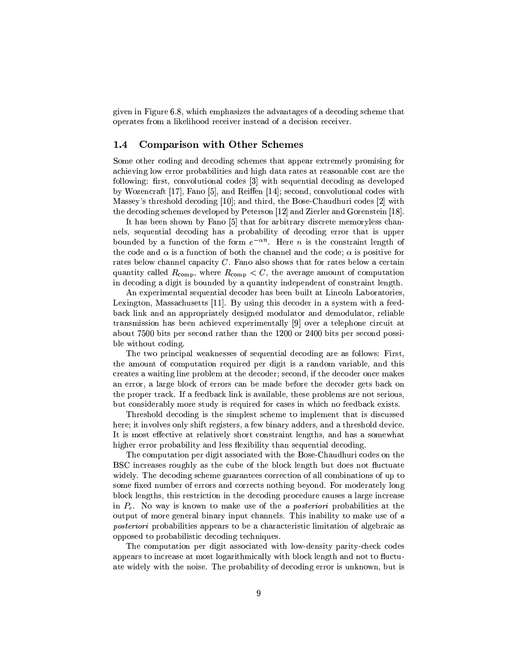given in Figure 6.8, which emphasizes the advantages of a decoding scheme that operates from a likelihood receiver instead of a decision receiver.

#### **Comparison with Other Schemes**  $1.4$

Some other coding and decoding schemes that appear extremely promising for achieving low error probabilities and high data rates at reasonable cost are the following: first, convolutional codes [3] with sequential decoding as developed by Wozencraft [17], Fano [5], and Reiffen [14]; second, convolutional codes with Massey's threshold decoding [10]; and third, the Bose-Chaudhuri codes [2] with the decoding schemes developed by Peterson [12] and Zierler and Gorenstein [18].

It has been shown by Fano [5] that for arbitrary discrete memoryless channels, sequential decoding has a probability of decoding error that is upper bounded by a function of the form  $e^{-\alpha n}$ . Here *n* is the constraint length of the code and  $\alpha$  is a function of both the channel and the code;  $\alpha$  is positive for rates below channel capacity  $C$ . Fano also shows that for rates below a certain quantity called  $R_{\text{comp}}$ , where  $R_{\text{comp}} < C$ , the average amount of computation in decoding a digit is bounded by a quantity independent of constraint length.

An experimental sequential decoder has been built at Lincoln Laboratories, Lexington, Massachusetts [11]. By using this decoder in a system with a feedback link and an appropriately designed modulator and demodulator, reliable transmission has been achieved experimentally [9] over a telephone circuit at about 7500 bits per second rather than the 1200 or 2400 bits per second possible without coding.

The two principal weaknesses of sequential decoding are as follows: First, the amount of computation required per digit is a random variable, and this creates a waiting line problem at the decoder; second, if the decoder once makes an error, a large block of errors can be made before the decoder gets back on the proper track. If a feedback link is available, these problems are not serious. but considerably more study is required for cases in which no feedback exists.

Threshold decoding is the simplest scheme to implement that is discussed here; it involves only shift registers, a few binary adders, and a threshold device. It is most effective at relatively short constraint lengths, and has a somewhat higher error probability and less flexibility than sequential decoding.

The computation per digit associated with the Bose-Chaudhuri codes on the BSC increases roughly as the cube of the block length but does not fluctuate widely. The decoding scheme guarantees correction of all combinations of up to some fixed number of errors and corrects nothing beyond. For moderately long block lengths, this restriction in the decoding procedure causes a large increase in  $P_e$ . No way is known to make use of the *a posteriori* probabilities at the output of more general binary input channels. This inability to make use of a *posteriori* probabilities appears to be a characteristic limitation of algebraic as opposed to probabilistic decoding techniques.

The computation per digit associated with low-density parity-check codes appears to increase at most logarithmically with block length and not to fluctuate widely with the noise. The probability of decoding error is unknown, but is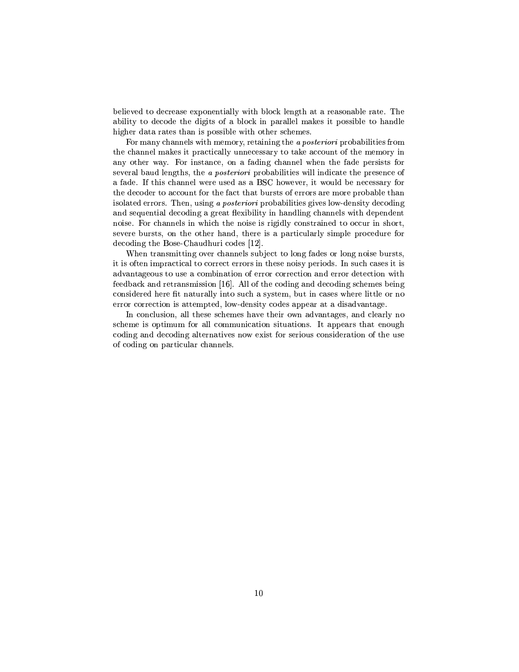believed to decrease exponentially with block length at a reasonable rate. The ability to decode the digits of a block in parallel makes it possible to handle higher data rates than is possible with other schemes.

For many channels with memory, retaining the a posteriori probabilities from the channel makes it practically unnecessary to take account of the memory in any other way. For instance, on a fading channel when the fade persists for several baud lengths, the *a posteriori* probabilities will indicate the presence of a fade. If this channel were used as a BSC however, it would be necessary for the decoder to account for the fact that bursts of errors are more probable than isolated errors. Then, using a posteriori probabilities gives low-density decoding and sequential decoding a great flexibility in handling channels with dependent noise. For channels in which the noise is rigidly constrained to occur in short, severe bursts, on the other hand, there is a particularly simple procedure for decoding the Bose-Chaudhuri codes [12].

When transmitting over channels subject to long fades or long noise bursts, it is often impractical to correct errors in these noisy periods. In such cases it is advantageous to use a combination of error correction and error detection with feedback and retransmission [16]. All of the coding and decoding schemes being considered here fit naturally into such a system, but in cases where little or no error correction is attempted, low-density codes appear at a disadvantage.

In conclusion, all these schemes have their own advantages, and clearly no scheme is optimum for all communication situations. It appears that enough coding and decoding alternatives now exist for serious consideration of the use of coding on particular channels.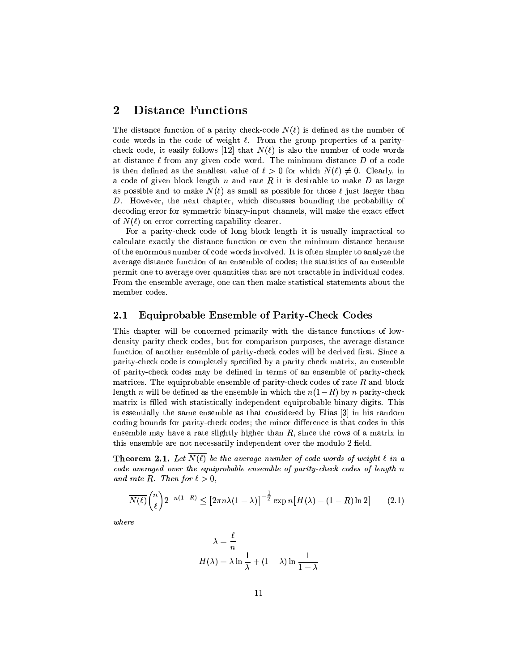## $\boldsymbol{2}$ **Distance Functions**

The distance function of a parity check-code  $N(\ell)$  is defined as the number of code words in the code of weight  $\ell$ . From the group properties of a paritycheck code, it easily follows [12] that  $N(\ell)$  is also the number of code words at distance  $\ell$  from any given code word. The minimum distance  $D$  of a code is then defined as the smallest value of  $\ell > 0$  for which  $N(\ell) \neq 0$ . Clearly, in a code of given block length  $n$  and rate  $R$  it is desirable to make  $D$  as large as possible and to make  $N(\ell)$  as small as possible for those  $\ell$  just larger than D. However, the next chapter, which discusses bounding the probability of decoding error for symmetric binary-input channels, will make the exact effect of  $N(\ell)$  on error-correcting capability clearer.

For a parity-check code of long block length it is usually impractical to calculate exactly the distance function or even the minimum distance because of the enormous number of code words involved. It is often simpler to analyze the average distance function of an ensemble of codes; the statistics of an ensemble permit one to average over quantities that are not tractable in individual codes. From the ensemble average, one can then make statistical statements about the member codes.

#### **Equiprobable Ensemble of Parity-Check Codes**  $2.1$

This chapter will be concerned primarily with the distance functions of lowdensity parity-check codes, but for comparison purposes, the average distance function of another ensemble of parity-check codes will be derived first. Since a parity-check code is completely specified by a parity check matrix, an ensemble of parity-check codes may be defined in terms of an ensemble of parity-check matrices. The equiprobable ensemble of parity-check codes of rate  $R$  and block length n will be defined as the ensemble in which the  $n(1-R)$  by n parity-check matrix is filled with statistically independent equiprobable binary digits. This is essentially the same ensemble as that considered by Elias [3] in his random coding bounds for parity-check codes; the minor difference is that codes in this ensemble may have a rate slightly higher than  $R$ , since the rows of a matrix in this ensemble are not necessarily independent over the modulo 2 field.

**Theorem 2.1.** Let  $\overline{N(\ell)}$  be the average number of code words of weight  $\ell$  in a code averaged over the equiprobable ensemble of parity-check codes of length n and rate R. Then for  $\ell > 0$ ,

$$
\overline{N(\ell)}\binom{n}{\ell}2^{-n(1-R)} \le \left[2\pi n\lambda(1-\lambda)\right]^{-\frac{1}{2}}\exp n\left[H(\lambda) - (1-R)\ln 2\right] \tag{2.1}
$$

 $where$ 

$$
\lambda = \frac{\ell}{n}
$$

$$
H(\lambda) = \lambda \ln \frac{1}{\lambda} + (1 - \lambda) \ln \frac{1}{1 - \lambda}
$$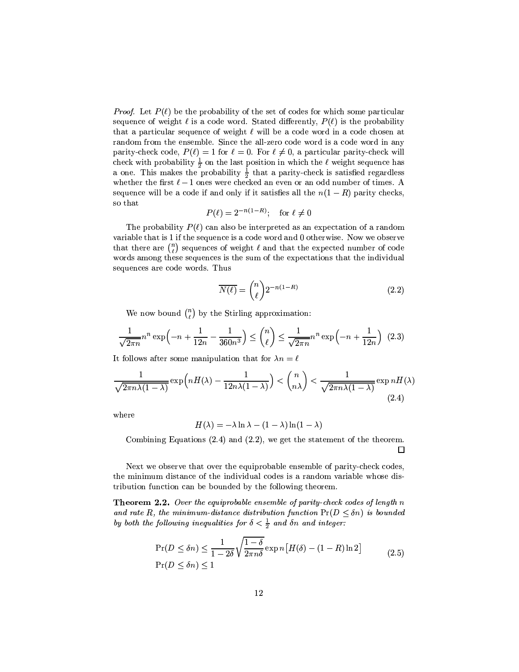*Proof.* Let  $P(\ell)$  be the probability of the set of codes for which some particular sequence of weight  $\ell$  is a code word. Stated differently,  $P(\ell)$  is the probability that a particular sequence of weight  $\ell$  will be a code word in a code chosen at random from the ensemble. Since the all-zero code word is a code word in any parity-check code,  $P(\ell) = 1$  for  $\ell = 0$ . For  $\ell \neq 0$ , a particular parity-check will check with probability  $\frac{1}{2}$  on the last position in which the  $\ell$  weight sequence has a one. This makes the probability  $\frac{1}{2}$  that a parity-check is satisfied regardless whether the first  $\ell-1$  ones were checked an even or an odd number of times. A sequence will be a code if and only if it satisfies all the  $n(1 - R)$  parity checks, so that

$$
P(\ell) = 2^{-n(1-R)}; \quad \text{for } \ell \neq 0
$$

The probability  $P(\ell)$  can also be interpreted as an expectation of a random variable that is 1 if the sequence is a code word and 0 otherwise. Now we observe that there are  $\binom{n}{\ell}$  sequences of weight  $\ell$  and that the expected number of code words among these sequences is the sum of the expectations that the individual sequences are code words. Thus

$$
\overline{N(\ell)} = \binom{n}{\ell} 2^{-n(1-R)} \tag{2.2}
$$

We now bound  $\binom{n}{\ell}$  by the Stirling approximation:

$$
\frac{1}{\sqrt{2\pi n}}n^n \exp\left(-n + \frac{1}{12n} - \frac{1}{360n^3}\right) \le \binom{n}{\ell} \le \frac{1}{\sqrt{2\pi n}}n^n \exp\left(-n + \frac{1}{12n}\right) \tag{2.3}
$$

It follows after some manipulation that for  $\lambda n = \ell$ 

$$
\frac{1}{\sqrt{2\pi n\lambda(1-\lambda)}}\exp\left(nH(\lambda)-\frac{1}{12n\lambda(1-\lambda)}\right)<\binom{n}{n\lambda}<\frac{1}{\sqrt{2\pi n\lambda(1-\lambda)}}\exp nH(\lambda) \tag{2.4}
$$

where

$$
H(\lambda) = -\lambda \ln \lambda - (1 - \lambda) \ln(1 - \lambda)
$$

Combining Equations  $(2.4)$  and  $(2.2)$ , we get the statement of the theorem.  $\Box$ 

Next we observe that over the equiprobable ensemble of parity-check codes, the minimum distance of the individual codes is a random variable whose distribution function can be bounded by the following theorem.

Theorem 2.2. Over the equiprobable ensemble of parity-check codes of length n and rate R, the minimum-distance distribution function  $Pr(D \leq \delta n)$  is bounded by both the following inequalities for  $\delta < \frac{1}{2}$  and  $\delta n$  and integer:

$$
\Pr(D \le \delta n) \le \frac{1}{1 - 2\delta} \sqrt{\frac{1 - \delta}{2\pi n \delta}} \exp n \left[ H(\delta) - (1 - R) \ln 2 \right] \tag{2.5}
$$
\n
$$
\Pr(D \le \delta n) \le 1
$$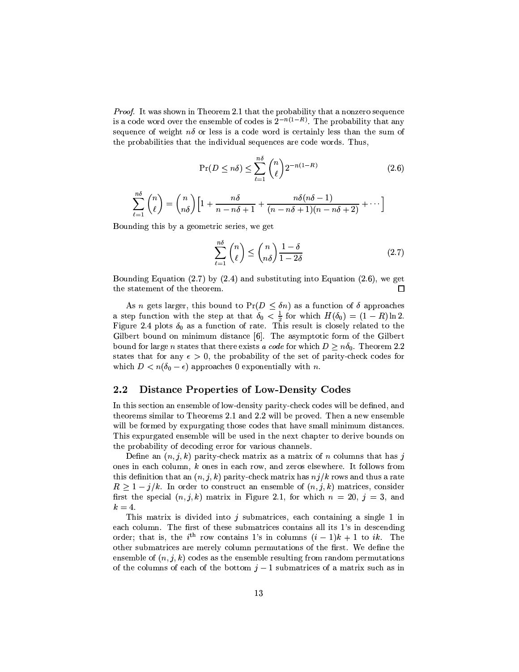Proof. It was shown in Theorem 2.1 that the probability that a nonzero sequence is a code word over the ensemble of codes is  $2^{-n(1-R)}$ . The probability that any sequence of weight  $n\delta$  or less is a code word is certainly less than the sum of the probabilities that the individual sequences are code words. Thus,

$$
\Pr(D \le n\delta) \le \sum_{\ell=1}^{n\delta} \binom{n}{\ell} 2^{-n(1-R)} \tag{2.6}
$$

$$
\sum_{\ell=1}^{n\delta} \binom{n}{\ell} = \binom{n}{n\delta} \left[ 1 + \frac{n\delta}{n-n\delta+1} + \frac{n\delta(n\delta-1)}{(n-n\delta+1)(n-n\delta+2)} + \cdots \right]
$$

Bounding this by a geometric series, we get

$$
\sum_{\ell=1}^{n\delta} \binom{n}{\ell} \le \binom{n}{n\delta} \frac{1-\delta}{1-2\delta} \tag{2.7}
$$

Bounding Equation  $(2.7)$  by  $(2.4)$  and substituting into Equation  $(2.6)$ , we get the statement of the theorem. П

As *n* gets larger, this bound to  $Pr(D \leq \delta n)$  as a function of  $\delta$  approaches a step function with the step at that  $\delta_0 < \frac{1}{2}$  for which  $H(\delta_0) = (1 - R) \ln 2$ . Figure 2.4 plots  $\delta_0$  as a function of rate. This result is closely related to the Gilbert bound on minimum distance [6]. The asymptotic form of the Gilbert bound for large *n* states that there exists *a code* for which  $D > n\delta_0$ . Theorem 2.2 states that for any  $\epsilon > 0$ , the probability of the set of parity-check codes for which  $D < n(\delta_0 - \epsilon)$  approaches 0 exponentially with n.

#### $2.2$ **Distance Properties of Low-Density Codes**

In this section an ensemble of low-density parity-check codes will be defined, and theorems similar to Theorems 2.1 and 2.2 will be proved. Then a new ensemble will be formed by expurgating those codes that have small minimum distances. This expurgated ensemble will be used in the next chapter to derive bounds on the probability of decoding error for various channels.

Define an  $(n, j, k)$  parity-check matrix as a matrix of n columns that has j ones in each column,  $k$  ones in each row, and zeros elsewhere. It follows from this definition that an  $(n, j, k)$  parity-check matrix has  $nj/k$  rows and thus a rate  $R > 1 - j/k$ . In order to construct an ensemble of  $(n, j, k)$  matrices, consider first the special  $(n, j, k)$  matrix in Figure 2.1, for which  $n = 20$ ,  $j = 3$ , and  $k=4$ .

This matrix is divided into  $i$  submatrices, each containing a single 1 in each column. The first of these submatrices contains all its 1's in descending order; that is, the *i*<sup>th</sup> row contains 1's in columns  $(i - 1)k + 1$  to *ik*. The other submatrices are merely column permutations of the first. We define the ensemble of  $(n, j, k)$  codes as the ensemble resulting from random permutations of the columns of each of the bottom  $j-1$  submatrices of a matrix such as in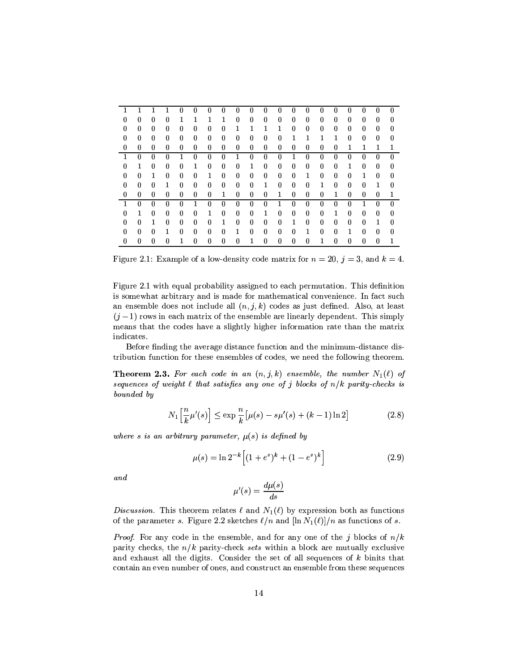| 0<br>0<br>0<br>0<br>$\theta$<br>0<br>$\theta$<br>$\theta$<br>0<br>0<br>0<br>0<br>$\theta$<br>0<br>$\mathbf{1}$<br>1<br>1<br>1<br>$\theta$<br>$\theta$<br>$\theta$<br>$\theta$<br>$\theta$<br>$\mathbf{0}$<br>$\mathbf{0}$<br>$\mathbf{0}$<br>0<br>$\mathbf{0}$<br>$\mathbf{0}$<br>$\mathbf{0}$<br>0<br>$\Omega$<br>0<br>0<br>1<br>0<br>0<br>$\mathbf{0}$<br>1<br>1<br>1<br>$\mathbf{0}$<br>$\mathbf{0}$<br>0<br>0<br>0<br>0<br>0<br>0<br>0<br>0<br>0<br>0<br>0<br>1<br>1<br>1<br>$\bf{0}$<br>0<br>$\mathbf{0}$<br>$\mathbf{0}$<br>1<br>$\theta$<br>0<br>0<br>0<br>0<br>$\bf{0}$<br>0<br>0<br>0<br>0<br>0<br>0<br>0<br>0<br>$\bf{0}$<br>0<br>0<br>0<br>0<br>0<br>0<br>$\bf{0}$<br>0<br>0<br>1<br>1<br>0<br>0<br>0<br>0<br>1<br>1<br>1<br>$\mathbf{0}$<br>1<br>$\theta$<br>$\theta$<br>$\theta$<br>1<br>$\theta$<br>$\theta$<br>$\mathbf{0}$<br>0<br>$\theta$<br>$\mathbf{0}$<br>$\theta$<br>$\mathbf{0}$<br>$\mathbf{0}$<br>$\theta$<br>$\theta$<br>0<br>$\mathbf{1}$<br>$\theta$<br>$\mathbf{1}$<br>$\mathbf{0}$<br>$\theta$<br>$\theta$<br>0<br>$\theta$<br>$\theta$<br>$\theta$<br>1<br>0<br>0<br>0<br>1<br>0<br>0<br>0<br>0<br>0<br>1<br>1<br>$\mathbf{1}$<br>$\mathbf{0}$<br>$\bf{0}$<br>0<br>0<br>0<br>0<br>1<br>$\bf{0}$<br>0<br>0<br>0<br>0<br>0<br>0<br>0<br>0<br>0<br>$\mathbf{0}$<br>1<br>1<br>$\mathbf{0}$<br>$\mathbf{0}$<br>$\theta$<br>$\theta$<br>1<br>0<br>$\theta$<br>$\theta$<br>$\theta$<br>1<br>$\bf{0}$<br>0<br>0<br>$\bf{0}$<br>0<br>0<br>0<br>1<br>1<br>$\theta$<br>$\bf{0}$<br>1<br>0<br>0<br>0<br>$\theta$<br>0<br>0<br>0<br>0<br>$\bf{0}$<br>$\bf{0}$<br>0<br>0<br>$\bf{0}$<br>1<br>0<br>$\theta$<br>$\theta$<br>$\theta$<br>1<br>0<br>$\theta$<br>$\theta$<br>$\theta$<br>$\theta$<br>$\theta$<br>$\theta$<br>$\mathbf{1}$<br>$\mathbf{0}$<br>$\theta$<br>$\theta$<br>0<br>$\Omega$<br>0<br>1<br>1<br>1<br>1<br>$\theta$<br>1<br>$\theta$<br>0<br>$\theta$<br>$\theta$<br>0<br>$\theta$<br>$\theta$<br>$\theta$<br>$\theta$<br>0<br>0<br>0<br>0<br>0<br>0<br>1<br>1<br>$\theta$<br>1<br>$\theta$<br>$\theta$<br>$\theta$<br>$\theta$<br>$\theta$<br>$\theta$<br>$\theta$<br>$\mathbf{0}$<br>$\theta$<br>0<br>1<br>0<br>0<br>0<br>0<br>0<br>1<br>1<br>0<br>$\theta$<br>1<br>$\theta$<br>$\theta$<br>$\theta$<br>$\theta$<br>$\theta$<br>$\theta$<br>1<br>$\theta$<br>0<br>0<br>0<br>0<br>0<br>0<br>0<br>1<br>$\theta$<br>1<br>0<br>0<br>0<br>0<br>0<br>0<br>0<br>0<br>0<br>0<br>1<br>0<br>0<br>0<br>0<br>0 |  |  |  |  |  |  |  |  |  |  |  |
|--------------------------------------------------------------------------------------------------------------------------------------------------------------------------------------------------------------------------------------------------------------------------------------------------------------------------------------------------------------------------------------------------------------------------------------------------------------------------------------------------------------------------------------------------------------------------------------------------------------------------------------------------------------------------------------------------------------------------------------------------------------------------------------------------------------------------------------------------------------------------------------------------------------------------------------------------------------------------------------------------------------------------------------------------------------------------------------------------------------------------------------------------------------------------------------------------------------------------------------------------------------------------------------------------------------------------------------------------------------------------------------------------------------------------------------------------------------------------------------------------------------------------------------------------------------------------------------------------------------------------------------------------------------------------------------------------------------------------------------------------------------------------------------------------------------------------------------------------------------------------------------------------------------------------------------------------------------------------------------------------------------------------------------------------------------------------------------------------------------------------------------------------------------------------------------------------------------------------------------------------------------------------------------------------------------------------------------------------------------------------------------------------------------------------------------|--|--|--|--|--|--|--|--|--|--|--|
|                                                                                                                                                                                                                                                                                                                                                                                                                                                                                                                                                                                                                                                                                                                                                                                                                                                                                                                                                                                                                                                                                                                                                                                                                                                                                                                                                                                                                                                                                                                                                                                                                                                                                                                                                                                                                                                                                                                                                                                                                                                                                                                                                                                                                                                                                                                                                                                                                                      |  |  |  |  |  |  |  |  |  |  |  |
|                                                                                                                                                                                                                                                                                                                                                                                                                                                                                                                                                                                                                                                                                                                                                                                                                                                                                                                                                                                                                                                                                                                                                                                                                                                                                                                                                                                                                                                                                                                                                                                                                                                                                                                                                                                                                                                                                                                                                                                                                                                                                                                                                                                                                                                                                                                                                                                                                                      |  |  |  |  |  |  |  |  |  |  |  |
|                                                                                                                                                                                                                                                                                                                                                                                                                                                                                                                                                                                                                                                                                                                                                                                                                                                                                                                                                                                                                                                                                                                                                                                                                                                                                                                                                                                                                                                                                                                                                                                                                                                                                                                                                                                                                                                                                                                                                                                                                                                                                                                                                                                                                                                                                                                                                                                                                                      |  |  |  |  |  |  |  |  |  |  |  |
|                                                                                                                                                                                                                                                                                                                                                                                                                                                                                                                                                                                                                                                                                                                                                                                                                                                                                                                                                                                                                                                                                                                                                                                                                                                                                                                                                                                                                                                                                                                                                                                                                                                                                                                                                                                                                                                                                                                                                                                                                                                                                                                                                                                                                                                                                                                                                                                                                                      |  |  |  |  |  |  |  |  |  |  |  |
|                                                                                                                                                                                                                                                                                                                                                                                                                                                                                                                                                                                                                                                                                                                                                                                                                                                                                                                                                                                                                                                                                                                                                                                                                                                                                                                                                                                                                                                                                                                                                                                                                                                                                                                                                                                                                                                                                                                                                                                                                                                                                                                                                                                                                                                                                                                                                                                                                                      |  |  |  |  |  |  |  |  |  |  |  |
|                                                                                                                                                                                                                                                                                                                                                                                                                                                                                                                                                                                                                                                                                                                                                                                                                                                                                                                                                                                                                                                                                                                                                                                                                                                                                                                                                                                                                                                                                                                                                                                                                                                                                                                                                                                                                                                                                                                                                                                                                                                                                                                                                                                                                                                                                                                                                                                                                                      |  |  |  |  |  |  |  |  |  |  |  |
|                                                                                                                                                                                                                                                                                                                                                                                                                                                                                                                                                                                                                                                                                                                                                                                                                                                                                                                                                                                                                                                                                                                                                                                                                                                                                                                                                                                                                                                                                                                                                                                                                                                                                                                                                                                                                                                                                                                                                                                                                                                                                                                                                                                                                                                                                                                                                                                                                                      |  |  |  |  |  |  |  |  |  |  |  |
|                                                                                                                                                                                                                                                                                                                                                                                                                                                                                                                                                                                                                                                                                                                                                                                                                                                                                                                                                                                                                                                                                                                                                                                                                                                                                                                                                                                                                                                                                                                                                                                                                                                                                                                                                                                                                                                                                                                                                                                                                                                                                                                                                                                                                                                                                                                                                                                                                                      |  |  |  |  |  |  |  |  |  |  |  |
|                                                                                                                                                                                                                                                                                                                                                                                                                                                                                                                                                                                                                                                                                                                                                                                                                                                                                                                                                                                                                                                                                                                                                                                                                                                                                                                                                                                                                                                                                                                                                                                                                                                                                                                                                                                                                                                                                                                                                                                                                                                                                                                                                                                                                                                                                                                                                                                                                                      |  |  |  |  |  |  |  |  |  |  |  |
|                                                                                                                                                                                                                                                                                                                                                                                                                                                                                                                                                                                                                                                                                                                                                                                                                                                                                                                                                                                                                                                                                                                                                                                                                                                                                                                                                                                                                                                                                                                                                                                                                                                                                                                                                                                                                                                                                                                                                                                                                                                                                                                                                                                                                                                                                                                                                                                                                                      |  |  |  |  |  |  |  |  |  |  |  |
|                                                                                                                                                                                                                                                                                                                                                                                                                                                                                                                                                                                                                                                                                                                                                                                                                                                                                                                                                                                                                                                                                                                                                                                                                                                                                                                                                                                                                                                                                                                                                                                                                                                                                                                                                                                                                                                                                                                                                                                                                                                                                                                                                                                                                                                                                                                                                                                                                                      |  |  |  |  |  |  |  |  |  |  |  |
|                                                                                                                                                                                                                                                                                                                                                                                                                                                                                                                                                                                                                                                                                                                                                                                                                                                                                                                                                                                                                                                                                                                                                                                                                                                                                                                                                                                                                                                                                                                                                                                                                                                                                                                                                                                                                                                                                                                                                                                                                                                                                                                                                                                                                                                                                                                                                                                                                                      |  |  |  |  |  |  |  |  |  |  |  |
|                                                                                                                                                                                                                                                                                                                                                                                                                                                                                                                                                                                                                                                                                                                                                                                                                                                                                                                                                                                                                                                                                                                                                                                                                                                                                                                                                                                                                                                                                                                                                                                                                                                                                                                                                                                                                                                                                                                                                                                                                                                                                                                                                                                                                                                                                                                                                                                                                                      |  |  |  |  |  |  |  |  |  |  |  |
|                                                                                                                                                                                                                                                                                                                                                                                                                                                                                                                                                                                                                                                                                                                                                                                                                                                                                                                                                                                                                                                                                                                                                                                                                                                                                                                                                                                                                                                                                                                                                                                                                                                                                                                                                                                                                                                                                                                                                                                                                                                                                                                                                                                                                                                                                                                                                                                                                                      |  |  |  |  |  |  |  |  |  |  |  |
|                                                                                                                                                                                                                                                                                                                                                                                                                                                                                                                                                                                                                                                                                                                                                                                                                                                                                                                                                                                                                                                                                                                                                                                                                                                                                                                                                                                                                                                                                                                                                                                                                                                                                                                                                                                                                                                                                                                                                                                                                                                                                                                                                                                                                                                                                                                                                                                                                                      |  |  |  |  |  |  |  |  |  |  |  |

Figure 2.1: Example of a low-density code matrix for  $n = 20$ ,  $j = 3$ , and  $k = 4$ .

Figure 2.1 with equal probability assigned to each permutation. This definition is somewhat arbitrary and is made for mathematical convenience. In fact such an ensemble does not include all  $(n, j, k)$  codes as just defined. Also, at least  $(j-1)$  rows in each matrix of the ensemble are linearly dependent. This simply means that the codes have a slightly higher information rate than the matrix indicates.

Before finding the average distance function and the minimum-distance distribution function for these ensembles of codes, we need the following theorem.

**Theorem 2.3.** For each code in an  $(n, j, k)$  ensemble, the number  $N_1(\ell)$  of sequences of weight  $\ell$  that satisfies any one of j blocks of  $n/k$  parity-checks is bounded by

$$
N_1\left[\frac{n}{k}\mu'(s)\right] \le \exp\frac{n}{k}[\mu(s) - s\mu'(s) + (k-1)\ln 2]
$$
 (2.8)

where s is an arbitrary parameter,  $\mu(s)$  is defined by

$$
\mu(s) = \ln 2^{-k} \left[ (1 + e^s)^k + (1 - e^s)^k \right] \tag{2.9}
$$

and

$$
\mu'(s) = \frac{d\mu(s)}{ds}
$$

*Discussion.* This theorem relates  $\ell$  and  $N_1(\ell)$  by expression both as functions of the parameter s. Figure 2.2 sketches  $\ell/n$  and  $[\ln N_1(\ell)]/n$  as functions of s.

*Proof.* For any code in the ensemble, and for any one of the *i* blocks of  $n/k$ parity checks, the  $n/k$  parity-check sets within a block are mutually exclusive and exhaust all the digits. Consider the set of all sequences of  $k$  binits that contain an even number of ones, and construct an ensemble from these sequences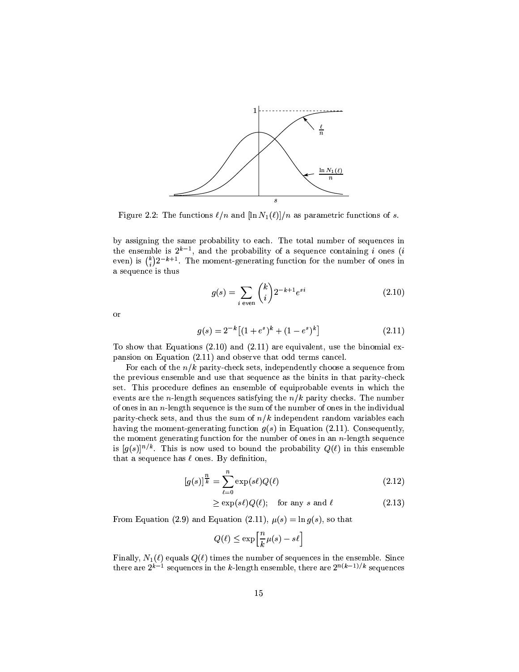

Figure 2.2: The functions  $\ell/n$  and  $[\ln N_1(\ell)]/n$  as parametric functions of s.

by assigning the same probability to each. The total number of sequences in the ensemble is  $2^{k-1}$ , and the probability of a sequence containing *i* ones (*i* even) is  $\binom{k}{i} 2^{-k+1}$ . The moment-generating function for the number of ones in a sequence is thus

$$
g(s) = \sum_{i \text{ even}} \binom{k}{i} 2^{-k+1} e^{si} \tag{2.10}
$$

or

$$
g(s) = 2^{-k} \left[ (1 + e^s)^k + (1 - e^s)^k \right] \tag{2.11}
$$

To show that Equations  $(2.10)$  and  $(2.11)$  are equivalent, use the binomial expansion on Equation  $(2.11)$  and observe that odd terms cancel.

For each of the  $n/k$  parity-check sets, independently choose a sequence from the previous ensemble and use that sequence as the binits in that parity-check set. This procedure defines an ensemble of equiprobable events in which the events are the *n*-length sequences satisfying the  $n/k$  parity checks. The number of ones in an *n*-length sequence is the sum of the number of ones in the individual parity-check sets, and thus the sum of  $n/k$  independent random variables each having the moment-generating function  $g(s)$  in Equation (2.11). Consequently, the moment generating function for the number of ones in an  $n$ -length sequence is  $[g(s)]^{n/k}$ . This is now used to bound the probability  $Q(\ell)$  in this ensemble that a sequence has  $\ell$  ones. By definition,

$$
[g(s)]^{\frac{n}{k}} = \sum_{\ell=0}^{n} \exp(s\ell) Q(\ell)
$$
\n(2.12)

$$
\geq \exp(s\ell)Q(\ell); \quad \text{for any } s \text{ and } \ell \tag{2.13}
$$

From Equation (2.9) and Equation (2.11),  $\mu(s) = \ln g(s)$ , so that

$$
Q(\ell) \le \exp\left[\frac{n}{k}\mu(s) - s\ell\right]
$$

Finally,  $N_1(\ell)$  equals  $Q(\ell)$  times the number of sequences in the ensemble. Since there are  $2^{k-1}$  sequences in the k-length ensemble, there are  $2^{n(k-1)/k}$  sequences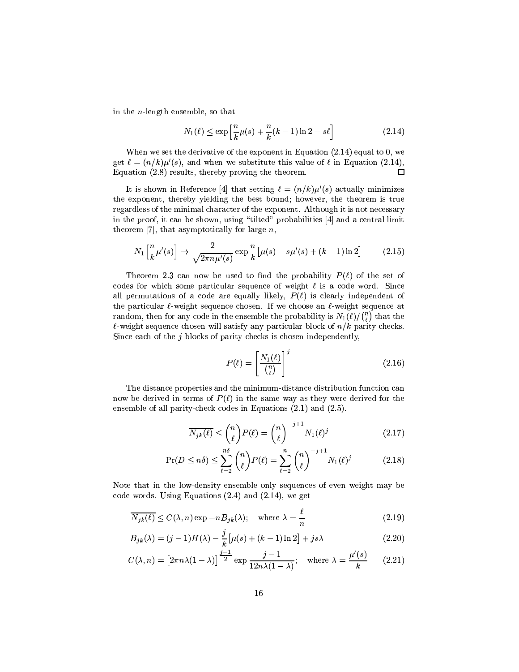in the  $n$ -length ensemble, so that

$$
N_1(\ell) \le \exp\left[\frac{n}{k}\mu(s) + \frac{n}{k}(k-1)\ln 2 - s\ell\right]
$$
 (2.14)

When we set the derivative of the exponent in Equation  $(2.14)$  equal to 0, we get  $\ell = (n/k)\mu'(s)$ , and when we substitute this value of  $\ell$  in Equation (2.14), Equation  $(2.8)$  results, thereby proving the theorem. 囗

It is shown in Reference [4] that setting  $\ell = (n/k)\mu'(s)$  actually minimizes the exponent, thereby yielding the best bound; however, the theorem is true regardless of the minimal character of the exponent. Although it is not necessary in the proof, it can be shown, using "tilted" probabilities [4] and a central limit theorem  $[7]$ , that asymptotically for large  $n$ ,

$$
N_1\left[\frac{n}{k}\mu'(s)\right] \to \frac{2}{\sqrt{2\pi n\mu'(s)}} \exp\frac{n}{k}[\mu(s) - s\mu'(s) + (k-1)\ln 2] \tag{2.15}
$$

Theorem 2.3 can now be used to find the probability  $P(\ell)$  of the set of codes for which some particular sequence of weight  $\ell$  is a code word. Since all permutations of a code are equally likely,  $P(\ell)$  is clearly independent of the particular  $\ell$ -weight sequence chosen. If we choose an  $\ell$ -weight sequence at random, then for any code in the ensemble the probability is  $N_1(\ell)/\binom{n}{\ell}$  that the  $\ell$ -weight sequence chosen will satisfy any particular block of  $n/k$  parity checks. Since each of the  $j$  blocks of parity checks is chosen independently,

$$
P(\ell) = \left[\frac{N_1(\ell)}{\binom{n}{\ell}}\right]^j \tag{2.16}
$$

The distance properties and the minimum-distance distribution function can now be derived in terms of  $P(\ell)$  in the same way as they were derived for the ensemble of all parity-check codes in Equations  $(2.1)$  and  $(2.5)$ .

$$
\overline{N_{jk}(\ell)} \leq \binom{n}{\ell} P(\ell) = \binom{n}{\ell}^{-j+1} N_1(\ell)^j \tag{2.17}
$$

$$
\Pr(D \le n\delta) \le \sum_{\ell=2}^{n\delta} \binom{n}{\ell} P(\ell) = \sum_{\ell=2}^n \binom{n}{\ell}^{-j+1} N_1(\ell)^j \tag{2.18}
$$

Note that in the low-density ensemble only sequences of even weight may be code words. Using Equations  $(2.4)$  and  $(2.14)$ , we get

$$
\overline{N_{jk}(\ell)} \le C(\lambda, n) \exp -n B_{jk}(\lambda); \quad \text{where } \lambda = \frac{\ell}{n}
$$
 (2.19)

$$
B_{jk}(\lambda) = (j-1)H(\lambda) - \frac{j}{k} \left[ \mu(s) + (k-1)\ln 2 \right] + js\lambda \tag{2.20}
$$

$$
C(\lambda, n) = \left[2\pi n\lambda(1-\lambda)\right]^{\frac{j-1}{2}} \exp\frac{j-1}{12n\lambda(1-\lambda)}; \quad \text{where } \lambda = \frac{\mu'(s)}{k} \qquad (2.21)
$$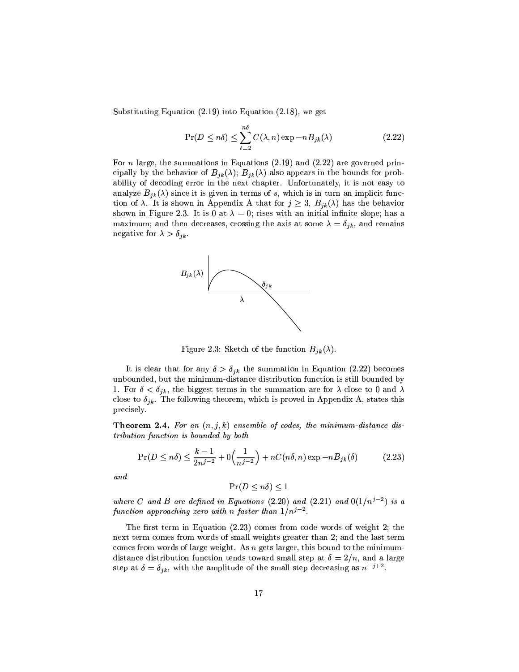Substituting Equation  $(2.19)$  into Equation  $(2.18)$ , we get

$$
\Pr(D \le n\delta) \le \sum_{\ell=2}^{n\delta} C(\lambda, n) \exp{-nB_{jk}(\lambda)}
$$
\n(2.22)

For *n* large, the summations in Equations  $(2.19)$  and  $(2.22)$  are governed principally by the behavior of  $B_{ik}(\lambda)$ ;  $B_{ik}(\lambda)$  also appears in the bounds for probability of decoding error in the next chapter. Unfortunately, it is not easy to analyze  $B_{jk}(\lambda)$  since it is given in terms of s, which is in turn an implicit function of  $\lambda$ . It is shown in Appendix A that for  $j \geq 3$ ,  $B_{jk}(\lambda)$  has the behavior shown in Figure 2.3. It is 0 at  $\lambda = 0$ ; rises with an initial infinite slope; has a maximum; and then decreases, crossing the axis at some  $\lambda = \delta_{jk}$ , and remains negative for  $\lambda > \delta_{jk}$ .



Figure 2.3: Sketch of the function  $B_{jk}(\lambda)$ .

It is clear that for any  $\delta > \delta_{jk}$  the summation in Equation (2.22) becomes unbounded, but the minimum-distance distribution function is still bounded by 1. For  $\delta < \delta_{jk}$ , the biggest terms in the summation are for  $\lambda$  close to 0 and  $\lambda$ close to  $\delta_{jk}$ . The following theorem, which is proved in Appendix A, states this precisely.

**Theorem 2.4.** For an  $(n, j, k)$  ensemble of codes, the minimum-distance distribution function is bounded by both

$$
\Pr(D \le n\delta) \le \frac{k-1}{2n^{j-2}} + 0\left(\frac{1}{n^{j-2}}\right) + nC(n\delta, n)\exp - nB_{jk}(\delta)
$$
 (2.23)

and

$$
\Pr(D \le n\delta) \le 1
$$

where C and B are defined in Equations (2.20) and (2.21) and  $0(1/n^{j-2})$  is a function approaching zero with n faster than  $1/n^{j-2}$ 

The first term in Equation  $(2.23)$  comes from code words of weight 2; the next term comes from words of small weights greater than 2; and the last term comes from words of large weight. As  $n$  gets larger, this bound to the minimumdistance distribution function tends toward small step at  $\delta = 2/n$ , and a large step at  $\delta = \delta_{jk}$ , with the amplitude of the small step decreasing as  $n^{-j+2}$ .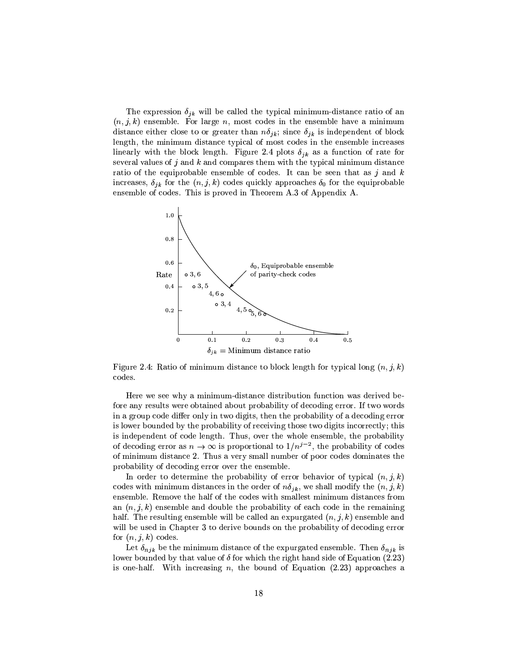The expression  $\delta_{jk}$  will be called the typical minimum-distance ratio of an  $(n, j, k)$  ensemble. For large n, most codes in the ensemble have a minimum distance either close to or greater than  $n\delta_{ik}$ ; since  $\delta_{ik}$  is independent of block length, the minimum distance typical of most codes in the ensemble increases linearly with the block length. Figure 2.4 plots  $\delta_{jk}$  as a function of rate for several values of  $j$  and  $k$  and compares them with the typical minimum distance ratio of the equiprobable ensemble of codes. It can be seen that as  $j$  and  $k$ increases,  $\delta_{ik}$  for the  $(n, j, k)$  codes quickly approaches  $\delta_0$  for the equiprobable ensemble of codes. This is proved in Theorem A.3 of Appendix A.



Figure 2.4: Ratio of minimum distance to block length for typical long  $(n, j, k)$ codes.

Here we see why a minimum-distance distribution function was derived before any results were obtained about probability of decoding error. If two words in a group code differ only in two digits, then the probability of a decoding error is lower bounded by the probability of receiving those two digits incorrectly; this is independent of code length. Thus, over the whole ensemble, the probability of decoding error as  $n \to \infty$  is proportional to  $1/n^{j-2}$ , the probability of codes of minimum distance 2. Thus a very small number of poor codes dominates the probability of decoding error over the ensemble.

In order to determine the probability of error behavior of typical  $(n, j, k)$ codes with minimum distances in the order of  $n\delta_{ik}$ , we shall modify the  $(n, j, k)$ ensemble. Remove the half of the codes with smallest minimum distances from an  $(n, j, k)$  ensemble and double the probability of each code in the remaining half. The resulting ensemble will be called an expurgated  $(n, j, k)$  ensemble and will be used in Chapter 3 to derive bounds on the probability of decoding error for  $(n, j, k)$  codes.

Let  $\delta_{njk}$  be the minimum distance of the expurgated ensemble. Then  $\delta_{njk}$  is lower bounded by that value of  $\delta$  for which the right hand side of Equation (2.23) is one-half. With increasing  $n$ , the bound of Equation (2.23) approaches a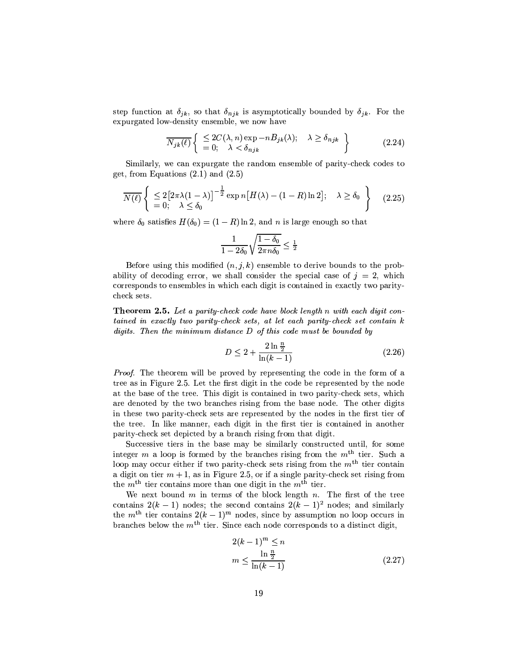step function at  $\delta_{jk}$ , so that  $\delta_{njk}$  is asymptotically bounded by  $\delta_{jk}$ . For the expurgated low-density ensemble, we now have

$$
\overline{N_{jk}(\ell)} \left\{ \begin{array}{l} \leq 2C(\lambda, n) \exp - nB_{jk}(\lambda); \quad \lambda \geq \delta_{njk} \\ = 0; \quad \lambda < \delta_{njk} \end{array} \right\}
$$
(2.24)

Similarly, we can expurgate the random ensemble of parity-check codes to get, from Equations  $(2.1)$  and  $(2.5)$ 

$$
\overline{N(\ell)} \left\{ \begin{array}{l} \leq 2 \left[ 2\pi\lambda (1-\lambda) \right]^{-\frac{1}{2}} \exp n \left[ H(\lambda) - (1-R) \ln 2 \right]; \quad \lambda \geq \delta_0 \\ = 0; \quad \lambda \leq \delta_0 \end{array} \right\} \tag{2.25}
$$

where  $\delta_0$  satisfies  $H(\delta_0) = (1 - R) \ln 2$ , and *n* is large enough so that

$$
\frac{1}{1-2\delta_0}\sqrt{\frac{1-\delta_0}{2\pi n\delta_0}}\leq \tfrac{1}{2}
$$

Before using this modified  $(n, j, k)$  ensemble to derive bounds to the probability of decoding error, we shall consider the special case of  $j = 2$ , which corresponds to ensembles in which each digit is contained in exactly two paritycheck sets.

**Theorem 2.5.** Let a parity-check code have block length n with each digit contained in exactly two parity-check sets, at let each parity-check set contain k digits. Then the minimum distance D of this code must be bounded by

$$
D \le 2 + \frac{2\ln\frac{n}{2}}{\ln(k-1)}\tag{2.26}
$$

*Proof.* The theorem will be proved by representing the code in the form of a tree as in Figure 2.5. Let the first digit in the code be represented by the node at the base of the tree. This digit is contained in two parity-check sets, which are denoted by the two branches rising from the base node. The other digits in these two parity-check sets are represented by the nodes in the first tier of the tree. In like manner, each digit in the first tier is contained in another parity-check set depicted by a branch rising from that digit.

Successive tiers in the base may be similarly constructed until, for some integer m a loop is formed by the branches rising from the  $m<sup>th</sup>$  tier. Such a loop may occur either if two parity-check sets rising from the  $m<sup>th</sup>$  tier contain a digit on tier  $m + 1$ , as in Figure 2.5, or if a single parity-check set rising from the  $m<sup>th</sup>$  tier contains more than one digit in the  $m<sup>th</sup>$  tier.

We next bound  $m$  in terms of the block length  $n$ . The first of the tree contains  $2(k-1)$  nodes; the second contains  $2(k-1)^2$  nodes; and similarly the m<sup>th</sup> tier contains  $2(k-1)^m$  nodes, since by assumption no loop occurs in branches below the  $m^{\text{th}}$  tier. Since each node corresponds to a distinct digit.

$$
2(k-1)^m \le n
$$
  

$$
m \le \frac{\ln \frac{n}{2}}{\ln(k-1)}
$$
 (2.27)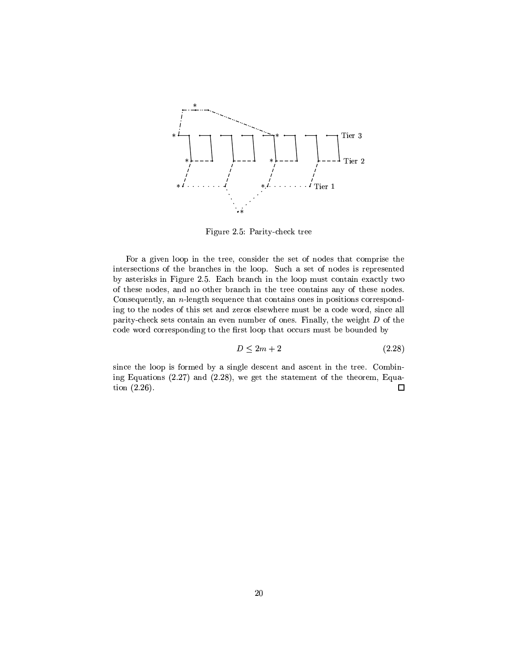

Figure 2.5: Parity-check tree

For a given loop in the tree, consider the set of nodes that comprise the intersections of the branches in the loop. Such a set of nodes is represented by asterisks in Figure 2.5. Each branch in the loop must contain exactly two of these nodes, and no other branch in the tree contains any of these nodes. Consequently, an *n*-length sequence that contains ones in positions corresponding to the nodes of this set and zeros elsewhere must be a code word, since all parity-check sets contain an even number of ones. Finally, the weight  $D$  of the code word corresponding to the first loop that occurs must be bounded by

$$
D \le 2m + 2 \tag{2.28}
$$

since the loop is formed by a single descent and ascent in the tree. Combining Equations  $(2.27)$  and  $(2.28)$ , we get the statement of the theorem, Equation  $(2.26)$ .  $\Box$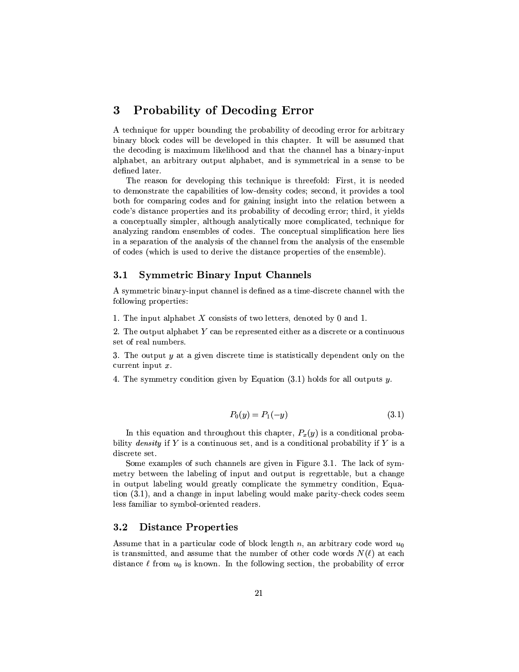# **Probability of Decoding Error** 3

A technique for upper bounding the probability of decoding error for arbitrary binary block codes will be developed in this chapter. It will be assumed that the decoding is maximum likelihood and that the channel has a binary-input alphabet, an arbitrary output alphabet, and is symmetrical in a sense to be defined later.

The reason for developing this technique is threefold: First, it is needed to demonstrate the capabilities of low-density codes; second, it provides a tool both for comparing codes and for gaining insight into the relation between a code's distance properties and its probability of decoding error; third, it yields a conceptually simpler, although analytically more complicated, technique for analyzing random ensembles of codes. The conceptual simplification here lies in a separation of the analysis of the channel from the analysis of the ensemble of codes (which is used to derive the distance properties of the ensemble).

#### **Symmetric Binary Input Channels**  $3.1$

A symmetric binary-input channel is defined as a time-discrete channel with the following properties:

1. The input alphabet  $X$  consists of two letters, denoted by 0 and 1.

2. The output alphabet  $Y$  can be represented either as a discrete or a continuous set of real numbers.

3. The output  $y$  at a given discrete time is statistically dependent only on the current input  $x$ .

4. The symmetry condition given by Equation  $(3.1)$  holds for all outputs y.

$$
P_0(y) = P_1(-y) \tag{3.1}
$$

In this equation and throughout this chapter,  $P_x(y)$  is a conditional probability *density* if Y is a continuous set, and is a conditional probability if Y is a discrete set.

Some examples of such channels are given in Figure 3.1. The lack of symmetry between the labeling of input and output is regrettable, but a change in output labeling would greatly complicate the symmetry condition, Equation (3.1), and a change in input labeling would make parity-check codes seem less familiar to symbol-oriented readers.

### **Distance Properties**  $3.2$

Assume that in a particular code of block length n, an arbitrary code word  $u_0$ is transmitted, and assume that the number of other code words  $N(\ell)$  at each distance  $\ell$  from  $u_0$  is known. In the following section, the probability of error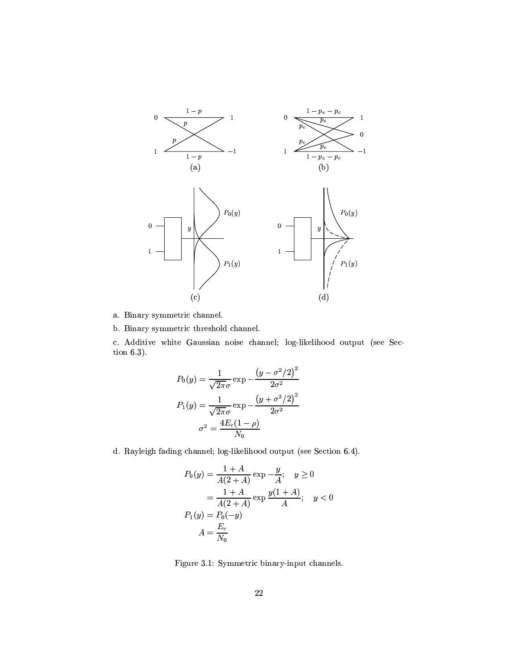

a. Binary symmetric channel.

 ${\bf b}.$  Binary symmetric threshold channel.

c. Additive white Gaussian noise channel; log-likelihood output (see Section  $6.3$ ).

$$
P_0(y) = \frac{1}{\sqrt{2\pi}\sigma} \exp \left(-\frac{\left(y - \sigma^2/2\right)^2}{2\sigma^2}\right)
$$

$$
P_1(y) = \frac{1}{\sqrt{2\pi}\sigma} \exp \left(-\frac{\left(y + \sigma^2/2\right)^2}{2\sigma^2}\right)
$$

$$
\sigma^2 = \frac{4E_c(1 - \rho)}{N_0}
$$

d. Rayleigh fading channel; log-likelihood output (see Section 6.4).

$$
P_0(y) = \frac{1+A}{A(2+A)} \exp{-\frac{y}{A}}; \quad y \ge 0
$$
  
=  $\frac{1+A}{A(2+A)} \exp{\frac{y(1+A)}{A}}; \quad y < 0$   

$$
P_1(y) = P_0(-y)
$$
  

$$
A = \frac{E_c}{N_0}
$$

Figure 3.1: Symmetric binary-input channels.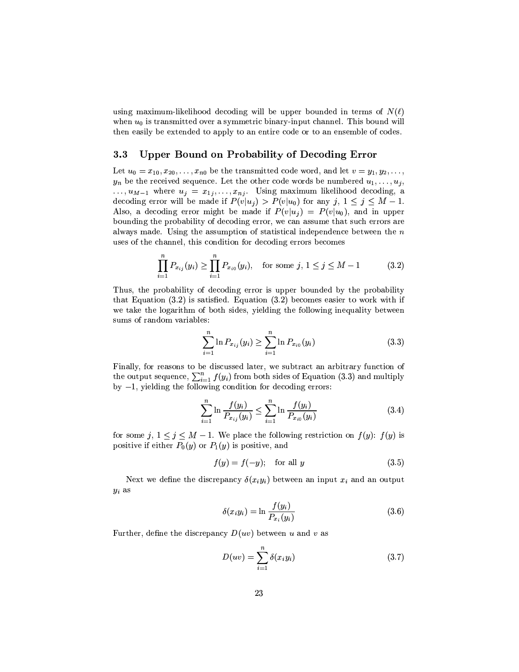using maximum-likelihood decoding will be upper bounded in terms of  $N(\ell)$ when  $u_0$  is transmitted over a symmetric binary-input channel. This bound will then easily be extended to apply to an entire code or to an ensemble of codes.

#### **Upper Bound on Probability of Decoding Error**  $3.3$

Let  $u_0 = x_{10}, x_{20}, \ldots, x_{n0}$  be the transmitted code word, and let  $v = y_1, y_2, \ldots$ ,  $y_n$  be the received sequence. Let the other code words be numbered  $u_1, \ldots, u_j$ ,  $\dots, u_{M-1}$  where  $u_j = x_{1j}, \dots, x_{nj}$ . Using maximum likelihood decoding, a decoding error will be made if  $P(v|u_i) > P(v|u_0)$  for any j,  $1 \le j \le M - 1$ . Also, a decoding error might be made if  $P(v|u_i) = P(v|u_0)$ , and in upper bounding the probability of decoding error, we can assume that such errors are always made. Using the assumption of statistical independence between the  $n$ uses of the channel, this condition for decoding errors becomes

$$
\prod_{i=1}^{n} P_{x_{ij}}(y_i) \ge \prod_{i=1}^{n} P_{x_{i0}}(y_i), \quad \text{for some } j, 1 \le j \le M - 1 \tag{3.2}
$$

Thus, the probability of decoding error is upper bounded by the probability that Equation  $(3.2)$  is satisfied. Equation  $(3.2)$  becomes easier to work with if we take the logarithm of both sides, yielding the following inequality between sums of random variables:

$$
\sum_{i=1}^{n} \ln P_{x_{ij}}(y_i) \ge \sum_{i=1}^{n} \ln P_{x_{i0}}(y_i)
$$
\n(3.3)

Finally, for reasons to be discussed later, we subtract an arbitrary function of the output sequence,  $\sum_{i=1}^{n} f(y_i)$  from both sides of Equation (3.3) and multiply by  $-1$ , yielding the following condition for decoding errors:

$$
\sum_{i=1}^{n} \ln \frac{f(y_i)}{P_{x_{ij}}(y_i)} \le \sum_{i=1}^{n} \ln \frac{f(y_i)}{P_{x_{i0}}(y_i)} \tag{3.4}
$$

for some j,  $1 \le j \le M - 1$ . We place the following restriction on  $f(y)$ :  $f(y)$  is positive if either  $P_0(y)$  or  $P_1(y)$  is positive, and

$$
f(y) = f(-y); \quad \text{for all } y \tag{3.5}
$$

Next we define the discrepancy  $\delta(x_i y_i)$  between an input  $x_i$  and an output  $y_i$  as

$$
\delta(x_i y_i) = \ln \frac{f(y_i)}{P_{x_i}(y_i)}\tag{3.6}
$$

Further, define the discrepancy  $D(uv)$  between u and v as

$$
D(uv) = \sum_{i=1}^{n} \delta(x_i y_i)
$$
 (3.7)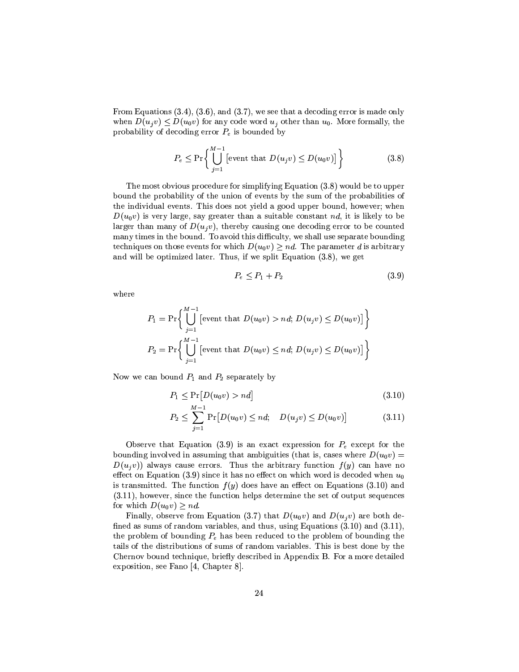From Equations  $(3.4)$ ,  $(3.6)$ , and  $(3.7)$ , we see that a decoding error is made only when  $D(u_i v) \leq D(u_0 v)$  for any code word  $u_i$  other than  $u_0$ . More formally, the probability of decoding error  $P_e$  is bounded by

$$
P_e \le \Pr\left\{\bigcup_{j=1}^{M-1} \left[\text{event that } D(u_j v) \le D(u_0 v)\right]\right\} \tag{3.8}
$$

The most obvious procedure for simplifying Equation (3.8) would be to upper bound the probability of the union of events by the sum of the probabilities of the individual events. This does not yield a good upper bound, however; when  $D(u_0v)$  is very large, say greater than a suitable constant nd, it is likely to be larger than many of  $D(u_i v)$ , thereby causing one decoding error to be counted many times in the bound. To avoid this difficulty, we shall use separate bounding techniques on those events for which  $D(u_0v) \geq nd$ . The parameter d is arbitrary and will be optimized later. Thus, if we split Equation  $(3.8)$ , we get

$$
P_e \le P_1 + P_2 \tag{3.9}
$$

where

$$
P_1 = \Pr\left\{\bigcup_{j=1}^{M-1} \left[\text{event that } D(u_0 v) > nd; D(u_j v) \le D(u_0 v)\right]\right\}
$$
  

$$
P_2 = \Pr\left\{\bigcup_{j=1}^{M-1} \left[\text{event that } D(u_0 v) \le nd; D(u_j v) \le D(u_0 v)\right]\right\}
$$

Now we can bound  $P_1$  and  $P_2$  separately by

$$
P_1 \le \Pr[D(u_0 v) > nd] \tag{3.10}
$$

$$
P_2 \le \sum_{j=1}^{M-1} \Pr[D(u_0 v) \le nd; \quad D(u_j v) \le D(u_0 v)] \tag{3.11}
$$

Observe that Equation (3.9) is an exact expression for  $P_e$  except for the bounding involved in assuming that ambiguities (that is, cases where  $D(u_0v)$  =  $D(u_i v)$  always cause errors. Thus the arbitrary function  $f(y)$  can have no effect on Equation (3.9) since it has no effect on which word is decoded when  $u_0$ is transmitted. The function  $f(y)$  does have an effect on Equations (3.10) and  $(3.11)$ , however, since the function helps determine the set of output sequences for which  $D(u_0v) > nd$ .

Finally, observe from Equation (3.7) that  $D(u_0v)$  and  $D(u_iv)$  are both defined as sums of random variables, and thus, using Equations  $(3.10)$  and  $(3.11)$ , the problem of bounding  $P_e$  has been reduced to the problem of bounding the tails of the distributions of sums of random variables. This is best done by the Chernov bound technique, briefly described in Appendix B. For a more detailed exposition, see Fano [4, Chapter 8].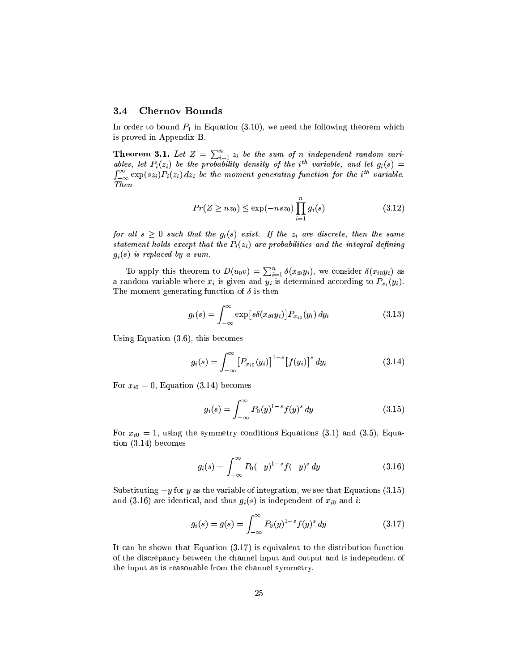#### $3.4$ **Chernov Bounds**

In order to bound  $P_1$  in Equation (3.10), we need the following theorem which is proved in Appendix B.

**Theorem 3.1.** Let  $Z = \sum_{i=1}^{n} z_i$  be the sum of n independent random variables, let  $P_i(z_i)$  be the probability density of the *i*<sup>th</sup> variable, and let  $g_i(s) = \int_{-\infty}^{\infty} \exp(sz_i) P_i(z_i) dz_i$  be the moment generating function  $\widetilde{Then}$ 

$$
Pr(Z \ge n z_0) \le \exp(-n s z_0) \prod_{i=1}^{n} g_i(s)
$$
\n(3.12)

for all  $s \geq 0$  such that the  $g_i(s)$  exist. If the  $z_i$  are discrete, then the same statement holds except that the  $P_i(z_i)$  are probabilities and the integral defining  $g_i(s)$  is replaced by a sum.

To apply this theorem to  $D(u_0v) = \sum_{i=1}^n \delta(x_{i0}y_i)$ , we consider  $\delta(x_{i0}y_i)$  as a random variable where  $x_i$  is given and  $y_i$  is determined according to  $P_{x_i}(y_i)$ . The moment generating function of  $\delta$  is then

$$
g_i(s) = \int_{-\infty}^{\infty} \exp\big[s\delta(x_{i0}y_i)\big] P_{x_{i0}}(y_i) dy_i \tag{3.13}
$$

Using Equation  $(3.6)$ , this becomes

$$
g_i(s) = \int_{-\infty}^{\infty} [P_{x_{i0}}(y_i)]^{1-s} [f(y_i)]^s dy_i
$$
 (3.14)

For  $x_{i0} = 0$ , Equation (3.14) becomes

$$
g_i(s) = \int_{-\infty}^{\infty} P_0(y)^{1-s} f(y)^s \, dy \tag{3.15}
$$

For  $x_{i0} = 1$ , using the symmetry conditions Equations (3.1) and (3.5), Equation  $(3.14)$  becomes

$$
g_i(s) = \int_{-\infty}^{\infty} P_0(-y)^{1-s} f(-y)^s \, dy \tag{3.16}
$$

Substituting  $-y$  for y as the variable of integration, we see that Equations (3.15) and (3.16) are identical, and thus  $g_i(s)$  is independent of  $x_{i0}$  and i:

$$
g_i(s) = g(s) = \int_{-\infty}^{\infty} P_0(y)^{1-s} f(y)^s \, dy \tag{3.17}
$$

It can be shown that Equation  $(3.17)$  is equivalent to the distribution function of the discrepancy between the channel input and output and is independent of the input as is reasonable from the channel symmetry.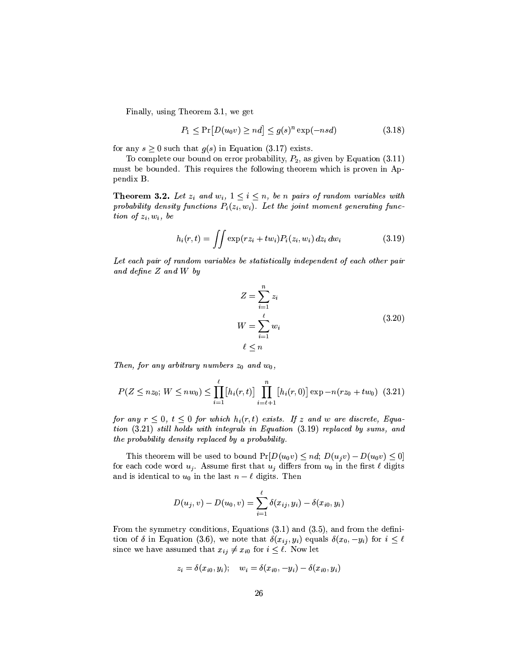Finally, using Theorem 3.1, we get

$$
P_1 \le \Pr\left[D(u_0 v) \ge nd\right] \le g(s)^n \exp(-nsd) \tag{3.18}
$$

for any  $s \geq 0$  such that  $g(s)$  in Equation (3.17) exists.

To complete our bound on error probability,  $P_2$ , as given by Equation (3.11) must be bounded. This requires the following theorem which is proven in Appendix B.

**Theorem 3.2.** Let  $z_i$  and  $w_i$ ,  $1 \leq i \leq n$ , be *n* pairs of random variables with probability density functions  $P_i(z_i, w_i)$ . Let the joint moment generating function of  $z_i, w_i$ , be

$$
h_i(r,t) = \iint \exp(rz_i + tw_i)P_i(z_i, w_i) dz_i dw_i \qquad (3.19)
$$

Let each pair of random variables be statistically independent of each other pair and define  $Z$  and  $W$  by

$$
Z = \sum_{i=1}^{n} z_i
$$
  
\n
$$
W = \sum_{i=1}^{\ell} w_i
$$
  
\n
$$
\ell \le n
$$
\n(3.20)

Then, for any arbitrary numbers  $z_0$  and  $w_0$ ,

$$
P(Z \leq nz_0; W \leq nw_0) \leq \prod_{i=1}^{\ell} \left[ h_i(r,t) \right] \prod_{i=\ell+1}^n \left[ h_i(r,0) \right] \exp - n(rz_0 + tw_0) \tag{3.21}
$$

for any  $r \leq 0$ ,  $t \leq 0$  for which  $h_i(r, t)$  exists. If z and w are discrete, Equa $tion (3.21)$  still holds with integrals in Equation  $(3.19)$  replaced by sums, and the probability density replaced by a probability.

This theorem will be used to bound  $Pr[D(u_0v) \leq nd; D(u_jv) - D(u_0v) \leq 0]$ for each code word  $u_j$ . Assume first that  $u_j$  differs from  $u_0$  in the first  $\ell$  digits and is identical to  $u_0$  in the last  $n - \ell$  digits. Then

$$
D(u_j, v) - D(u_0, v) = \sum_{i=1}^{\ell} \delta(x_{ij}, y_i) - \delta(x_{i0}, y_i)
$$

From the symmetry conditions, Equations  $(3.1)$  and  $(3.5)$ , and from the definition of  $\delta$  in Equation (3.6), we note that  $\delta(x_{ij}, y_i)$  equals  $\delta(x_0, -y_i)$  for  $i \leq \ell$ since we have assumed that  $x_{ij} \neq x_{i0}$  for  $i \leq \ell$ . Now let

$$
z_i = \delta(x_{i0}, y_i);
$$
  $w_i = \delta(x_{i0}, -y_i) - \delta(x_{i0}, y_i)$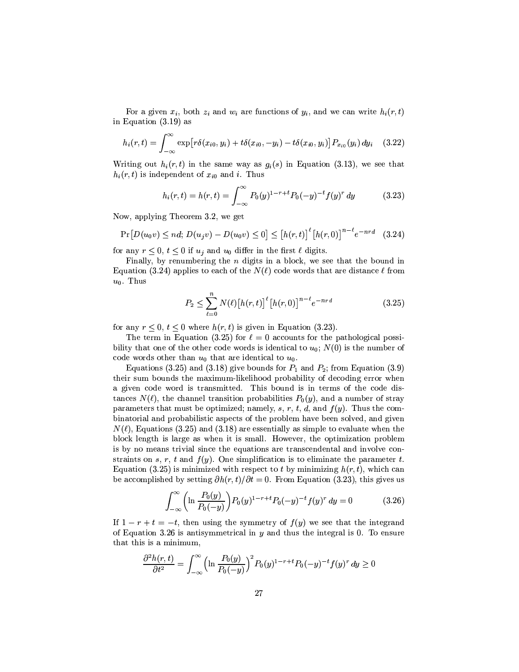For a given  $x_i$ , both  $z_i$  and  $w_i$  are functions of  $y_i$ , and we can write  $h_i(r, t)$ in Equation  $(3.19)$  as

$$
h_i(r,t) = \int_{-\infty}^{\infty} \exp\left[r\delta(x_{i0}, y_i) + t\delta(x_{i0}, -y_i) - t\delta(x_{i0}, y_i)\right] P_{x_{i0}}(y_i) \, dy_i \quad (3.22)
$$

Writing out  $h_i(r, t)$  in the same way as  $g_i(s)$  in Equation (3.13), we see that  $h_i(r, t)$  is independent of  $x_{i0}$  and i. Thus

$$
h_i(r,t) = h(r,t) = \int_{-\infty}^{\infty} P_0(y)^{1-r+t} P_0(-y)^{-t} f(y)^r dy \qquad (3.23)
$$

Now, applying Theorem 3.2, we get

$$
\Pr[D(u_0v) \le nd; D(u_jv) - D(u_0v) \le 0] \le [h(r,t)]^{\ell} [h(r,0)]^{n-\ell} e^{-n\tau d} \quad (3.24)
$$

for any  $r \leq 0$ ,  $t \leq 0$  if  $u_j$  and  $u_0$  differ in the first  $\ell$  digits.

Finally, by renumbering the  $n$  digits in a block, we see that the bound in Equation (3.24) applies to each of the  $N(\ell)$  code words that are distance  $\ell$  from  $u_0$ . Thus

$$
P_2 \le \sum_{\ell=0}^n N(\ell) \left[ h(r,t) \right]^{\ell} \left[ h(r,0) \right]^{n-\ell} e^{-nrd} \tag{3.25}
$$

for any  $r < 0$ ,  $t < 0$  where  $h(r, t)$  is given in Equation (3.23).

The term in Equation (3.25) for  $\ell = 0$  accounts for the pathological possibility that one of the other code words is identical to  $u_0$ ;  $N(0)$  is the number of code words other than  $u_0$  that are identical to  $u_0$ .

Equations (3.25) and (3.18) give bounds for  $P_1$  and  $P_2$ ; from Equation (3.9) their sum bounds the maximum-likelihood probability of decoding error when a given code word is transmitted. This bound is in terms of the code distances  $N(\ell)$ , the channel transition probabilities  $P_0(y)$ , and a number of stray parameters that must be optimized; namely, s, r, t, d, and  $f(y)$ . Thus the combinatorial and probabilistic aspects of the problem have been solved, and given  $N(\ell)$ , Equations (3.25) and (3.18) are essentially as simple to evaluate when the block length is large as when it is small. However, the optimization problem is by no means trivial since the equations are transcendental and involve constraints on s, r, t and  $f(y)$ . One simplification is to eliminate the parameter t. Equation (3.25) is minimized with respect to t by minimizing  $h(r, t)$ , which can be accomplished by setting  $\partial h(r,t)/\partial t = 0$ . From Equation (3.23), this gives us

$$
\int_{-\infty}^{\infty} \left( \ln \frac{P_0(y)}{P_0(-y)} \right) P_0(y)^{1-r+t} P_0(-y)^{-t} f(y)^r \, dy = 0 \tag{3.26}
$$

If  $1-r+t=-t$ , then using the symmetry of  $f(y)$  we see that the integrand of Equation 3.26 is antisymmetrical in  $y$  and thus the integral is 0. To ensure that this is a minimum,

$$
\frac{\partial^2 h(r,t)}{\partial t^2} = \int_{-\infty}^{\infty} \left( \ln \frac{P_0(y)}{P_0(-y)} \right)^2 P_0(y)^{1-r+t} P_0(-y)^{-t} f(y)^r dy \ge 0
$$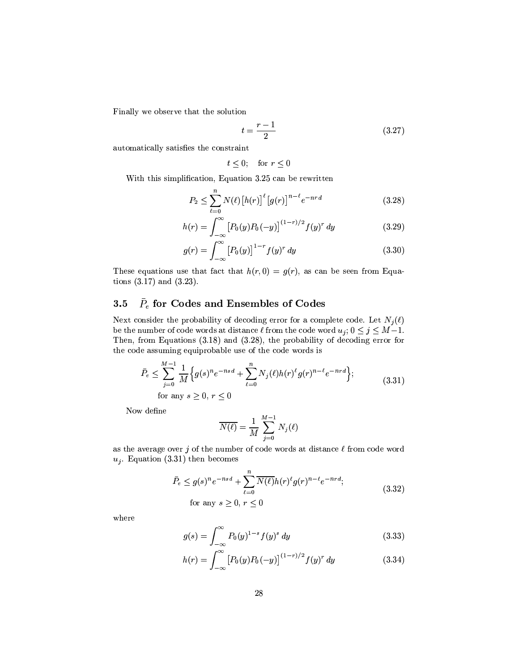Finally we observe that the solution

$$
t = \frac{r-1}{2} \tag{3.27}
$$

automatically satisfies the constraint

$$
t \le 0; \quad \text{for } r \le 0
$$

With this simplification, Equation 3.25 can be rewritten

$$
P_2 \leq \sum_{\ell=0}^n N(\ell) \left[ h(r) \right]^{\ell} \left[ g(r) \right]^{n-\ell} e^{-nrd} \tag{3.28}
$$

$$
h(r) = \int_{-\infty}^{\infty} \left[ P_0(y) P_0(-y) \right]^{(1-r)/2} f(y)^r \, dy \tag{3.29}
$$

$$
g(r) = \int_{-\infty}^{\infty} \left[ P_0(y) \right]^{1-r} f(y)^r \, dy \tag{3.30}
$$

These equations use that fact that  $h(r, 0) = g(r)$ , as can be seen from Equations  $(3.17)$  and  $(3.23)$ .

# $\bar{P}_e$  for Codes and Ensembles of Codes 3.5

Next consider the probability of decoding error for a complete code. Let  $N_j(\ell)$ be the number of code words at distance  $\ell$  from the code word  $u_j$ ;  $0 \le j \le M-1$ . Then, from Equations  $(3.18)$  and  $(3.28)$ , the probability of decoding error for the code assuming equiprobable use of the code words is

$$
\bar{P}_e \le \sum_{j=0}^{M-1} \frac{1}{M} \Big\{ g(s)^n e^{-nsd} + \sum_{\ell=0}^n N_j(\ell) h(r)^\ell g(r)^{n-\ell} e^{-nrd} \Big\};
$$
\nfor any  $s \ge 0, r \le 0$ 

\n(3.31)

Now define

$$
\overline{N(\ell)} = \frac{1}{M} \sum_{j=0}^{M-1} N_j(\ell)
$$

as the average over j of the number of code words at distance  $\ell$  from code word  $u_j$ . Equation (3.31) then becomes

$$
\bar{P}_e \le g(s)^n e^{-nsd} + \sum_{\ell=0}^n \overline{N(\ell)} h(r)^\ell g(r)^{n-\ell} e^{-nrd};
$$
\nfor any  $s > 0, r < 0$ 

\n(3.32)

where

$$
g(s) = \int_{-\infty}^{\infty} P_0(y)^{1-s} f(y)^s \, dy \tag{3.33}
$$

$$
h(r) = \int_{-\infty}^{\infty} \left[ P_0(y) P_0(-y) \right]^{(1-r)/2} f(y)^r \, dy \tag{3.34}
$$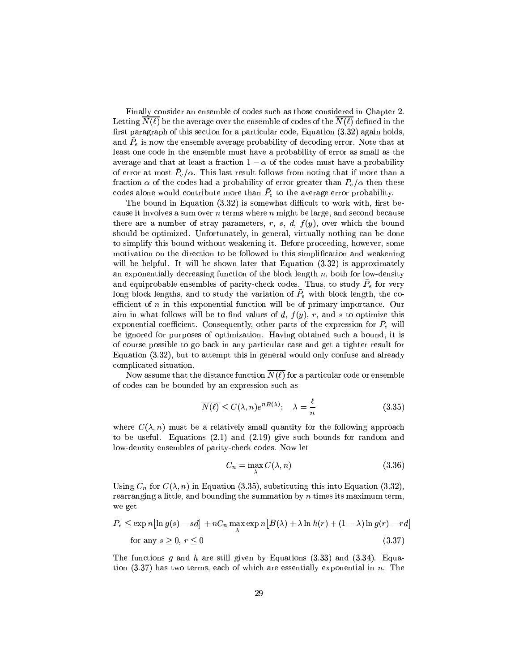Finally consider an ensemble of codes such as those considered in Chapter 2. Letting  $\overline{N(\ell)}$  be the average over the ensemble of codes of the  $\overline{N(\ell)}$  defined in the first paragraph of this section for a particular code, Equation (3.32) again holds, and  $\bar{P}_e$  is now the ensemble average probability of decoding error. Note that at least one code in the ensemble must have a probability of error as small as the average and that at least a fraction  $1 - \alpha$  of the codes must have a probability of error at most  $\bar{P}_e/\alpha$ . This last result follows from noting that if more than a fraction  $\alpha$  of the codes had a probability of error greater than  $\bar{P}_e/\alpha$  then these codes alone would contribute more than  $\bar{P}_e$  to the average error probability.

The bound in Equation (3.32) is somewhat difficult to work with, first because it involves a sum over  $n$  terms where  $n$  might be large, and second because there are a number of stray parameters, r, s, d,  $f(y)$ , over which the bound should be optimized. Unfortunately, in general, virtually nothing can be done to simplify this bound without weakening it. Before proceeding, however, some motivation on the direction to be followed in this simplification and weakening will be helpful. It will be shown later that Equation (3.32) is approximately an exponentially decreasing function of the block length  $n$ , both for low-density and equiprobable ensembles of parity-check codes. Thus, to study  $\bar{P}_e$  for very long block lengths, and to study the variation of  $\bar{P}_e$  with block length, the coefficient of  $n$  in this exponential function will be of primary importance. Our aim in what follows will be to find values of d,  $f(y)$ , r, and s to optimize this exponential coefficient. Consequently, other parts of the expression for  $P_e$  will be ignored for purposes of optimization. Having obtained such a bound, it is of course possible to go back in any particular case and get a tighter result for Equation (3.32), but to attempt this in general would only confuse and already complicated situation.

Now assume that the distance function  $\overline{N(\ell)}$  for a particular code or ensemble of codes can be bounded by an expression such as

$$
\overline{N(\ell)} \le C(\lambda, n)e^{n(\lambda)}; \quad \lambda = \frac{\ell}{n}
$$
\n(3.35)

where  $C(\lambda, n)$  must be a relatively small quantity for the following approach to be useful. Equations  $(2.1)$  and  $(2.19)$  give such bounds for random and low-density ensembles of parity-check codes. Now let

$$
C_n = \max_{\lambda} C(\lambda, n) \tag{3.36}
$$

Using  $C_n$  for  $C(\lambda, n)$  in Equation (3.35), substituting this into Equation (3.32), rearranging a little, and bounding the summation by  $n$  times its maximum term, we get

$$
\bar{P}_e \le \exp n \left[ \ln g(s) - sd \right] + nC_n \max_{\lambda} \exp n \left[ B(\lambda) + \lambda \ln h(r) + (1 - \lambda) \ln g(r) - rd \right]
$$
\n
$$
\text{for any } s > 0, r < 0 \tag{3.37}
$$

The functions g and h are still given by Equations  $(3.33)$  and  $(3.34)$ . Equation  $(3.37)$  has two terms, each of which are essentially exponential in n. The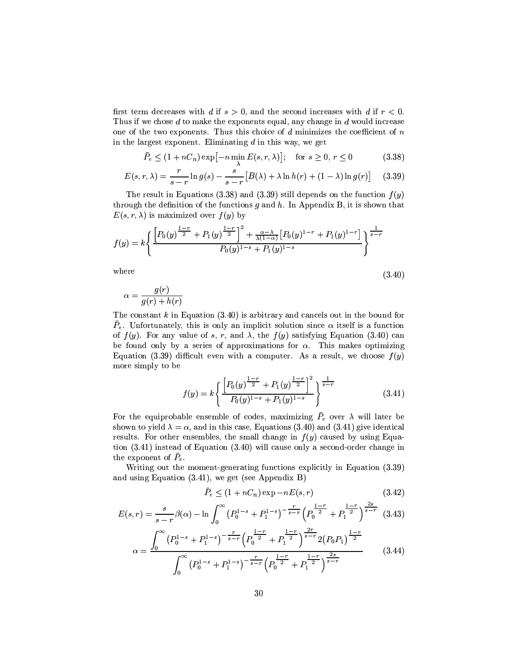first term decreases with d if  $s > 0$ , and the second increases with d if  $r < 0$ . Thus if we chose  $d$  to make the exponents equal, any change in  $d$  would increase one of the two exponents. Thus this choice of d minimizes the coefficient of n in the largest exponent. Eliminating  $d$  in this way, we get

$$
\bar{P}_e \le (1 + nC_n) \exp\left[-n \min_{\lambda} E(s, r, \lambda)\right]; \quad \text{for } s \ge 0, r \le 0 \tag{3.38}
$$

$$
E(s,r,\lambda) = \frac{r}{s-r} \ln g(s) - \frac{s}{s-r} \left[ B(\lambda) + \lambda \ln h(r) + (1-\lambda) \ln g(r) \right] \tag{3.39}
$$

The result in Equations (3.38) and (3.39) still depends on the function  $f(y)$ through the definition of the functions  $g$  and  $h$ . In Appendix B, it is shown that  $E(s, r, \lambda)$  is maximized over  $f(y)$  by

$$
f(y) = k \left\{ \frac{\left[ P_0(y)^{\frac{1-r}{2}} + P_1(y)^{\frac{1-r}{2}} \right]^2 + \frac{\alpha - \lambda}{\lambda(1-\alpha)} \left[ P_0(y)^{1-r} + P_1(y)^{1-r} \right]}{P_0(y)^{1-s} + P_1(y)^{1-s}} \right\}^{\frac{1}{s-r}}
$$

where

$$
\alpha = \frac{g(r)}{g(r) + h(r)}
$$

The constant  $k$  in Equation (3.40) is arbitrary and cancels out in the bound for  $P_e$ . Unfortunately, this is only an implicit solution since  $\alpha$  itself is a function of  $f(y)$ . For any value of s, r, and  $\lambda$ , the  $f(y)$  satisfying Equation (3.40) can be found only by a series of approximations for  $\alpha$ . This makes optimizing Equation (3.39) difficult even with a computer. As a result, we choose  $f(y)$ more simply to be

$$
f(y) = k \left\{ \frac{\left[ P_0(y)^{\frac{1-r}{2}} + P_1(y)^{\frac{1-r}{2}} \right]^2}{P_0(y)^{1-s} + P_1(y)^{1-s}} \right\}^{\frac{1}{s-r}} \tag{3.41}
$$

 $(3.40)$ 

For the equiprobable ensemble of codes, maximizing  $\bar{P}_e$  over  $\lambda$  will later be shown to yield  $\lambda = \alpha$ , and in this case, Equations (3.40) and (3.41) give identical results. For other ensembles, the small change in  $f(y)$  caused by using Equation  $(3.41)$  instead of Equation  $(3.40)$  will cause only a second-order change in the exponent of  $\bar{P}_e$ .

Writing out the moment-generating functions explicitly in Equation (3.39) and using Equation  $(3.41)$ , we get (see Appendix B)

$$
\bar{P}_e \le (1 + nC_n) \exp -nE(s, r) \tag{3.42}
$$

$$
E(s,r) = \frac{s}{s-r}\beta(\alpha) - \ln\int_0^\infty \left(P_0^{1-s} + P_1^{1-s}\right)^{-\frac{r}{s-r}} \left(P_0^{\frac{1-r}{2}} + P_1^{\frac{1-r}{2}}\right)^{\frac{2s}{s-r}} \tag{3.43}
$$

$$
\alpha = \frac{\int_0^\infty (P_0^{1-s} + P_1^{1-s})^{-\frac{r}{s-r}} \left( P_0^{\frac{1-r}{2}} + P_1^{\frac{1-r}{2}} \right)^{\frac{2r}{s-r}} 2 (P_0 P_1)^{\frac{1-r}{2}}}{\int_0^\infty (P_0^{1-s} + P_1^{1-s})^{-\frac{r}{s-r}} \left( P_0^{\frac{1-r}{2}} + P_1^{\frac{1-r}{2}} \right)^{\frac{2s}{s-r}}} \tag{3.44}
$$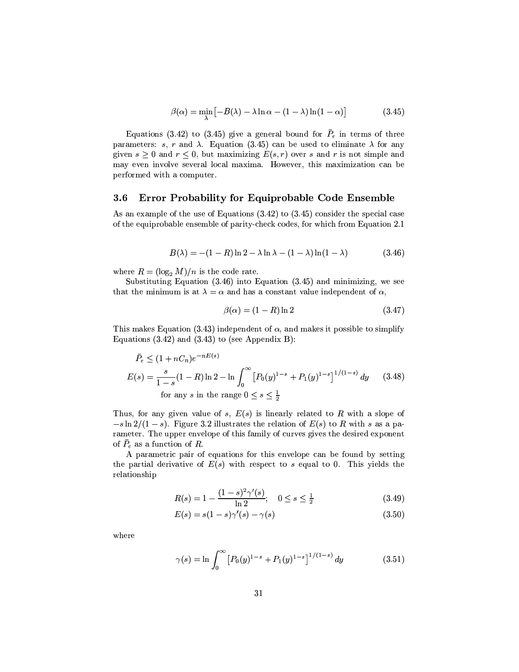$$
\beta(\alpha) = \min_{\lambda} \left[ -B(\lambda) - \lambda \ln \alpha - (1 - \lambda) \ln(1 - \alpha) \right] \tag{3.45}
$$

Equations (3.42) to (3.45) give a general bound for  $\overline{P}_e$  in terms of three parameters: s, r and  $\lambda$ . Equation (3.45) can be used to eliminate  $\lambda$  for any given  $s \geq 0$  and  $r \leq 0$ , but maximizing  $E(s,r)$  over s and r is not simple and may even involve several local maxima. However, this maximization can be performed with a computer.

#### Error Probability for Equiprobable Code Ensemble 3.6

As an example of the use of Equations  $(3.42)$  to  $(3.45)$  consider the special case of the equiprobable ensemble of parity-check codes, for which from Equation 2.1

$$
B(\lambda) = -(1 - R)\ln 2 - \lambda \ln \lambda - (1 - \lambda)\ln(1 - \lambda) \tag{3.46}
$$

where  $R = (\log_2 M)/n$  is the code rate.

Substituting Equation  $(3.46)$  into Equation  $(3.45)$  and minimizing, we see that the minimum is at  $\lambda = \alpha$  and has a constant value independent of  $\alpha$ ,

$$
\beta(\alpha) = (1 - R)\ln 2\tag{3.47}
$$

This makes Equation (3.43) independent of  $\alpha$ , and makes it possible to simplify Equations  $(3.42)$  and  $(3.43)$  to (see Appendix B):

$$
\bar{P}_e \le (1 + nC_n)e^{-nE(s)} \\
E(s) = \frac{s}{1-s}(1-R)\ln 2 - \ln \int_0^\infty \left[ P_0(y)^{1-s} + P_1(y)^{1-s} \right]^{1/(1-s)} dy \qquad (3.48)
$$
\nfor any  $s$  in the range  $0 \le s \le \frac{1}{2}$ 

Thus, for any given value of s,  $E(s)$  is linearly related to R with a slope of  $-s \ln 2/(1-s)$ . Figure 3.2 illustrates the relation of  $E(s)$  to R with s as a parameter. The upper envelope of this family of curves gives the desired exponent of  $\bar{P}_e$  as a function of R.

A parametric pair of equations for this envelope can be found by setting the partial derivative of  $E(s)$  with respect to s equal to 0. This yields the relationship

$$
R(s) = 1 - \frac{(1 - s)^2 \gamma'(s)}{\ln 2}; \quad 0 \le s \le \frac{1}{2}
$$
 (3.49)

$$
E(s) = s(1-s)\gamma'(s) - \gamma(s)
$$
\n(3.50)

where

$$
\gamma(s) = \ln \int_0^\infty \left[ P_0(y)^{1-s} + P_1(y)^{1-s} \right]^{1/(1-s)} dy \tag{3.51}
$$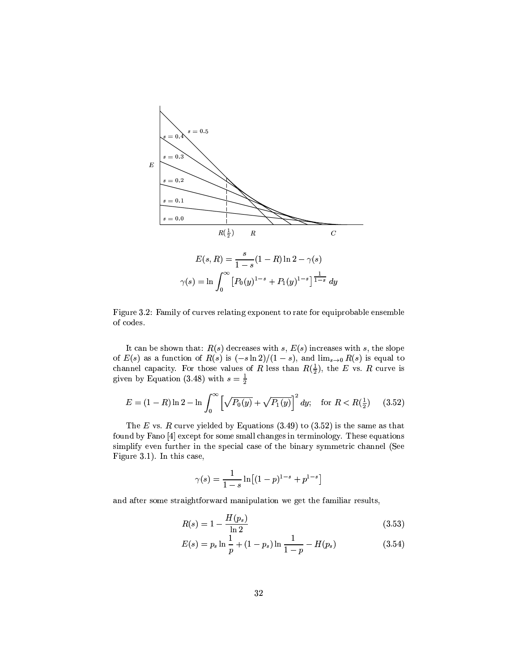

Figure 3.2: Family of curves relating exponent to rate for equiprobable ensemble of codes.

It can be shown that:  $R(s)$  decreases with s,  $E(s)$  increases with s, the slope of  $E(s)$  as a function of  $R(s)$  is  $(-s \ln 2)/(1-s)$ , and  $\lim_{s\to 0} R(s)$  is equal to channel capacity. For those values of  $R$  less than  $R(\frac{1}{2})$ , the  $E$  vs.  $R$  curve is given by Equation (3.48) with  $s = \frac{1}{2}$ 

$$
E = (1 - R)\ln 2 - \ln \int_0^\infty \left[ \sqrt{P_0(y)} + \sqrt{P_1(y)} \right]^2 dy; \quad \text{for } R < R\left(\frac{1}{2}\right) \tag{3.52}
$$

The E vs. R curve yielded by Equations (3.49) to (3.52) is the same as that found by Fano [4] except for some small changes in terminology. These equations simplify even further in the special case of the binary symmetric channel (See Figure 3.1). In this case,

$$
\gamma(s) = \frac{1}{1-s} \ln \left[ (1-p)^{1-s} + p^{1-s} \right]
$$

and after some straightforward manipulation we get the familiar results,

$$
R(s) = 1 - \frac{H(p_s)}{\ln 2} \tag{3.53}
$$

$$
E(s) = p_s \ln \frac{1}{p} + (1 - p_s) \ln \frac{1}{1 - p} - H(p_s)
$$
 (3.54)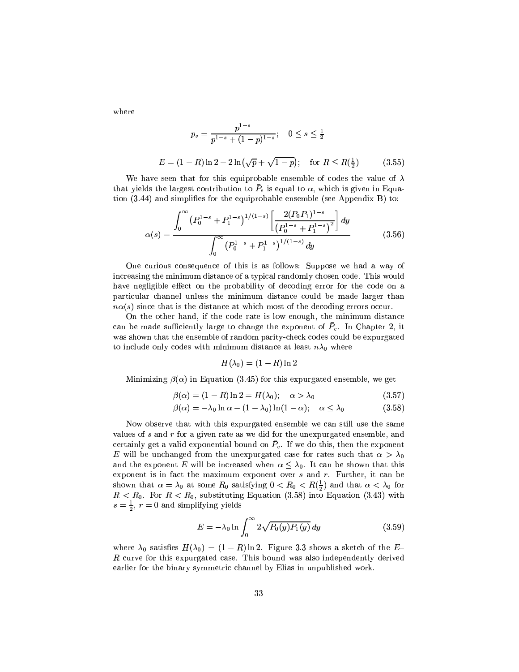where

$$
p_s = \frac{p^{1-s}}{p^{1-s} + (1-p)^{1-s}}; \quad 0 \le s \le \frac{1}{2}
$$
  

$$
E = (1 - R) \ln 2 - 2 \ln(\sqrt{p} + \sqrt{1-p}); \quad \text{for } R \le R(\frac{1}{2})
$$
(3.55)

We have seen that for this equiprobable ensemble of codes the value of  $\lambda$ that yields the largest contribution to  $\bar{P}_e$  is equal to  $\alpha$ , which is given in Equation  $(3.44)$  and simplifies for the equiprobable ensemble (see Appendix B) to:

$$
\alpha(s) = \frac{\int_0^\infty (P_0^{1-s} + P_1^{1-s})^{1/(1-s)} \left[ \frac{2(P_0 P_1)^{1-s}}{(P_0^{1-s} + P_1^{1-s})^2} \right] dy}{\int_0^\infty (P_0^{1-s} + P_1^{1-s})^{1/(1-s)} dy}
$$
(3.56)

One curious consequence of this is as follows: Suppose we had a way of increasing the minimum distance of a typical randomly chosen code. This would have negligible effect on the probability of decoding error for the code on a particular channel unless the minimum distance could be made larger than  $n\alpha(s)$  since that is the distance at which most of the decoding errors occur.

On the other hand, if the code rate is low enough, the minimum distance can be made sufficiently large to change the exponent of  $\bar{P}_e$ . In Chapter 2, it was shown that the ensemble of random parity-check codes could be expurgated to include only codes with minimum distance at least  $n\lambda_0$  where

$$
H(\lambda_0) = (1 - R) \ln 2
$$

Minimizing  $\beta(\alpha)$  in Equation (3.45) for this expurgated ensemble, we get

$$
\beta(\alpha) = (1 - R)\ln 2 = H(\lambda_0); \quad \alpha > \lambda_0 \tag{3.57}
$$

$$
\beta(\alpha) = -\lambda_0 \ln \alpha - (1 - \lambda_0) \ln(1 - \alpha); \quad \alpha \le \lambda_0 \tag{3.58}
$$

Now observe that with this expurgated ensemble we can still use the same values of  $s$  and  $r$  for a given rate as we did for the unexpurgated ensemble, and certainly get a valid exponential bound on  $\bar{P}_e$ . If we do this, then the exponent E will be unchanged from the unexpurgated case for rates such that  $\alpha > \lambda_0$ and the exponent E will be increased when  $\alpha \leq \lambda_0$ . It can be shown that this exponent is in fact the maximum exponent over  $s$  and  $r$ . Further, it can be shown that  $\alpha = \lambda_0$  at some  $R_0$  satisfying  $0 < R_0 < R(\frac{1}{2})$  and that  $\alpha < \lambda_0$  for  $R < R_0$ . For  $R < R_0$ , substituting Equation (3.58) into Equation (3.43) with  $s=\frac{1}{2}$ ,  $r=0$  and simplifying yields

$$
E = -\lambda_0 \ln \int_0^\infty 2\sqrt{P_0(y)P_1(y)}\,dy\tag{3.59}
$$

where  $\lambda_0$  satisfies  $H(\lambda_0) = (1 - R) \ln 2$ . Figure 3.3 shows a sketch of the E-R curve for this expurgated case. This bound was also independently derived earlier for the binary symmetric channel by Elias in unpublished work.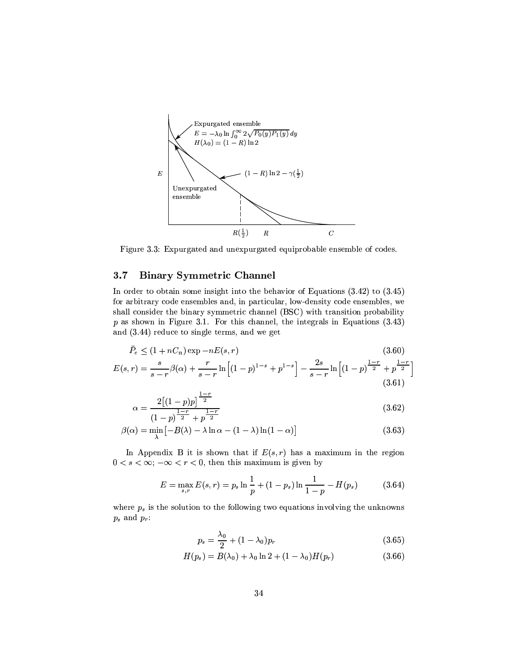

Figure 3.3: Expurgated and unexpurgated equiprobable ensemble of codes.

## **Binary Symmetric Channel**  $3.7$

In order to obtain some insight into the behavior of Equations  $(3.42)$  to  $(3.45)$ for arbitrary code ensembles and, in particular, low-density code ensembles, we shall consider the binary symmetric channel (BSC) with transition probability  $p$  as shown in Figure 3.1. For this channel, the integrals in Equations (3.43) and  $(3.44)$  reduce to single terms, and we get

$$
\bar{P}_e \le (1 + nC_n) \exp(-nE(s, r)) \tag{3.60}
$$

$$
E(s,r) = \frac{s}{s-r}\beta(\alpha) + \frac{r}{s-r}\ln\left[(1-p)^{1-s} + p^{1-s}\right] - \frac{2s}{s-r}\ln\left[(1-p)^{\frac{1-r}{2}} + p^{\frac{1-r}{2}}\right]
$$
\n(3.61)

$$
\alpha = \frac{2\left[(1-p)p\right]^{\frac{1-r}{2}}}{(1-p)^{\frac{1-r}{2}} + p^{\frac{1-r}{2}}} \tag{3.62}
$$

$$
\beta(\alpha) = \min_{\lambda} \left[ -B(\lambda) - \lambda \ln \alpha - (1 - \lambda) \ln(1 - \alpha) \right]
$$
\n(3.63)

In Appendix B it is shown that if  $E(s,r)$  has a maximum in the region  $0 < s < \infty$ ;  $-\infty < r < 0$ , then this maximum is given by

$$
E = \max_{s,r} E(s,r) = p_s \ln \frac{1}{p} + (1 - p_s) \ln \frac{1}{1 - p} - H(p_s)
$$
 (3.64)

where  $p_s$  is the solution to the following two equations involving the unknowns  $p_s$  and  $p_r$ :

$$
p_s = \frac{\lambda_0}{2} + (1 - \lambda_0)p_r \tag{3.65}
$$

$$
H(p_s) = B(\lambda_0) + \lambda_0 \ln 2 + (1 - \lambda_0) H(p_r)
$$
 (3.66)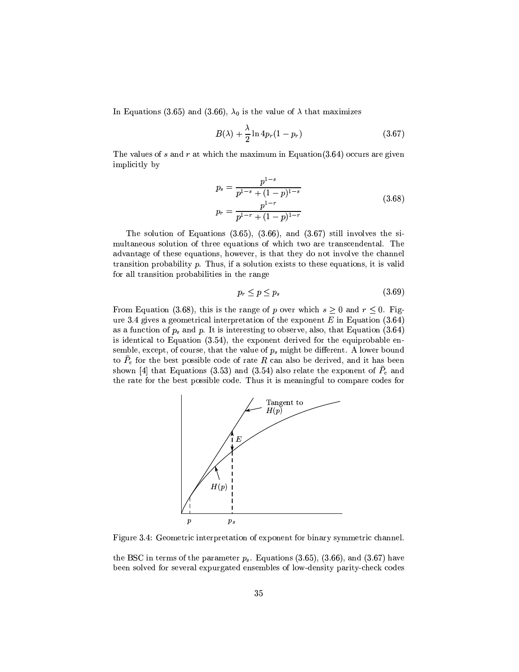In Equations (3.65) and (3.66),  $\lambda_0$  is the value of  $\lambda$  that maximizes

$$
B(\lambda) + \frac{\lambda}{2} \ln 4p_r (1 - p_r) \tag{3.67}
$$

The values of s and r at which the maximum in Equation  $(3.64)$  occurs are given implicitly by

$$
p_s = \frac{p^{1-s}}{p^{1-s} + (1-p)^{1-s}}
$$
  
\n
$$
p_r = \frac{p^{1-r}}{p^{1-r} + (1-p)^{1-r}}
$$
\n(3.68)

The solution of Equations  $(3.65)$ ,  $(3.66)$ , and  $(3.67)$  still involves the simultaneous solution of three equations of which two are transcendental. The advantage of these equations, however, is that they do not involve the channel transition probability p. Thus, if a solution exists to these equations, it is valid for all transition probabilities in the range

$$
p_r \le p \le p_s \tag{3.69}
$$

From Equation (3.68), this is the range of p over which  $s \geq 0$  and  $r \leq 0$ . Figure 3.4 gives a geometrical interpretation of the exponent  $E$  in Equation (3.64) as a function of  $p_s$  and p. It is interesting to observe, also, that Equation (3.64) is identical to Equation (3.54), the exponent derived for the equiprobable ensemble, except, of course, that the value of  $p_s$  might be different. A lower bound to  $\overline{P}_e$  for the best possible code of rate R can also be derived, and it has been shown [4] that Equations (3.53) and (3.54) also relate the exponent of  $\bar{P}_e$  and the rate for the best possible code. Thus it is meaningful to compare codes for



Figure 3.4: Geometric interpretation of exponent for binary symmetric channel.

the BSC in terms of the parameter  $p_s$ . Equations (3.65), (3.66), and (3.67) have been solved for several expurgated ensembles of low-density parity-check codes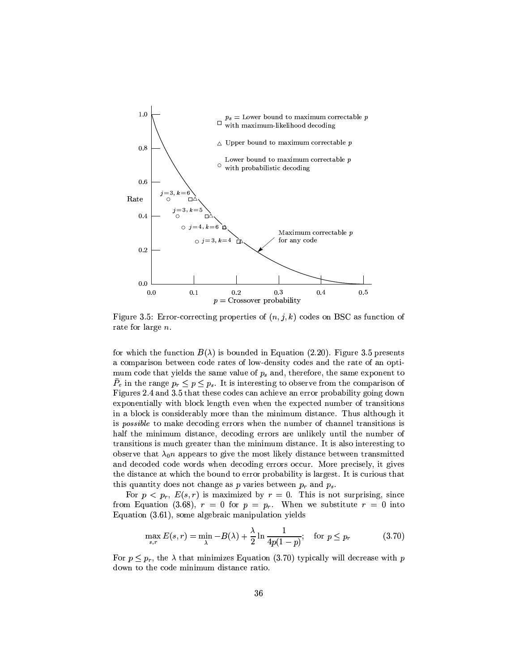

Figure 3.5: Error-correcting properties of  $(n, j, k)$  codes on BSC as function of rate for large  $n$ .

for which the function  $B(\lambda)$  is bounded in Equation (2.20). Figure 3.5 presents a comparison between code rates of low-density codes and the rate of an optimum code that yields the same value of  $p_s$  and, therefore, the same exponent to  $\bar{P}_e$  in the range  $p_r < p \leq p_s$ . It is interesting to observe from the comparison of Figures 2.4 and 3.5 that these codes can achieve an error probability going down exponentially with block length even when the expected number of transitions in a block is considerably more than the minimum distance. Thus although it is *possible* to make decoding errors when the number of channel transitions is half the minimum distance, decoding errors are unlikely until the number of transitions is much greater than the minimum distance. It is also interesting to observe that  $\lambda_0 n$  appears to give the most likely distance between transmitted and decoded code words when decoding errors occur. More precisely, it gives the distance at which the bound to error probability is largest. It is curious that this quantity does not change as p varies between  $p_r$  and  $p_s$ .

For  $p < p_r$ ,  $E(s,r)$  is maximized by  $r = 0$ . This is not surprising, since from Equation (3.68),  $r = 0$  for  $p = p_r$ . When we substitute  $r = 0$  into Equation (3.61), some algebraic manipulation vields

$$
\max_{s,r} E(s,r) = \min_{\lambda} -B(\lambda) + \frac{\lambda}{2} \ln \frac{1}{4p(1-p)}; \quad \text{for } p \le p_r \tag{3.70}
$$

For  $p \leq p_r$ , the  $\lambda$  that minimizes Equation (3.70) typically will decrease with p down to the code minimum distance ratio.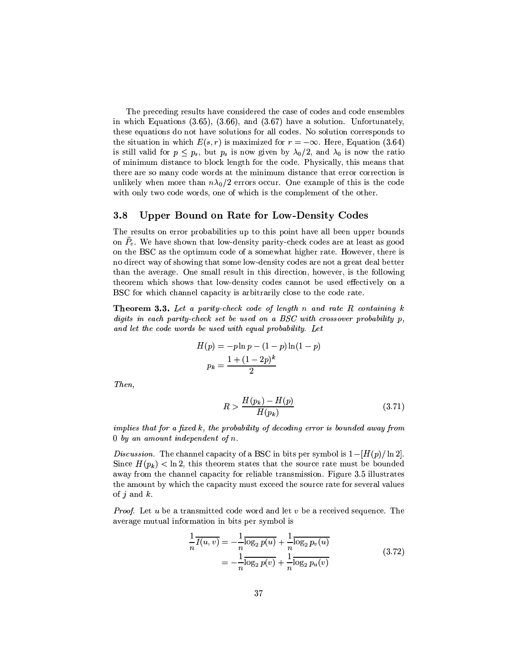The preceding results have considered the case of codes and code ensembles in which Equations  $(3.65)$ ,  $(3.66)$ , and  $(3.67)$  have a solution. Unfortunately, these equations do not have solutions for all codes. No solution corresponds to the situation in which  $E(s,r)$  is maximized for  $r = -\infty$ . Here, Equation (3.64) is still valid for  $p \leq p_s$ , but  $p_s$  is now given by  $\lambda_0/2$ , and  $\lambda_0$  is now the ratio of minimum distance to block length for the code. Physically, this means that there are so many code words at the minimum distance that error correction is unlikely when more than  $n\lambda_0/2$  errors occur. One example of this is the code with only two code words, one of which is the complement of the other.

#### $3.8$ **Upper Bound on Rate for Low-Density Codes**

The results on error probabilities up to this point have all been upper bounds on  $\overline{P}_e$ . We have shown that low-density parity-check codes are at least as good on the BSC as the optimum code of a somewhat higher rate. However, there is no direct way of showing that some low-density codes are not a great deal better than the average. One small result in this direction, however, is the following theorem which shows that low-density codes cannot be used effectively on a BSC for which channel capacity is arbitrarily close to the code rate.

**Theorem 3.3.** Let a parity-check code of length n and rate  $R$  containing  $k$ digits in each parity-check set be used on a BSC with crossover probability  $p$ , and let the code words be used with equal probability. Let

$$
H(p) = -p \ln p - (1 - p) \ln(1 - p)
$$

$$
p_k = \frac{1 + (1 - 2p)^k}{2}
$$

Then,

$$
R > \frac{H(p_k) - H(p)}{H(p_k)}
$$
\n(3.71)

implies that for a fixed k, the probability of decoding error is bounded away from 0 by an amount independent of  $n$ .

*Discussion.* The channel capacity of a BSC in bits per symbol is  $1-[H(p)/\ln 2]$ . Since  $H(p_k)$  < ln 2, this theorem states that the source rate must be bounded away from the channel capacity for reliable transmission. Figure 3.5 illustrates the amount by which the capacity must exceed the source rate for several values of  $j$  and  $k$ .

*Proof.* Let u be a transmitted code word and let v be a received sequence. The average mutual information in bits per symbol is

$$
\frac{1}{n}\overline{I(u,v)} = -\frac{1}{n}\overline{\log_2 p(u)} + \frac{1}{n}\overline{\log_2 p_v(u)}
$$
\n
$$
= -\frac{1}{n}\overline{\log_2 p(v)} + \frac{1}{n}\overline{\log_2 p_u(v)}
$$
\n(3.72)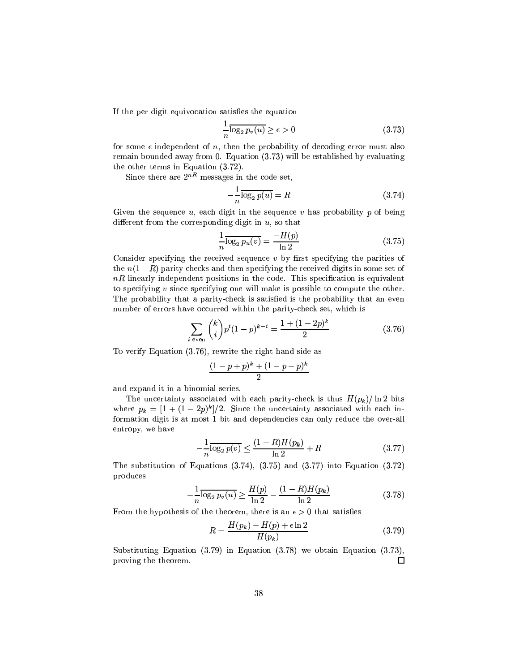If the per digit equivocation satisfies the equation

$$
\frac{1}{n}\overline{\log_2 p_v(u)} \ge \epsilon > 0\tag{3.73}
$$

for some  $\epsilon$  independent of n, then the probability of decoding error must also remain bounded away from 0. Equation  $(3.73)$  will be established by evaluating the other terms in Equation (3.72).

Since there are  $2^{nR}$  messages in the code set,

$$
-\frac{1}{n}\overline{\log_2 p(u)} = R\tag{3.74}
$$

Given the sequence u, each digit in the sequence v has probability p of being different from the corresponding digit in  $u$ , so that

$$
\frac{1}{n}\overline{\log_2 p_u(v)} = \frac{-H(p)}{\ln 2} \tag{3.75}
$$

Consider specifying the received sequence  $v$  by first specifying the parities of the  $n(1-R)$  parity checks and then specifying the received digits in some set of  $nR$  linearly independent positions in the code. This specification is equivalent to specifying  $v$  since specifying one will make is possible to compute the other. The probability that a parity-check is satisfied is the probability that an even number of errors have occurred within the parity-check set, which is

$$
\sum_{i \text{ even}} \binom{k}{i} p^i (1-p)^{k-i} = \frac{1 + (1-2p)^k}{2} \tag{3.76}
$$

To verify Equation (3.76), rewrite the right hand side as

$$
\frac{(1-p+p)^k + (1-p-p)^k}{2}
$$

and expand it in a binomial series.

The uncertainty associated with each parity-check is thus  $H(p_k)/\ln 2$  bits where  $p_k = [1 + (1 - 2p)^k]/2$ . Since the uncertainty associated with each information digit is at most 1 bit and dependencies can only reduce the over-all entropy, we have

$$
-\frac{1}{n}\overline{\log_2 p(v)} \le \frac{(1-R)H(p_k)}{\ln 2} + R \tag{3.77}
$$

The substitution of Equations  $(3.74)$ ,  $(3.75)$  and  $(3.77)$  into Equation  $(3.72)$ produces

$$
-\frac{1}{n}\overline{\log_2 p_v(u)} \ge \frac{H(p)}{\ln 2} - \frac{(1-R)H(p_k)}{\ln 2} \tag{3.78}
$$

From the hypothesis of the theorem, there is an  $\epsilon > 0$  that satisfies

$$
R = \frac{H(p_k) - H(p) + \epsilon \ln 2}{H(p_k)}\tag{3.79}
$$

Substituting Equation  $(3.79)$  in Equation  $(3.78)$  we obtain Equation  $(3.73)$ , proving the theorem.  $\Box$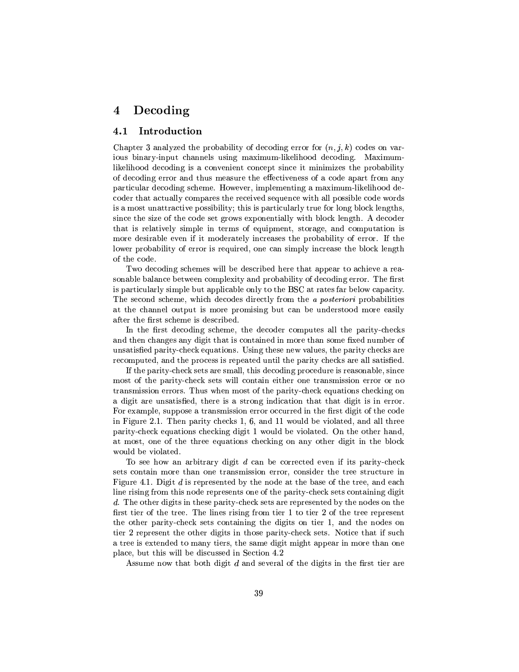## Decoding 4

#### Introduction 4.1

Chapter 3 analyzed the probability of decoding error for  $(n, j, k)$  codes on various binary-input channels using maximum-likelihood decoding. Maximumlikelihood decoding is a convenient concept since it minimizes the probability of decoding error and thus measure the effectiveness of a code apart from any particular decoding scheme. However, implementing a maximum-likelihood decoder that actually compares the received sequence with all possible code words is a most unattractive possibility; this is particularly true for long block lengths, since the size of the code set grows exponentially with block length. A decoder that is relatively simple in terms of equipment, storage, and computation is more desirable even if it moderately increases the probability of error. If the lower probability of error is required, one can simply increase the block length of the code.

Two decoding schemes will be described here that appear to achieve a reasonable balance between complexity and probability of decoding error. The first is particularly simple but applicable only to the BSC at rates far below capacity. The second scheme, which decodes directly from the a posteriori probabilities at the channel output is more promising but can be understood more easily after the first scheme is described.

In the first decoding scheme, the decoder computes all the parity-checks and then changes any digit that is contained in more than some fixed number of unsatisfied parity-check equations. Using these new values, the parity checks are recomputed, and the process is repeated until the parity checks are all satisfied.

If the parity-check sets are small, this decoding procedure is reasonable, since most of the parity-check sets will contain either one transmission error or no transmission errors. Thus when most of the parity-check equations checking on a digit are unsatisfied, there is a strong indication that that digit is in error. For example, suppose a transmission error occurred in the first digit of the code in Figure 2.1. Then parity checks 1, 6, and 11 would be violated, and all three parity-check equations checking digit 1 would be violated. On the other hand, at most, one of the three equations checking on any other digit in the block would be violated.

To see how an arbitrary digit  $d$  can be corrected even if its parity-check sets contain more than one transmission error, consider the tree structure in Figure 4.1. Digit  $d$  is represented by the node at the base of the tree, and each line rising from this node represents one of the parity-check sets containing digit d. The other digits in these parity-check sets are represented by the nodes on the first tier of the tree. The lines rising from tier 1 to tier 2 of the tree represent the other parity-check sets containing the digits on tier 1, and the nodes on tier 2 represent the other digits in those parity-check sets. Notice that if such a tree is extended to many tiers, the same digit might appear in more than one place, but this will be discussed in Section 4.2

Assume now that both digit d and several of the digits in the first tier are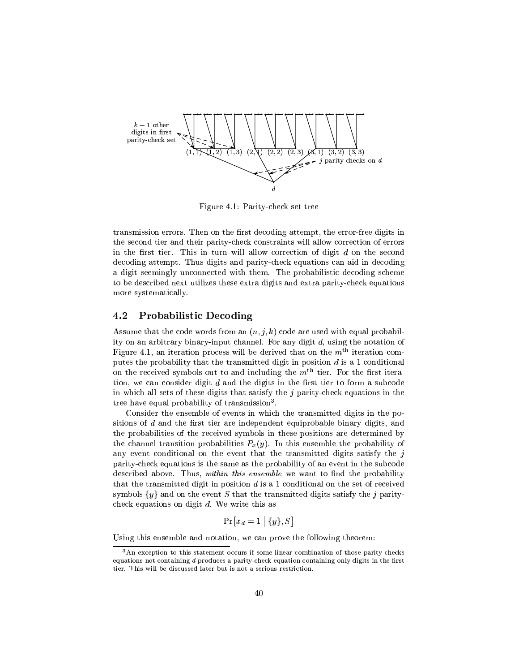

Figure 4.1: Parity-check set tree

transmission errors. Then on the first decoding attempt, the error-free digits in the second tier and their parity-check constraints will allow correction of errors in the first tier. This in turn will allow correction of digit  $d$  on the second decoding attempt. Thus digits and parity-check equations can aid in decoding a digit seemingly unconnected with them. The probabilistic decoding scheme to be described next utilizes these extra digits and extra parity-check equations more systematically.

#### **Probabilistic Decoding**  $\bf 4.2$

Assume that the code words from an  $(n, j, k)$  code are used with equal probability on an arbitrary binary-input channel. For any digit  $d$ , using the notation of Figure 4.1, an iteration process will be derived that on the  $m<sup>th</sup>$  iteration computes the probability that the transmitted digit in position  $d$  is a 1 conditional on the received symbols out to and including the  $m<sup>th</sup>$  tier. For the first iteration, we can consider digit  $d$  and the digits in the first tier to form a subcode in which all sets of these digits that satisfy the  $j$  parity-check equations in the tree have equal probability of transmission<sup>3</sup>.

Consider the ensemble of events in which the transmitted digits in the positions of d and the first tier are independent equiprobable binary digits, and the probabilities of the received symbols in these positions are determined by the channel transition probabilities  $P_x(y)$ . In this ensemble the probability of any event conditional on the event that the transmitted digits satisfy the  $i$ parity-check equations is the same as the probability of an event in the subcode described above. Thus, *within this ensemble* we want to find the probability that the transmitted digit in position  $d$  is a 1 conditional on the set of received symbols  $\{y\}$  and on the event S that the transmitted digits satisfy the j paritycheck equations on digit  $d$ . We write this as

$$
\Pr[x_d = 1 \bigm| \{y\}, S]
$$

Using this ensemble and notation, we can prove the following theorem:

<sup>&</sup>lt;sup>3</sup>An exception to this statement occurs if some linear combination of those parity-checks equations not containing d produces a parity-check equation containing only digits in the first tier. This will be discussed later but is not a serious restriction.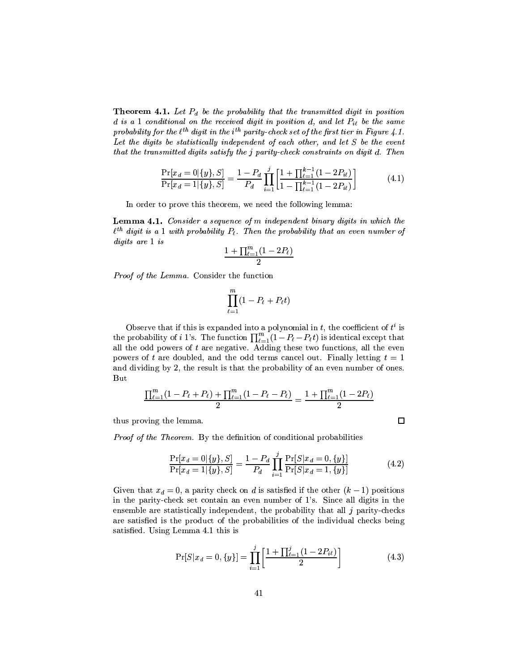**Theorem 4.1.** Let  $P_d$  be the probability that the transmitted digit in position d is a 1 conditional on the received digit in position d, and let  $P_{i\ell}$  be the same probability for the  $\ell^{th}$  digit in the  $i^{th}$  parity-check set of the first tier in Figure 4.1. Let the digits be statistically independent of each other, and let  $S$  be the event that the transmitted digits satisfy the j parity-check constraints on digit d. Then

$$
\frac{\Pr[x_d = 0 | \{y\}, S]}{\Pr[x_d = 1 | \{y\}, S]} = \frac{1 - P_d}{P_d} \prod_{i=1}^j \left[ \frac{1 + \prod_{\ell=1}^{k-1} (1 - 2P_{i\ell})}{1 - \prod_{\ell=1}^{k-1} (1 - 2P_{i\ell})} \right]
$$
(4.1)

In order to prove this theorem, we need the following lemma:

**Lemma 4.1.** Consider a sequence of m independent binary digits in which the  $\ell^{th}$  digit is a 1 with probability  $P_{\ell}$ . Then the probability that an even number of  $digits are 1 is$ 

$$
\frac{1+\prod_{\ell=1}^m(1-2P_\ell)}{2}
$$

Proof of the Lemma. Consider the function

$$
\prod_{\ell=1}^m (1 - P_\ell + P_\ell t)
$$

Observe that if this is expanded into a polynomial in  $t$ , the coefficient of  $t^i$  is the probability of i 1's. The function  $\prod_{\ell=1}^m (1 - P_\ell - P_\ell t)$  is identical except that all the odd powers of  $t$  are negative. Adding these two functions, all the even powers of t are doubled, and the odd terms cancel out. Finally letting  $t = 1$ and dividing by 2, the result is that the probability of an even number of ones. But

$$
\frac{\prod_{\ell=1}^{m} (1 - P_{\ell} + P_{\ell}) + \prod_{\ell=1}^{m} (1 - P_{\ell} - P_{\ell})}{2} = \frac{1 + \prod_{\ell=1}^{m} (1 - 2P_{\ell})}{2}
$$

thus proving the lemma.

*Proof of the Theorem.* By the definition of conditional probabilities

$$
\frac{\Pr[x_d = 0 | \{y\}, S]}{\Pr[x_d = 1 | \{y\}, S]} = \frac{1 - P_d}{P_d} \prod_{i=1}^{J} \frac{\Pr[S | x_d = 0, \{y\}]}{\Pr[S | x_d = 1, \{y\}]}
$$
\n(4.2)

 $\Box$ 

Given that  $x_d = 0$ , a parity check on d is satisfied if the other  $(k-1)$  positions in the parity-check set contain an even number of 1's. Since all digits in the ensemble are statistically independent, the probability that all *i* parity-checks are satisfied is the product of the probabilities of the individual checks being satisfied. Using Lemma 4.1 this is

$$
\Pr[S|x_d = 0, \{y\}] = \prod_{i=1}^{j} \left[ \frac{1 + \prod_{\ell=1}^{j} (1 - 2P_{i\ell})}{2} \right]
$$
(4.3)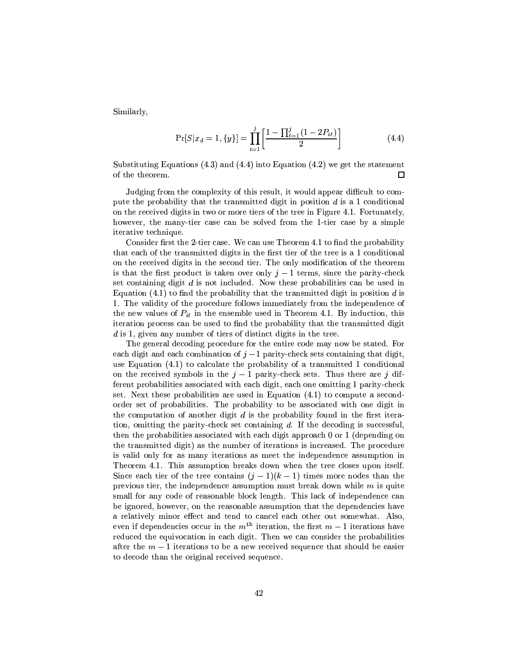Similarly,

$$
\Pr[S|x_d=1, \{y\}] = \prod_{i=1}^j \left[ \frac{1 - \prod_{\ell=1}^j (1 - 2P_{i\ell})}{2} \right] \tag{4.4}
$$

Substituting Equations  $(4.3)$  and  $(4.4)$  into Equation  $(4.2)$  we get the statement of the theorem. П

Judging from the complexity of this result, it would appear difficult to compute the probability that the transmitted digit in position  $d$  is a 1 conditional on the received digits in two or more tiers of the tree in Figure 4.1. Fortunately. however, the many-tier case can be solved from the 1-tier case by a simple iterative technique.

Consider first the 2-tier case. We can use Theorem 4.1 to find the probability that each of the transmitted digits in the first tier of the tree is a 1 conditional on the received digits in the second tier. The only modification of the theorem is that the first product is taken over only  $j-1$  terms, since the parity-check set containing digit  $d$  is not included. Now these probabilities can be used in Equation  $(4.1)$  to find the probability that the transmitted digit in position d is 1. The validity of the procedure follows immediately from the independence of the new values of  $P_{i\ell}$  in the ensemble used in Theorem 4.1. By induction, this iteration process can be used to find the probability that the transmitted digit  $d$  is 1, given any number of tiers of distinct digits in the tree.

The general decoding procedure for the entire code may now be stated. For each digit and each combination of  $j-1$  parity-check sets containing that digit, use Equation (4.1) to calculate the probability of a transmitted 1 conditional on the received symbols in the  $j-1$  parity-check sets. Thus there are j different probabilities associated with each digit, each one omitting 1 parity-check set. Next these probabilities are used in Equation  $(4.1)$  to compute a secondorder set of probabilities. The probability to be associated with one digit in the computation of another digit  $d$  is the probability found in the first iteration, omitting the parity-check set containing d. If the decoding is successful, then the probabilities associated with each digit approach 0 or 1 (depending on the transmitted digit) as the number of iterations is increased. The procedure is valid only for as many iterations as meet the independence assumption in Theorem 4.1. This assumption breaks down when the tree closes upon itself. Since each tier of the tree contains  $(j-1)(k-1)$  times more nodes than the previous tier, the independence assumption must break down while  $m$  is quite small for any code of reasonable block length. This lack of independence can be ignored, however, on the reasonable assumption that the dependencies have a relatively minor effect and tend to cancel each other out somewhat. Also, even if dependencies occur in the  $m<sup>th</sup>$  iteration, the first  $m-1$  iterations have reduced the equivocation in each digit. Then we can consider the probabilities after the  $m-1$  iterations to be a new received sequence that should be easier to decode than the original received sequence.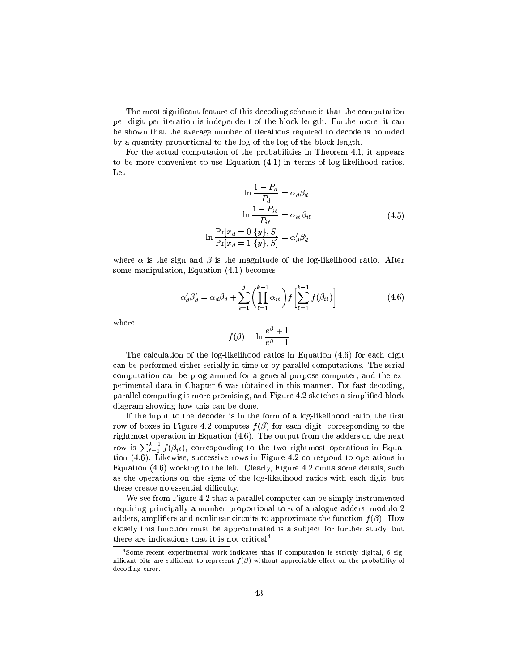The most significant feature of this decoding scheme is that the computation per digit per iteration is independent of the block length. Furthermore, it can be shown that the average number of iterations required to decode is bounded by a quantity proportional to the log of the log of the block length.

For the actual computation of the probabilities in Theorem 4.1, it appears to be more convenient to use Equation  $(4.1)$  in terms of log-likelihood ratios. Let

$$
\ln \frac{1 - P_d}{P_d} = \alpha_d \beta_d
$$
  

$$
\ln \frac{1 - P_{i\ell}}{P_{i\ell}} = \alpha_{i\ell} \beta_{i\ell}
$$
  

$$
\frac{\Pr[x_d = 0 | \{y\}, S]}{\Pr[x_d = 1 | \{y\}, S]} = \alpha'_d \beta'_d
$$
 (4.5)

where  $\alpha$  is the sign and  $\beta$  is the magnitude of the log-likelihood ratio. After some manipulation, Equation  $(4.1)$  becomes

 $\ln$ 

$$
\alpha'_d \beta'_d = \alpha_d \beta_d + \sum_{i=1}^j \left( \prod_{\ell=1}^{k-1} \alpha_{i\ell} \right) f \left[ \sum_{\ell=1}^{k-1} f(\beta_{i\ell}) \right] \tag{4.6}
$$

where

$$
f(\beta) = \ln \frac{e^{\beta} + 1}{e^{\beta} - 1}
$$

The calculation of the log-likelihood ratios in Equation (4.6) for each digit can be performed either serially in time or by parallel computations. The serial computation can be programmed for a general-purpose computer, and the experimental data in Chapter 6 was obtained in this manner. For fast decoding, parallel computing is more promising, and Figure 4.2 sketches a simplified block diagram showing how this can be done.

If the input to the decoder is in the form of a log-likelihood ratio, the first row of boxes in Figure 4.2 computes  $f(\beta)$  for each digit, corresponding to the rightmost operation in Equation  $(4.6)$ . The output from the adders on the next row is  $\sum_{\ell=1}^{k-1} f(\beta_{i\ell})$ , corresponding to the two rightmost operations in Equation  $(4.6)$ . Likewise, successive rows in Figure 4.2 correspond to operations in Equation (4.6) working to the left. Clearly, Figure 4.2 omits some details, such as the operations on the signs of the log-likelihood ratios with each digit, but these create no essential difficulty.

We see from Figure 4.2 that a parallel computer can be simply instrumented requiring principally a number proportional to  $n$  of analogue adders, modulo 2 adders, amplifiers and nonlinear circuits to approximate the function  $f(\beta)$ . How closely this function must be approximated is a subject for further study, but there are indications that it is not critical<sup>4</sup>.

<sup>&</sup>lt;sup>4</sup>Some recent experimental work indicates that if computation is strictly digital, 6 significant bits are sufficient to represent  $f(\beta)$  without appreciable effect on the probability of decoding error.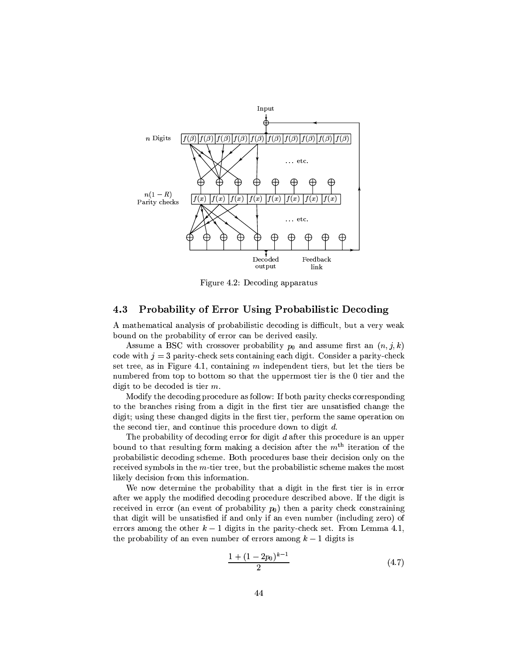

Figure 4.2: Decoding apparatus

#### 4.3 Probability of Error Using Probabilistic Decoding

A mathematical analysis of probabilistic decoding is difficult, but a very weak bound on the probability of error can be derived easily.

Assume a BSC with crossover probability  $p_0$  and assume first an  $(n, j, k)$ code with  $j = 3$  parity-check sets containing each digit. Consider a parity-check set tree, as in Figure 4.1, containing  $m$  independent tiers, but let the tiers be numbered from top to bottom so that the uppermost tier is the 0 tier and the digit to be decoded is tier  $m$ .

Modify the decoding procedure as follow: If both parity checks corresponding to the branches rising from a digit in the first tier are unsatisfied change the digit; using these changed digits in the first tier, perform the same operation on the second tier, and continue this procedure down to digit  $d$ .

The probability of decoding error for digit  $d$  after this procedure is an upper bound to that resulting form making a decision after the  $m<sup>th</sup>$  iteration of the probabilistic decoding scheme. Both procedures base their decision only on the received symbols in the m-tier tree, but the probabilistic scheme makes the most likely decision from this information.

We now determine the probability that a digit in the first tier is in error after we apply the modified decoding procedure described above. If the digit is received in error (an event of probability  $p_0$ ) then a parity check constraining that digit will be unsatisfied if and only if an even number (including zero) of errors among the other  $k-1$  digits in the parity-check set. From Lemma 4.1, the probability of an even number of errors among  $k-1$  digits is

$$
\frac{1 + (1 - 2p_0)^{k-1}}{2} \tag{4.7}
$$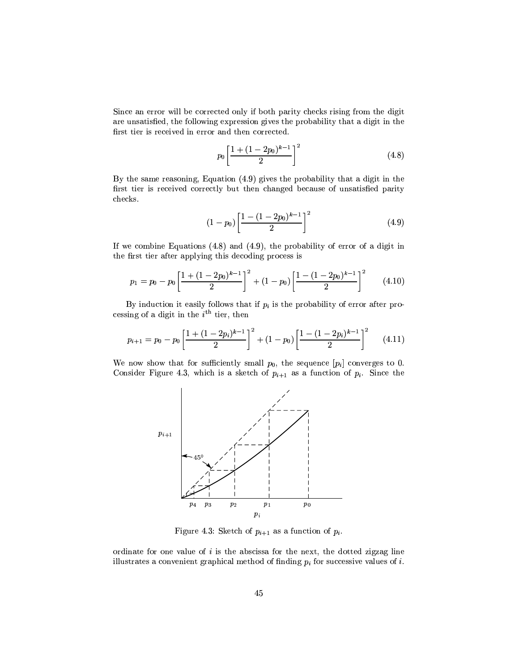Since an error will be corrected only if both parity checks rising from the digit are unsatisfied, the following expression gives the probability that a digit in the first tier is received in error and then corrected.

$$
p_0 \left[ \frac{1 + (1 - 2p_0)^{k-1}}{2} \right]^2 \tag{4.8}
$$

By the same reasoning, Equation (4.9) gives the probability that a digit in the first tier is received correctly but then changed because of unsatisfied parity checks.

$$
(1 - p_0) \left[ \frac{1 - (1 - 2p_0)^{k-1}}{2} \right]^2 \tag{4.9}
$$

If we combine Equations  $(4.8)$  and  $(4.9)$ , the probability of error of a digit in the first tier after applying this decoding process is

$$
p_1 = p_0 - p_0 \left[ \frac{1 + (1 - 2p_0)^{k-1}}{2} \right]^2 + (1 - p_0) \left[ \frac{1 - (1 - 2p_0)^{k-1}}{2} \right]^2 \tag{4.10}
$$

By induction it easily follows that if  $p_i$  is the probability of error after processing of a digit in the  $i^{\text{th}}$  tier, then

$$
p_{i+1} = p_0 - p_0 \left[ \frac{1 + (1 - 2p_i)^{k-1}}{2} \right]^2 + (1 - p_0) \left[ \frac{1 - (1 - 2p_i)^{k-1}}{2} \right]^2 \tag{4.11}
$$

We now show that for sufficiently small  $p_0$ , the sequence  $[p_i]$  converges to 0. Consider Figure 4.3, which is a sketch of  $p_{i+1}$  as a function of  $p_i$ . Since the



Figure 4.3: Sketch of  $p_{i+1}$  as a function of  $p_i$ .

ordinate for one value of  $i$  is the abscissa for the next, the dotted zigzag line illustrates a convenient graphical method of finding  $p_i$  for successive values of i.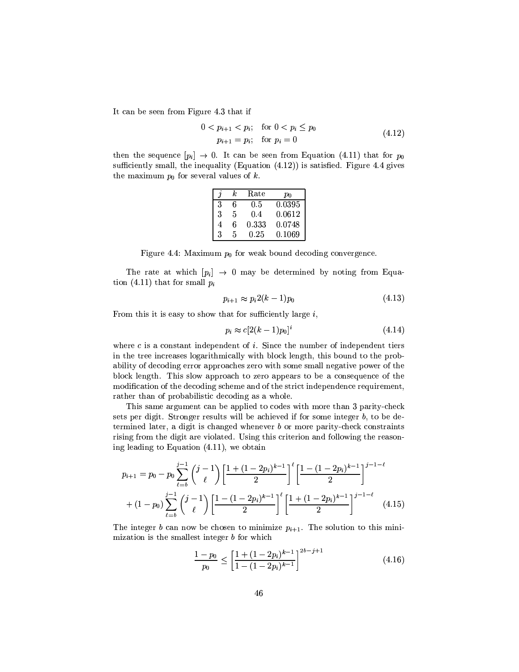It can be seen from Figure 4.3 that if

$$
0 < p_{i+1} < p_i; \quad \text{for } 0 < p_i \le p_0
$$
\n
$$
p_{i+1} = p_i; \quad \text{for } p_i = 0 \tag{4.12}
$$

then the sequence  $[p_i] \rightarrow 0$ . It can be seen from Equation (4.11) that for  $p_0$ sufficiently small, the inequality (Equation  $(4.12)$ ) is satisfied. Figure 4.4 gives the maximum  $p_0$  for several values of  $k$ .

|   | k. | Rate  | $p_{0}$ |
|---|----|-------|---------|
| 3 | 6  | 0.5   | 0.0395  |
| 3 | 5  | 0.4   | 0.0612  |
| 4 | 6  | 0.333 | 0.0748  |
| 3 | 5  | 0.25  | 0.1069  |

Figure 4.4: Maximum  $p_0$  for weak bound decoding convergence.

The rate at which  $[p_i] \rightarrow 0$  may be determined by noting from Equation (4.11) that for small  $p_i$ 

$$
p_{i+1} \approx p_i 2(k-1)p_0 \tag{4.13}
$$

From this it is easy to show that for sufficiently large  $i$ ,

$$
p_i \approx c[2(k-1)p_0]^i \tag{4.14}
$$

where  $c$  is a constant independent of  $i$ . Since the number of independent tiers in the tree increases logarithmically with block length, this bound to the probability of decoding error approaches zero with some small negative power of the block length. This slow approach to zero appears to be a consequence of the modification of the decoding scheme and of the strict independence requirement, rather than of probabilistic decoding as a whole.

This same argument can be applied to codes with more than 3 parity-check sets per digit. Stronger results will be achieved if for some integer b, to be determined later, a digit is changed whenever  $b$  or more parity-check constraints rising from the digit are violated. Using this criterion and following the reasoning leading to Equation  $(4.11)$ , we obtain

$$
p_{i+1} = p_0 - p_0 \sum_{\ell=b}^{j-1} {j-1 \choose \ell} \left[ \frac{1 + (1 - 2p_i)^{k-1}}{2} \right]^\ell \left[ \frac{1 - (1 - 2p_i)^{k-1}}{2} \right]^{j-1-\ell}
$$
  
+ 
$$
(1 - p_0) \sum_{\ell=b}^{j-1} {j-1 \choose \ell} \left[ \frac{1 - (1 - 2p_i)^{k-1}}{2} \right]^\ell \left[ \frac{1 + (1 - 2p_i)^{k-1}}{2} \right]^{j-1-\ell} (4.15)
$$

The integer b can now be chosen to minimize  $p_{i+1}$ . The solution to this minimization is the smallest integer  $b$  for which

$$
\frac{1-p_0}{p_0} \le \left[ \frac{1 + (1 - 2p_i)^{k-1}}{1 - (1 - 2p_i)^{k-1}} \right]^{2b - j + 1}
$$
\n(4.16)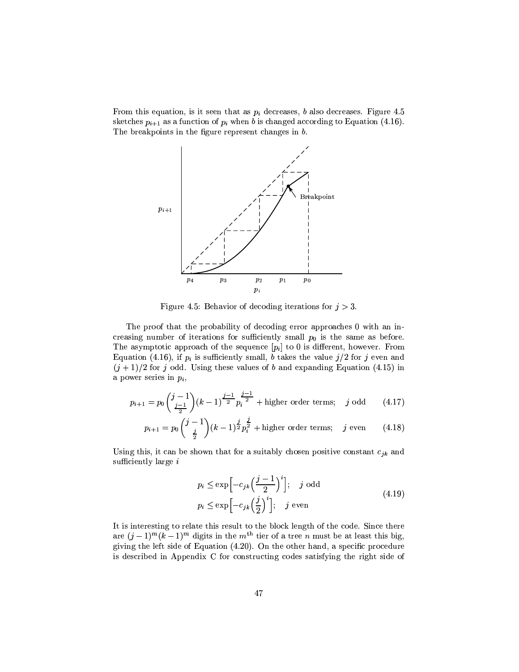From this equation, is it seen that as  $p_i$  decreases, b also decreases. Figure 4.5 sketches  $p_{i+1}$  as a function of  $p_i$  when b is changed according to Equation (4.16). The breakpoints in the figure represent changes in  $b$ .



Figure 4.5: Behavior of decoding iterations for  $j > 3$ .

The proof that the probability of decoding error approaches 0 with an increasing number of iterations for sufficiently small  $p_0$  is the same as before. The asymptotic approach of the sequence  $[p_i]$  to 0 is different, however. From Equation (4.16), if  $p_i$  is sufficiently small, b takes the value  $j/2$  for j even and  $(j + 1)/2$  for j odd. Using these values of b and expanding Equation (4.15) in a power series in  $p_i$ ,

$$
p_{i+1} = p_0 \left(\frac{j-1}{\frac{j-1}{2}}\right) (k-1)^{\frac{j-1}{2}} p_i^{\frac{j-1}{2}} + \text{higher order terms}; \quad j \text{ odd} \tag{4.17}
$$

$$
p_{i+1} = p_0 \binom{j-1}{\frac{i}{2}} (k-1)^{\frac{j}{2}} p_i^{\frac{j}{2}} + \text{higher order terms}; \quad j \text{ even} \tag{4.18}
$$

Using this, it can be shown that for a suitably chosen positive constant  $c_{jk}$  and sufficiently large  $i$ 

$$
p_i \le \exp\left[-c_{jk}\left(\frac{j-1}{2}\right)^i\right]; \quad j \text{ odd}
$$
  
\n
$$
p_i \le \exp\left[-c_{jk}\left(\frac{j}{2}\right)^i\right]; \quad j \text{ even}
$$
\n(4.19)

It is interesting to relate this result to the block length of the code. Since there are  $(j-1)^m (k-1)^m$  digits in the m<sup>th</sup> tier of a tree n must be at least this big, giving the left side of Equation (4.20). On the other hand, a specific procedure is described in Appendix C for constructing codes satisfying the right side of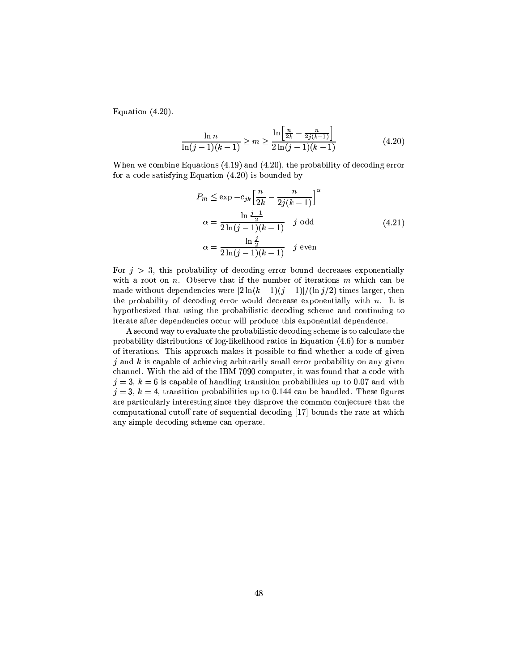Equation  $(4.20)$ .

$$
\frac{\ln n}{\ln(j-1)(k-1)} \ge m \ge \frac{\ln\left[\frac{n}{2k} - \frac{n}{2j(k-1)}\right]}{2\ln(j-1)(k-1)}\tag{4.20}
$$

When we combine Equations  $(4.19)$  and  $(4.20)$ , the probability of decoding error for a code satisfying Equation  $(4.20)$  is bounded by

$$
P_m \le \exp -c_{jk} \left[ \frac{n}{2k} - \frac{n}{2j(k-1)} \right]^\alpha
$$
  
\n
$$
\alpha = \frac{\ln \frac{j-1}{2}}{2\ln(j-1)(k-1)} \quad j \text{ odd}
$$
  
\n
$$
\alpha = \frac{\ln \frac{j}{2}}{2\ln(j-1)(k-1)} \quad j \text{ even}
$$
\n(4.21)

For  $j > 3$ , this probability of decoding error bound decreases exponentially with a root on  $n$ . Observe that if the number of iterations  $m$  which can be made without dependencies were  $\frac{2\ln(k-1)(j-1)}{\ln(j/2)}$  times larger, then the probability of decoding error would decrease exponentially with  $n$ . It is hypothesized that using the probabilistic decoding scheme and continuing to iterate after dependencies occur will produce this exponential dependence.

A second way to evaluate the probabilistic decoding scheme is to calculate the probability distributions of log-likelihood ratios in Equation  $(4.6)$  for a number of iterations. This approach makes it possible to find whether a code of given  $j$  and k is capable of achieving arbitrarily small error probability on any given channel. With the aid of the IBM 7090 computer, it was found that a code with  $j = 3, k = 6$  is capable of handling transition probabilities up to 0.07 and with  $j = 3, k = 4$ , transition probabilities up to 0.144 can be handled. These figures are particularly interesting since they disprove the common conjecture that the computational cutoff rate of sequential decoding [17] bounds the rate at which any simple decoding scheme can operate.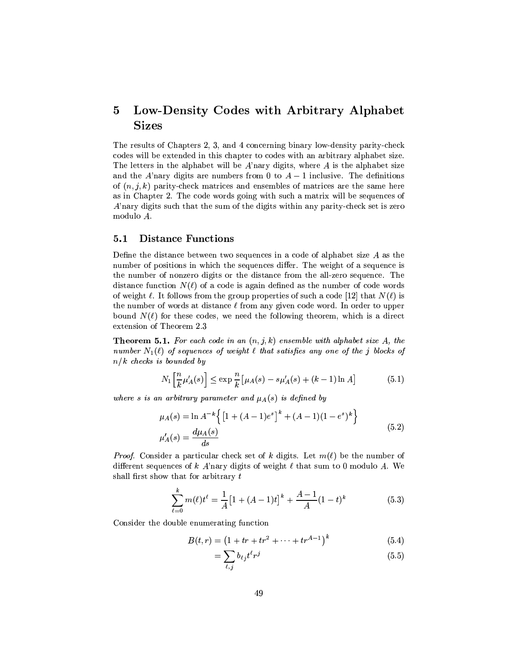# $\overline{5}$ Low-Density Codes with Arbitrary Alphabet **Sizes**

The results of Chapters 2, 3, and 4 concerning binary low-density parity-check codes will be extended in this chapter to codes with an arbitrary alphabet size. The letters in the alphabet will be A'nary digits, where A is the alphabet size and the A'nary digits are numbers from 0 to  $A-1$  inclusive. The definitions of  $(n, i, k)$  parity-check matrices and ensembles of matrices are the same here as in Chapter 2. The code words going with such a matrix will be sequences of A'nary digits such that the sum of the digits within any parity-check set is zero modulo A.

#### $5.1$ **Distance Functions**

Define the distance between two sequences in a code of alphabet size A as the number of positions in which the sequences differ. The weight of a sequence is the number of nonzero digits or the distance from the all-zero sequence. The distance function  $N(\ell)$  of a code is again defined as the number of code words of weight  $\ell$ . It follows from the group properties of such a code [12] that  $N(\ell)$  is the number of words at distance  $\ell$  from any given code word. In order to upper bound  $N(\ell)$  for these codes, we need the following theorem, which is a direct extension of Theorem 2.3

**Theorem 5.1.** For each code in an  $(n, j, k)$  ensemble with alphabet size A, the number  $N_1(\ell)$  of sequences of weight  $\ell$  that satisfies any one of the j blocks of  $n/k$  checks is bounded by

$$
N_1\left[\frac{n}{k}\mu'_A(s)\right] \le \exp\frac{n}{k} \left[\mu_A(s) - s\mu'_A(s) + (k-1)\ln A\right]
$$
 (5.1)

where s is an arbitrary parameter and  $\mu_A(s)$  is defined by

$$
\mu_A(s) = \ln A^{-k} \left\{ \left[ 1 + (A - 1)e^s \right]^k + (A - 1)(1 - e^s)^k \right\}
$$
  

$$
\mu'_A(s) = \frac{d\mu_A(s)}{ds}
$$
 (5.2)

*Proof.* Consider a particular check set of k digits. Let  $m(\ell)$  be the number of different sequences of  $k$  A'nary digits of weight  $\ell$  that sum to 0 modulo A. We shall first show that for arbitrary  $t$ 

$$
\sum_{\ell=0}^{k} m(\ell)t^{\ell} = \frac{1}{A} \left[ 1 + (A - 1)t \right]^k + \frac{A - 1}{A} (1 - t)^k \tag{5.3}
$$

Consider the double enumerating function

$$
B(t,r) = (1 + tr + tr2 + \dots + trA-1)k
$$
 (5.4)

$$
=\sum_{\ell,j}b_{\ell j}t^{\ell}r^{j}\tag{5.5}
$$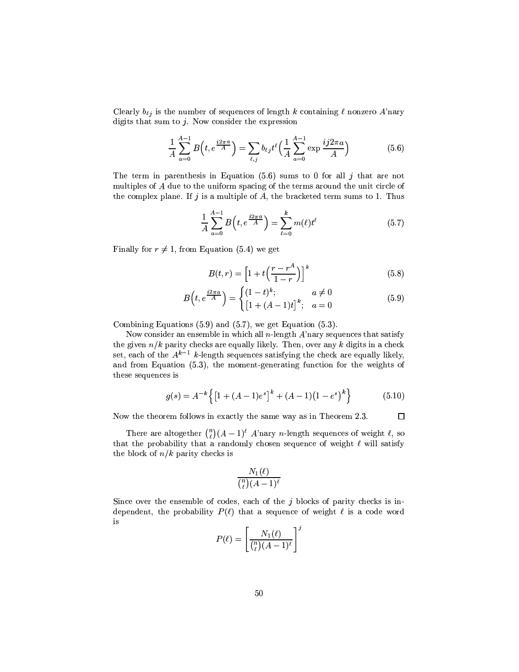Clearly  $b_{ij}$  is the number of sequences of length k containing  $\ell$  nonzero A'nary digits that sum to  $j$ . Now consider the expression

$$
\frac{1}{A} \sum_{a=0}^{A-1} B\left(t, e^{\frac{i2\pi a}{A}}\right) = \sum_{\ell, j} b_{\ell j} t^{\ell} \left(\frac{1}{A} \sum_{a=0}^{A-1} \exp{\frac{ij2\pi a}{A}}\right)
$$
(5.6)

The term in parenthesis in Equation  $(5.6)$  sums to 0 for all j that are not multiples of A due to the uniform spacing of the terms around the unit circle of the complex plane. If  $j$  is a multiple of  $A$ , the bracketed term sums to 1. Thus

$$
\frac{1}{A} \sum_{a=0}^{A-1} B(t, e^{\frac{i2\pi a}{A}}) = \sum_{\ell=0}^{k} m(\ell) t^{\ell}
$$
 (5.7)

Finally for  $r \neq 1$ , from Equation (5.4) we get

$$
B(t,r) = \left[1 + t\left(\frac{r - r^A}{1 - r}\right)\right]^k
$$
\n(5.8)

$$
B\left(t, e^{\frac{i2\pi a}{A}}\right) = \begin{cases} (1-t)^k; & a \neq 0\\ \left[1 + (A-1)t\right]^k; & a = 0 \end{cases}
$$
(5.9)

Combining Equations  $(5.9)$  and  $(5.7)$ , we get Equation  $(5.3)$ .

Now consider an ensemble in which all  $n$ -length  $A$ 'nary sequences that satisfy the given  $n/k$  parity checks are equally likely. Then, over any k digits in a check set, each of the  $A^{k-1}$  k-length sequences satisfying the check are equally likely, and from Equation (5.3), the moment-generating function for the weights of these sequences is

$$
g(s) = A^{-k} \left\{ \left[ 1 + (A - 1)e^{s} \right]^{k} + (A - 1)\left( 1 - e^{s} \right)^{k} \right\}
$$
 (5.10)

 $\Box$ 

Now the theorem follows in exactly the same way as in Theorem 2.3.

There are altogether  $\binom{n}{\ell}(A-1)^{\ell}$  A'nary n-length sequences of weight  $\ell$ , so that the probability that a randomly chosen sequence of weight  $\ell$  will satisfy the block of  $n/k$  parity checks is

$$
\frac{N_1(\ell)}{\binom{n}{\ell}(A-1)^{\ell}}
$$

Since over the ensemble of codes, each of the *i* blocks of parity checks is independent, the probability  $P(\ell)$  that a sequence of weight  $\ell$  is a code word is  $\overline{a}$ 

$$
P(\ell) = \left[\frac{N_1(\ell)}{\binom{n}{\ell}(A-1)^{\ell}}\right]^{\ell}
$$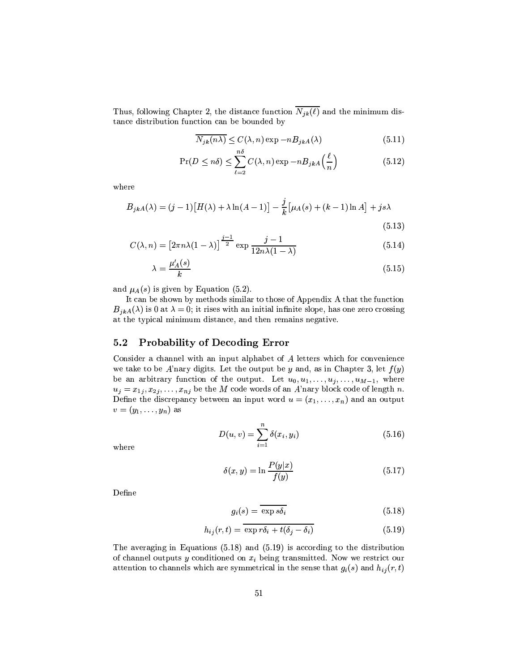Thus, following Chapter 2, the distance function  $\overline{N_{jk}(\ell)}$  and the minimum distance distribution function can be bounded by

$$
\overline{N_{jk}(n\lambda)} \le C(\lambda, n) \exp -nB_{jkA}(\lambda)
$$
\n(5.11)

$$
\Pr(D \le n\delta) \le \sum_{\ell=2}^{n\delta} C(\lambda, n) \exp\left(-nB_{jkA}\left(\frac{\ell}{n}\right)\right) \tag{5.12}
$$

where

$$
B_{jkA}(\lambda) = (j-1)[H(\lambda) + \lambda \ln(A-1)] - \frac{j}{k}[\mu_A(s) + (k-1)\ln A] + js\lambda
$$

$$
(5.13)
$$

$$
C(\lambda, n) = \left[2\pi n\lambda(1-\lambda)\right]^{\frac{j-1}{2}} \exp\frac{j-1}{12n\lambda(1-\lambda)}
$$
(5.14)

$$
\lambda = \frac{\mu_A'(s)}{k} \tag{5.15}
$$

and  $\mu_A(s)$  is given by Equation (5.2).

It can be shown by methods similar to those of Appendix A that the function  $B_{ikA}(\lambda)$  is 0 at  $\lambda = 0$ ; it rises with an initial infinite slope, has one zero crossing at the typical minimum distance, and then remains negative.

#### **Probability of Decoding Error**  $5.2$

Consider a channel with an input alphabet of A letters which for convenience we take to be A'nary digits. Let the output be y and, as in Chapter 3, let  $f(y)$ be an arbitrary function of the output. Let  $u_0, u_1, \ldots, u_j, \ldots, u_{M-1}$ , where  $u_j = x_{1j}, x_{2j}, \ldots, x_{nj}$  be the M code words of an A'nary block code of length n. Define the discrepancy between an input word  $u = (x_1, \ldots, x_n)$  and an output  $v=(y_1,\ldots,y_n)$  as

$$
D(u, v) = \sum_{i=1}^{n} \delta(x_i, y_i)
$$
 (5.16)

where

$$
\delta(x,y) = \ln \frac{P(y|x)}{f(y)}\tag{5.17}
$$

Define

$$
g_i(s) = \overline{\exp s \delta_i} \tag{5.18}
$$

$$
h_{ij}(r,t) = \overline{\exp r\delta_i + t(\delta_j - \delta_i)}
$$
\n(5.19)

The averaging in Equations  $(5.18)$  and  $(5.19)$  is according to the distribution of channel outputs  $y$  conditioned on  $x_i$  being transmitted. Now we restrict our attention to channels which are symmetrical in the sense that  $g_i(s)$  and  $h_{ij}(r,t)$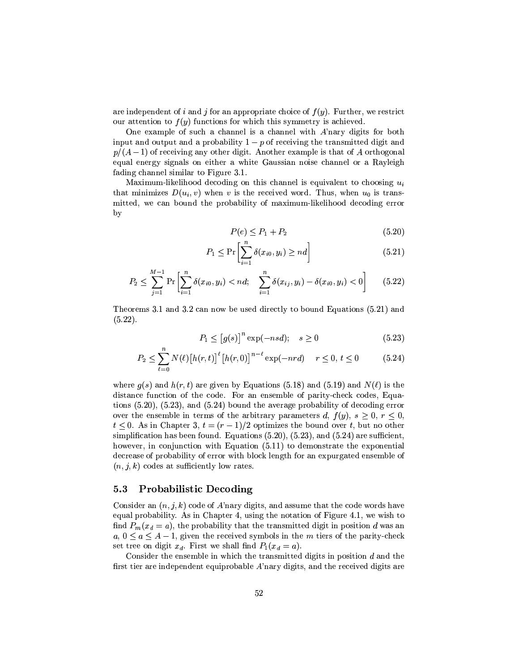are independent of i and j for an appropriate choice of  $f(y)$ . Further, we restrict our attention to  $f(y)$  functions for which this symmetry is achieved.

One example of such a channel is a channel with  $A'$  narve digits for both input and output and a probability  $1-p$  of receiving the transmitted digit and  $p/(A-1)$  of receiving any other digit. Another example is that of A orthogonal equal energy signals on either a white Gaussian noise channel or a Rayleigh fading channel similar to Figure 3.1.

Maximum-likelihood decoding on this channel is equivalent to choosing  $u_i$ that minimizes  $D(u_i, v)$  when v is the received word. Thus, when  $u_0$  is transmitted, we can bound the probability of maximum-likelihood decoding error by

$$
P(e) \le P_1 + P_2 \tag{5.20}
$$

$$
P_1 \le \Pr\left[\sum_{i=1}^n \delta(x_{i0}, y_i) \ge nd\right]
$$
\n(5.21)

$$
P_2 \le \sum_{j=1}^{M-1} \Pr\left[\sum_{i=1}^n \delta(x_{i0}, y_i) < nd; \quad \sum_{i=1}^n \delta(x_{ij}, y_i) - \delta(x_{i0}, y_i) < 0\right] \tag{5.22}
$$

Theorems 3.1 and 3.2 can now be used directly to bound Equations  $(5.21)$  and  $(5.22).$ 

$$
P_1 \le \left[ g(s) \right]^n \exp(-nsd); \quad s \ge 0 \tag{5.23}
$$

$$
P_2 \le \sum_{\ell=0}^n N(\ell) \left[ h(r,t) \right]^{\ell} \left[ h(r,0) \right]^{n-\ell} \exp(-nrd) \quad r \le 0, \ t \le 0 \tag{5.24}
$$

where  $q(s)$  and  $h(r, t)$  are given by Equations (5.18) and (5.19) and  $N(\ell)$  is the distance function of the code. For an ensemble of parity-check codes, Equations  $(5.20)$ ,  $(5.23)$ , and  $(5.24)$  bound the average probability of decoding error over the ensemble in terms of the arbitrary parameters d,  $f(y)$ ,  $s \geq 0$ ,  $r \leq 0$ ,  $t \leq 0$ . As in Chapter 3,  $t = (r-1)/2$  optimizes the bound over t, but no other simplification has been found. Equations  $(5.20)$ ,  $(5.23)$ , and  $(5.24)$  are sufficient, however, in conjunction with Equation (5.11) to demonstrate the exponential decrease of probability of error with block length for an expurgated ensemble of  $(n, j, k)$  codes at sufficiently low rates.

#### 5.3 **Probabilistic Decoding**

Consider an  $(n, j, k)$  code of A'nary digits, and assume that the code words have equal probability. As in Chapter 4, using the notation of Figure 4.1, we wish to find  $P_m(x_d = a)$ , the probability that the transmitted digit in position d was an  $a, 0 \le a \le A-1$ , given the received symbols in the m tiers of the parity-check set tree on digit  $x_d$ . First we shall find  $P_1(x_d = a)$ .

Consider the ensemble in which the transmitted digits in position  $d$  and the first tier are independent equiprobable  $A$ 'nary digits, and the received digits are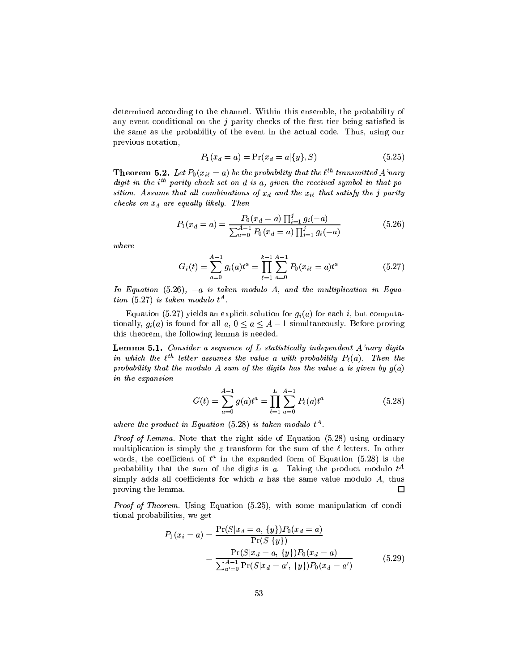determined according to the channel. Within this ensemble, the probability of any event conditional on the  $j$  parity checks of the first tier being satisfied is the same as the probability of the event in the actual code. Thus, using our previous notation.

$$
P_1(x_d = a) = \Pr(x_d = a | \{y\}, S) \tag{5.25}
$$

**Theorem 5.2.** Let  $P_0(x_{i\ell} = a)$  be the probability that the  $\ell^{th}$  transmitted A 'nary digit in the  $i^{th}$  parity-check set on d is a, given the received symbol in that position. Assume that all combinations of  $x_d$  and the  $x_{i\ell}$  that satisfy the j parity checks on  $x_d$  are equally likely. Then

$$
P_1(x_d = a) = \frac{P_0(x_d = a) \prod_{i=1}^j g_i(-a)}{\sum_{a=0}^{A-1} P_0(x_d = a) \prod_{i=1}^j g_i(-a)}
$$
(5.26)

where

$$
G_i(t) = \sum_{a=0}^{A-1} g_i(a)t^a = \prod_{\ell=1}^{k-1} \sum_{a=0}^{A-1} P_0(x_{i\ell} = a)t^a
$$
 (5.27)

In Equation (5.26),  $-a$  is taken modulo A, and the multiplication in Equation (5.27) is taken modulo  $t^A$ .

Equation (5.27) yields an explicit solution for  $g_i(a)$  for each i, but computationally,  $g_i(a)$  is found for all  $a, 0 \le a \le A-1$  simultaneously. Before proving this theorem, the following lemma is needed.

Lemma 5.1. Consider a sequence of L statistically independent A'nary digits in which the  $\ell^{th}$  letter assumes the value a with probability  $P_{\ell}(a)$ . Then the probability that the modulo A sum of the digits has the value a is given by  $g(a)$ in the expansion

$$
G(t) = \sum_{a=0}^{A-1} g(a)t^a = \prod_{\ell=1}^{L} \sum_{a=0}^{A-1} P_{\ell}(a)t^a
$$
 (5.28)

where the product in Equation (5.28) is taken modulo  $t^A$ .

*Proof of Lemma.* Note that the right side of Equation (5.28) using ordinary multiplication is simply the z transform for the sum of the  $\ell$  letters. In other words, the coefficient of  $t^a$  in the expanded form of Equation (5.28) is the probability that the sum of the digits is a. Taking the product modulo  $t^A$ simply adds all coefficients for which  $a$  has the same value modulo  $A$ , thus proving the lemma.  $\Box$ 

*Proof of Theorem.* Using Equation (5.25), with some manipulation of conditional probabilities, we get

$$
P_1(x_i = a) = \frac{\Pr(S|x_d = a, \{y\}) P_0(x_d = a)}{\Pr(S|\{y\})}
$$
  
= 
$$
\frac{\Pr(S|x_d = a, \{y\}) P_0(x_d = a)}{\sum_{a'=0}^{A-1} \Pr(S|x_d = a', \{y\}) P_0(x_d = a')}
$$
(5.29)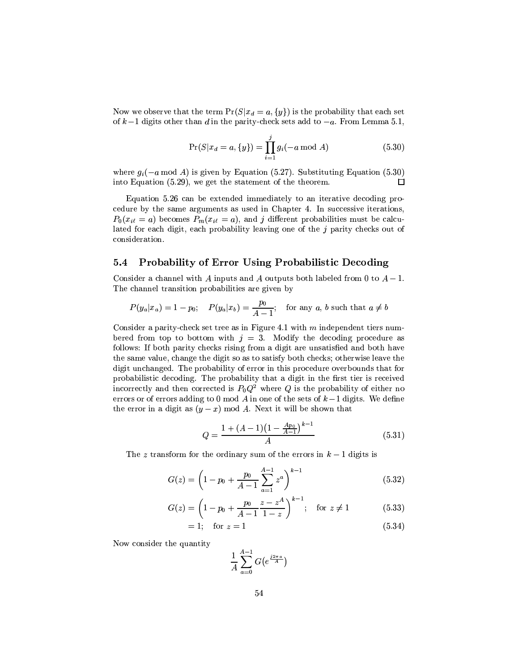Now we observe that the term  $Pr(S|x_d = a, \{y\})$  is the probability that each set of  $k-1$  digits other than d in the parity-check sets add to  $-a$ . From Lemma 5.1,

$$
Pr(S|x_d = a, \{y\}) = \prod_{i=1}^{j} g_i(-a \bmod A)
$$
 (5.30)

where  $g_i(-a \mod A)$  is given by Equation (5.27). Substituting Equation (5.30) into Equation (5.29), we get the statement of the theorem.  $\Box$ 

Equation 5.26 can be extended immediately to an iterative decoding procedure by the same arguments as used in Chapter 4. In successive iterations,  $P_0(x_{i\ell} = a)$  becomes  $P_m(x_{i\ell} = a)$ , and j different probabilities must be calculated for each digit, each probability leaving one of the  $j$  parity checks out of consideration.

#### Probability of Error Using Probabilistic Decoding  $5.4$

Consider a channel with A inputs and A outputs both labeled from 0 to  $A-1$ . The channel transition probabilities are given by

$$
P(y_a|x_a) = 1 - p_0; \quad P(y_a|x_b) = \frac{p_0}{A-1}; \quad \text{for any } a, b \text{ such that } a \neq b
$$

Consider a parity-check set tree as in Figure 4.1 with  $m$  independent tiers numbered from top to bottom with  $i = 3$ . Modify the decoding procedure as follows: If both parity checks rising from a digit are unsatisfied and both have the same value, change the digit so as to satisfy both checks; otherwise leave the digit unchanged. The probability of error in this procedure overbounds that for probabilistic decoding. The probability that a digit in the first tier is received incorrectly and then corrected is  $P_0Q^2$  where Q is the probability of either no errors or of errors adding to 0 mod  $A$  in one of the sets of  $k-1$  digits. We define the error in a digit as  $(y - x)$  mod A. Next it will be shown that

$$
Q = \frac{1 + (A - 1)\left(1 - \frac{Ap_0}{A - 1}\right)^{k - 1}}{A} \tag{5.31}
$$

The z transform for the ordinary sum of the errors in  $k-1$  digits is

$$
G(z) = \left(1 - p_0 + \frac{p_0}{A - 1} \sum_{a=1}^{A - 1} z^a \right)^{k - 1} \tag{5.32}
$$

$$
G(z) = \left(1 - p_0 + \frac{p_0}{A - 1} \frac{z - z^A}{1 - z}\right)^{k - 1}; \quad \text{for } z \neq 1 \tag{5.33}
$$

$$
= 1; \quad \text{for } z = 1 \tag{5.34}
$$

Now consider the quantity

$$
\frac{1}{A} \sum_{a=0}^{A-1} G\left(e^{\frac{j2\pi a}{A}}\right)
$$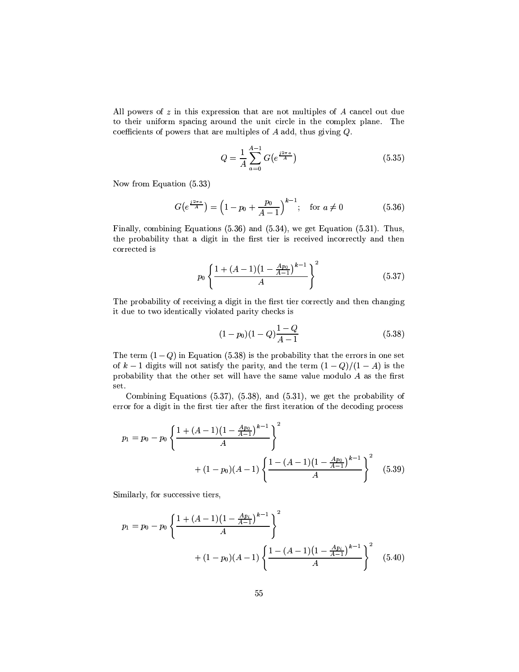All powers of  $z$  in this expression that are not multiples of  $A$  cancel out due to their uniform spacing around the unit circle in the complex plane. The coefficients of powers that are multiples of  $A$  add, thus giving  $Q$ .

$$
Q = \frac{1}{A} \sum_{a=0}^{A-1} G(e^{\frac{j2\pi a}{A}})
$$
 (5.35)

Now from Equation  $(5.33)$ 

$$
G(e^{\frac{j2\pi a}{A}}) = \left(1 - p_0 + \frac{p_0}{A - 1}\right)^{k - 1}; \quad \text{for } a \neq 0 \tag{5.36}
$$

Finally, combining Equations (5.36) and (5.34), we get Equation (5.31). Thus, the probability that a digit in the first tier is received incorrectly and then corrected is

$$
p_0 \left\{ \frac{1 + (A - 1) \left(1 - \frac{Ap_0}{A - 1}\right)^{k - 1}}{A} \right\}^2 \tag{5.37}
$$

The probability of receiving a digit in the first tier correctly and then changing it due to two identically violated parity checks is

$$
(1 - p_0)(1 - Q)\frac{1 - Q}{A - 1} \tag{5.38}
$$

The term  $(1 - Q)$  in Equation (5.38) is the probability that the errors in one set of  $k-1$  digits will not satisfy the parity, and the term  $(1-Q)/(1-A)$  is the probability that the other set will have the same value modulo  $A$  as the first set.

Combining Equations  $(5.37)$ ,  $(5.38)$ , and  $(5.31)$ , we get the probability of error for a digit in the first tier after the first iteration of the decoding process

$$
p_1 = p_0 - p_0 \left\{ \frac{1 + (A - 1)(1 - \frac{Ap_0}{A - 1})^{k-1}}{A} \right\}^2 + (1 - p_0)(A - 1) \left\{ \frac{1 - (A - 1)(1 - \frac{Ap_0}{A - 1})^{k-1}}{A} \right\}^2 \quad (5.39)
$$

Similarly, for successive tiers,

$$
p_1 = p_0 - p_0 \left\{ \frac{1 + (A - 1)(1 - \frac{Ap_i}{A - 1})^{k-1}}{A} \right\}^2 + (1 - p_0)(A - 1) \left\{ \frac{1 - (A - 1)(1 - \frac{Ap_i}{A - 1})^{k-1}}{A} \right\}^2 \quad (5.40)
$$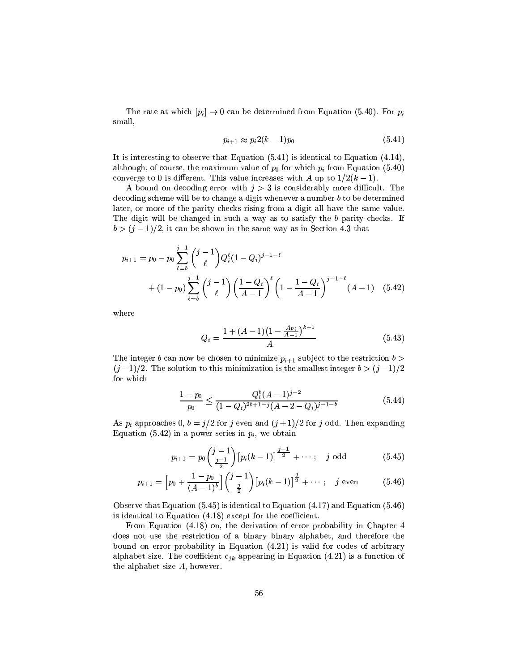The rate at which  $[p_i] \rightarrow 0$  can be determined from Equation (5.40). For  $p_i$ small,

$$
p_{i+1} \approx p_i 2(k-1)p_0 \tag{5.41}
$$

It is interesting to observe that Equation  $(5.41)$  is identical to Equation  $(4.14)$ , although, of course, the maximum value of  $p_0$  for which  $p_i$  from Equation (5.40) converge to 0 is different. This value increases with A up to  $1/2(k-1)$ .

A bound on decoding error with  $j > 3$  is considerably more difficult. The decoding scheme will be to change a digit whenever a number  $b$  to be determined later, or more of the parity checks rising from a digit all have the same value. The digit will be changed in such a way as to satisfy the  $b$  parity checks. If  $b > (j-1)/2$ , it can be shown in the same way as in Section 4.3 that

$$
p_{i+1} = p_0 - p_0 \sum_{\ell=b}^{j-1} {j-1 \choose \ell} Q_i^{\ell} (1 - Q_i)^{j-1-\ell}
$$
  
+  $(1 - p_0) \sum_{\ell=b}^{j-1} {j-1 \choose \ell} \left(\frac{1 - Q_i}{A-1}\right)^{\ell} \left(1 - \frac{1 - Q_i}{A-1}\right)^{j-1-\ell} (A-1)$  (5.42)

where

$$
Q_i = \frac{1 + (A - 1)\left(1 - \frac{Ap_i}{A - 1}\right)^{k - 1}}{A} \tag{5.43}
$$

The integer b can now be chosen to minimize  $p_{i+1}$  subject to the restriction  $b >$  $(j-1)/2$ . The solution to this minimization is the smallest integer  $b > (j-1)/2$ for which

$$
\frac{1 - p_0}{p_0} \le \frac{Q_i^b (A - 1)^{j - 2}}{(1 - Q_i)^{2b + 1 - j} (A - 2 - Q_i)^{j - 1 - b}} \tag{5.44}
$$

As  $p_i$  approaches 0,  $b = j/2$  for j even and  $(j + 1)/2$  for j odd. Then expanding Equation (5.42) in a power series in  $p_i$ , we obtain

$$
p_{i+1} = p_0 \left(\frac{j-1}{\frac{j-1}{2}}\right) \left[p_i(k-1)\right]^{\frac{j-1}{2}} + \cdots; \quad j \text{ odd}
$$
 (5.45)

$$
p_{i+1} = \left[p_0 + \frac{1-p_0}{(A-1)^b}\right] \binom{j-1}{\frac{j}{2}} \left[p_i(k-1)\right]^{\frac{j}{2}} + \cdots; \quad j \text{ even} \tag{5.46}
$$

Observe that Equation  $(5.45)$  is identical to Equation  $(4.17)$  and Equation  $(5.46)$ is identical to Equation  $(4.18)$  except for the coefficient.

From Equation  $(4.18)$  on, the derivation of error probability in Chapter 4 does not use the restriction of a binary binary alphabet, and therefore the bound on error probability in Equation (4.21) is valid for codes of arbitrary alphabet size. The coefficient  $c_{ik}$  appearing in Equation (4.21) is a function of the alphabet size  $A$ , however.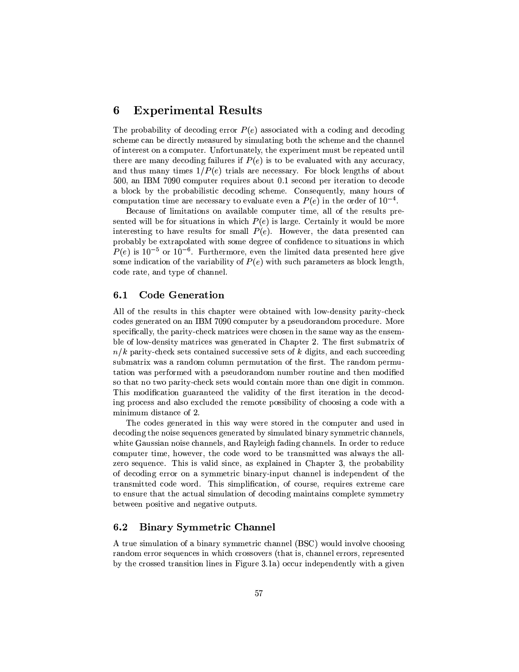### **Experimental Results** 6

The probability of decoding error  $P(e)$  associated with a coding and decoding scheme can be directly measured by simulating both the scheme and the channel of interest on a computer. Unfortunately, the experiment must be repeated until there are many decoding failures if  $P(e)$  is to be evaluated with any accuracy, and thus many times  $1/P(e)$  trials are necessary. For block lengths of about 500, an IBM 7090 computer requires about 0.1 second per iteration to decode a block by the probabilistic decoding scheme. Consequently, many hours of computation time are necessary to evaluate even a  $P(e)$  in the order of  $10^{-4}$ .

Because of limitations on available computer time, all of the results presented will be for situations in which  $P(e)$  is large. Certainly it would be more interesting to have results for small  $P(e)$ . However, the data presented can probably be extrapolated with some degree of confidence to situations in which  $P(e)$  is 10<sup>-5</sup> or 10<sup>-6</sup>. Furthermore, even the limited data presented here give some indication of the variability of  $P(e)$  with such parameters as block length, code rate, and type of channel.

#### $6.1$ **Code Generation**

All of the results in this chapter were obtained with low-density parity-check codes generated on an IBM 7090 computer by a pseudorandom procedure. More specifically, the parity-check matrices were chosen in the same way as the ensemble of low-density matrices was generated in Chapter 2. The first submatrix of  $n/k$  parity-check sets contained successive sets of k digits, and each succeeding submatrix was a random column permutation of the first. The random permutation was performed with a pseudorandom number routine and then modified so that no two parity-check sets would contain more than one digit in common. This modification guaranteed the validity of the first iteration in the decoding process and also excluded the remote possibility of choosing a code with a minimum distance of 2.

The codes generated in this way were stored in the computer and used in decoding the noise sequences generated by simulated binary symmetric channels, white Gaussian noise channels, and Rayleigh fading channels. In order to reduce computer time, however, the code word to be transmitted was always the allzero sequence. This is valid since, as explained in Chapter 3, the probability of decoding error on a symmetric binary-input channel is independent of the transmitted code word. This simplification, of course, requires extreme care to ensure that the actual simulation of decoding maintains complete symmetry between positive and negative outputs.

### **Binary Symmetric Channel**  $6.2$

A true simulation of a binary symmetric channel (BSC) would involve choosing random error sequences in which crossovers (that is, channel errors, represented by the crossed transition lines in Figure 3.1a) occur independently with a given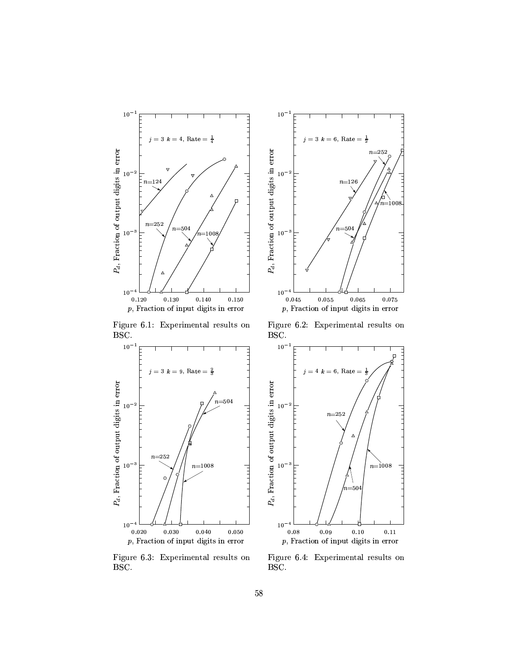

Figure 6.1: Experimental results on BSC.



Figure 6.3: Experimental results on BSC.



Figure 6.2: Experimental results on BSC.



Figure 6.4: Experimental results on BSC.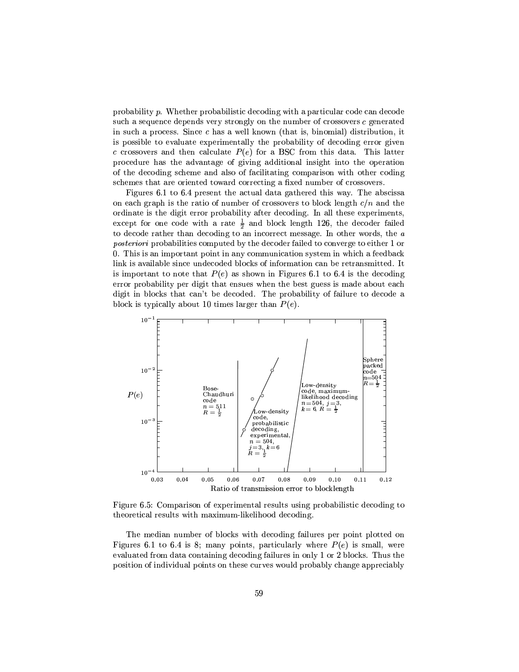probability p. Whether probabilistic decoding with a particular code can decode such a sequence depends very strongly on the number of crossovers  $c$  generated in such a process. Since c has a well known (that is, binomial) distribution, it is possible to evaluate experimentally the probability of decoding error given c crossovers and then calculate  $P(e)$  for a BSC from this data. This latter procedure has the advantage of giving additional insight into the operation of the decoding scheme and also of facilitating comparison with other coding schemes that are oriented toward correcting a fixed number of crossovers.

Figures 6.1 to 6.4 present the actual data gathered this way. The abscissa on each graph is the ratio of number of crossovers to block length  $c/n$  and the ordinate is the digit error probability after decoding. In all these experiments, except for one code with a rate  $\frac{1}{2}$  and block length 126, the decoder failed to decode rather than decoding to an incorrect message. In other words, the  $a$ *posteriori* probabilities computed by the decoder failed to converge to either 1 or 0. This is an important point in any communication system in which a feedback link is available since undecoded blocks of information can be retransmitted. It is important to note that  $P(e)$  as shown in Figures 6.1 to 6.4 is the decoding error probability per digit that ensues when the best guess is made about each digit in blocks that can't be decoded. The probability of failure to decode a block is typically about 10 times larger than  $P(e)$ .



Figure 6.5: Comparison of experimental results using probabilistic decoding to theoretical results with maximum-likelihood decoding.

The median number of blocks with decoding failures per point plotted on Figures 6.1 to 6.4 is 8; many points, particularly where  $P(e)$  is small, were evaluated from data containing decoding failures in only 1 or 2 blocks. Thus the position of individual points on these curves would probably change appreciably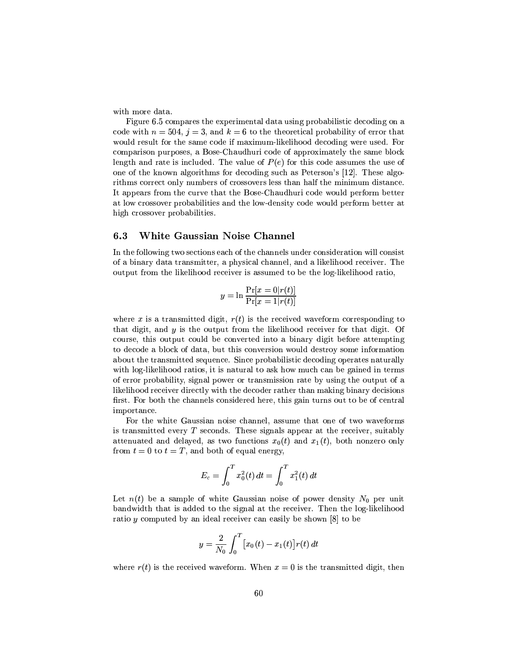with more data.

Figure 6.5 compares the experimental data using probabilistic decoding on a code with  $n = 504$ ,  $j = 3$ , and  $k = 6$  to the theoretical probability of error that would result for the same code if maximum-likelihood decoding were used. For comparison purposes, a Bose-Chaudhuri code of approximately the same block length and rate is included. The value of  $P(e)$  for this code assumes the use of one of the known algorithms for decoding such as Peterson's [12]. These algorithms correct only numbers of crossovers less than half the minimum distance. It appears from the curve that the Bose-Chaudhuri code would perform better at low crossover probabilities and the low-density code would perform better at high crossover probabilities.

#### **White Gaussian Noise Channel** 6.3

In the following two sections each of the channels under consideration will consist of a binary data transmitter, a physical channel, and a likelihood receiver. The output from the likelihood receiver is assumed to be the log-likelihood ratio.

$$
y = \ln \frac{\Pr[x = 0 | r(t)]}{\Pr[x = 1 | r(t)]}
$$

where  $x$  is a transmitted digit,  $r(t)$  is the received waveform corresponding to that digit, and  $y$  is the output from the likelihood receiver for that digit. Of course, this output could be converted into a binary digit before attempting to decode a block of data, but this conversion would destroy some information about the transmitted sequence. Since probabilistic decoding operates naturally with log-likelihood ratios, it is natural to ask how much can be gained in terms of error probability, signal power or transmission rate by using the output of a likelihood receiver directly with the decoder rather than making binary decisions first. For both the channels considered here, this gain turns out to be of central importance.

For the white Gaussian noise channel, assume that one of two waveforms is transmitted every  $T$  seconds. These signals appear at the receiver, suitably attenuated and delayed, as two functions  $x_0(t)$  and  $x_1(t)$ , both nonzero only from  $t = 0$  to  $t = T$ , and both of equal energy,

$$
E_c = \int_0^T x_0^2(t) dt = \int_0^T x_1^2(t) dt
$$

Let  $n(t)$  be a sample of white Gaussian noise of power density  $N_0$  per unit bandwidth that is added to the signal at the receiver. Then the log-likelihood ratio y computed by an ideal receiver can easily be shown  $[8]$  to be

$$
y = \frac{2}{N_0} \int_0^T \big[ x_0(t) - x_1(t) \big] r(t) \, dt
$$

where  $r(t)$  is the received waveform. When  $x=0$  is the transmitted digit, then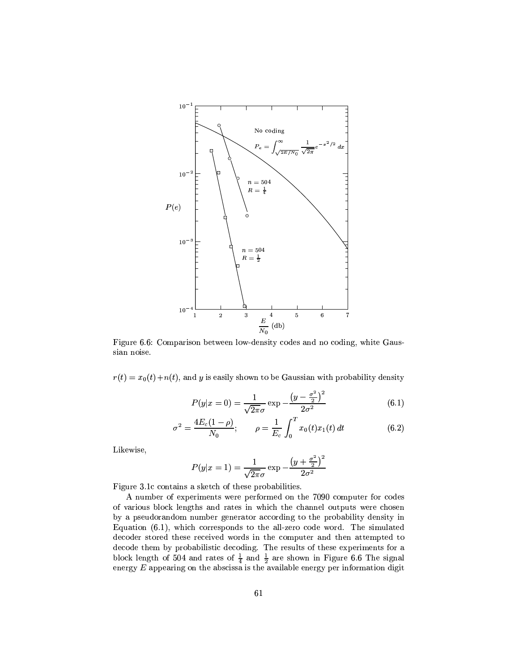

Figure 6.6: Comparison between low-density codes and no coding, white Gaussian noise.

 $r(t) = x_0(t) + n(t)$ , and y is easily shown to be Gaussian with probability density

$$
P(y|x=0) = \frac{1}{\sqrt{2\pi}\sigma} \exp{-\frac{(y - \frac{\sigma^2}{2})^2}{2\sigma^2}}
$$
(6.1)

$$
\sigma^2 = \frac{4E_c(1-\rho)}{N_0}; \qquad \rho = \frac{1}{E_c} \int_0^T x_0(t)x_1(t) dt \qquad (6.2)
$$

Likewise.

$$
P(y|x=1) = \frac{1}{\sqrt{2\pi}\sigma} \exp{-\frac{(y+\frac{\sigma^2}{2})^2}{2\sigma^2}}
$$

Figure 3.1c contains a sketch of these probabilities.

A number of experiments were performed on the 7090 computer for codes of various block lengths and rates in which the channel outputs were chosen by a pseudorandom number generator according to the probability density in Equation  $(6.1)$ , which corresponds to the all-zero code word. The simulated decoder stored these received words in the computer and then attempted to decode them by probabilistic decoding. The results of these experiments for a block length of 504 and rates of  $\frac{1}{4}$  and  $\frac{1}{2}$  are shown in Figure 6.6 The signal energy  $E$  appearing on the abscissa is the available energy per information digit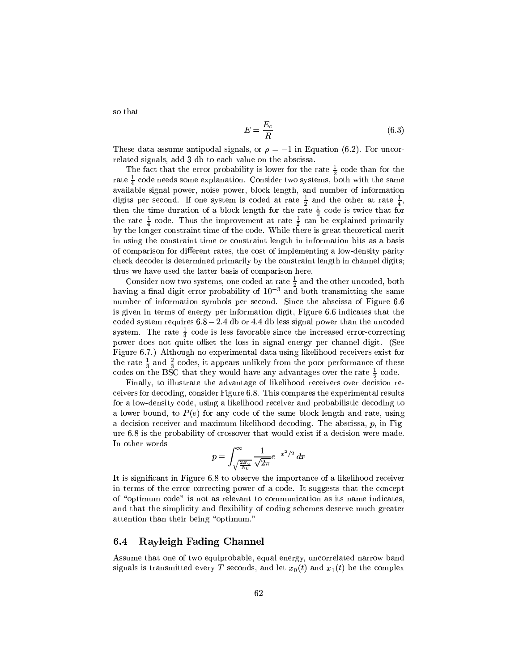so that

$$
E = \frac{E_c}{R} \tag{6.3}
$$

These data assume antipodal signals, or  $\rho = -1$  in Equation (6.2). For uncorrelated signals, add 3 db to each value on the abscissa.

The fact that the error probability is lower for the rate  $\frac{1}{2}$  code than for the rate  $\frac{1}{4}$  code needs some explanation. Consider two systems, both with the same available signal power, noise power, block length, and number of information digits per second. If one system is coded at rate  $\frac{1}{2}$  and the other at rate  $\frac{1}{4}$ , then the time duration of a block length for the rate  $\frac{1}{2}$  code is twice that for<br>the rate  $\frac{1}{4}$  code. Thus the improvement at rate  $\frac{1}{2}$  can be explained primarily by the longer constraint time of the code. While there is great theoretical merit in using the constraint time or constraint length in information bits as a basis of comparison for different rates, the cost of implementing a low-density parity check decoder is determined primarily by the constraint length in channel digits; thus we have used the latter basis of comparison here.

Consider now two systems, one coded at rate  $\frac{1}{2}$  and the other uncoded, both having a final digit error probability of  $10^{-3}$  and both transmitting the same number of information symbols per second. Since the abscissa of Figure 6.6 is given in terms of energy per information digit, Figure 6.6 indicates that the coded system requires  $6.8 - 2.4$  db or  $4.4$  db less signal power than the uncoded system. The rate  $\frac{1}{4}$  code is less favorable since the increased error-correcting power does not quite offset the loss in signal energy per channel digit. (See Figure 6.7.) Although no experimental data using likelihood receivers exist for the rate  $\frac{1}{3}$  and  $\frac{2}{3}$  codes, it appears unlikely from the poor performance of these codes on the BSC that they would have any advantages over the rate  $\frac{1}{2}$  code.

Finally, to illustrate the advantage of likelihood receivers over decision receivers for decoding, consider Figure 6.8. This compares the experimental results for a low-density code, using a likelihood receiver and probabilistic decoding to a lower bound, to  $P(e)$  for any code of the same block length and rate, using a decision receiver and maximum likelihood decoding. The abscissa,  $p$ , in Figure 6.8 is the probability of crossover that would exist if a decision were made. In other words

$$
p = \int_{\sqrt{\frac{2E_c}{N_0}}}^{\infty} \frac{1}{\sqrt{2\pi}} e^{-x^2/2} dx
$$

It is significant in Figure 6.8 to observe the importance of a likelihood receiver in terms of the error-correcting power of a code. It suggests that the concept of "optimum code" is not as relevant to communication as its name indicates, and that the simplicity and flexibility of coding schemes deserve much greater attention than their being "optimum."

#### Rayleigh Fading Channel  $6.4$

Assume that one of two equiprobable, equal energy, uncorrelated narrow band signals is transmitted every T seconds, and let  $x_0(t)$  and  $x_1(t)$  be the complex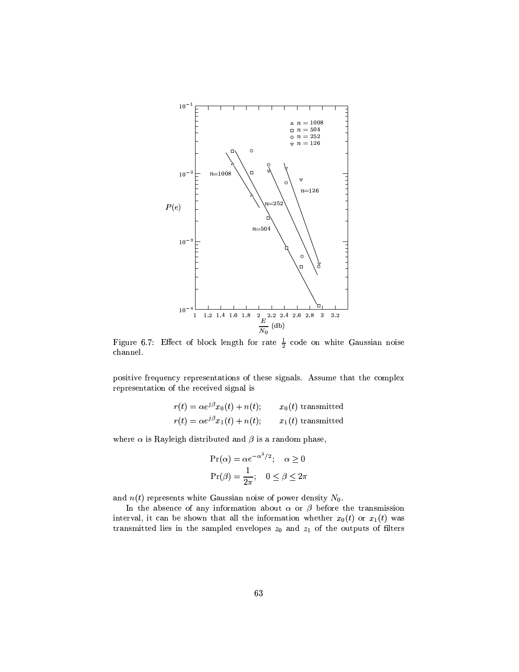

Figure 6.7: Effect of block length for rate  $\frac{1}{2}$  code on white Gaussian noise channel.

positive frequency representations of these signals. Assume that the complex representation of the received signal is

$$
r(t) = \alpha e^{j\beta} x_0(t) + n(t); \qquad x_0(t) \text{ transmitted}
$$
  

$$
r(t) = \alpha e^{j\beta} x_1(t) + n(t); \qquad x_1(t) \text{ transmitted}
$$

where  $\alpha$  is Rayleigh distributed and  $\beta$  is a random phase,

$$
\Pr(\alpha) = \alpha e^{-\alpha^2/2}; \quad \alpha \ge 0
$$
  

$$
\Pr(\beta) = \frac{1}{2\pi}; \quad 0 \le \beta \le 2\pi
$$

and  $n(t)$  represents white Gaussian noise of power density  $N_0$ .

In the absence of any information about  $\alpha$  or  $\beta$  before the transmission interval, it can be shown that all the information whether  $x_0(t)$  or  $x_1(t)$  was transmitted lies in the sampled envelopes  $z_0$  and  $z_1$  of the outputs of filters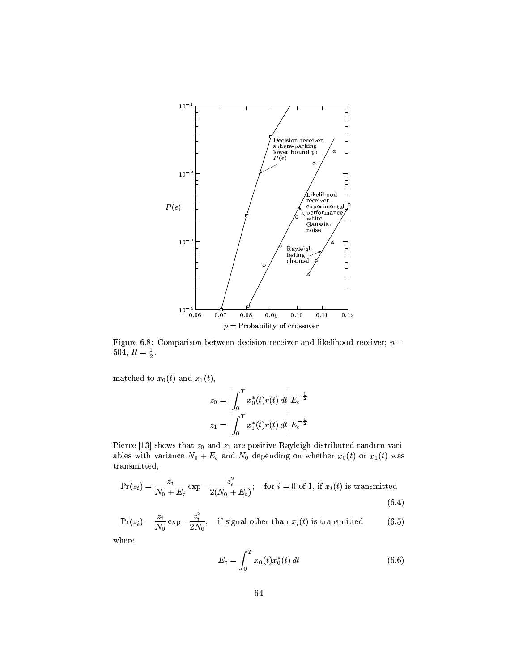

Figure 6.8: Comparison between decision receiver and likelihood receiver;  $n =$  $504, R = \frac{1}{2}.$ 

matched to  $x_0(t)$  and  $x_1(t)$ ,

$$
z_0 = \left| \int_0^T x_0^*(t) r(t) dt \right| E_c^{-\frac{1}{2}}
$$
  

$$
z_1 = \left| \int_0^T x_1^*(t) r(t) dt \right| E_c^{-\frac{1}{2}}
$$

Pierce [13] shows that  $z_0$  and  $z_1$  are positive Rayleigh distributed random variables with variance  $N_0 + E_c$  and  $N_0$  depending on whether  $x_0(t)$  or  $x_1(t)$  was transmitted,

$$
\Pr(z_i) = \frac{z_i}{N_0 + E_c} \exp{-\frac{z_i^2}{2(N_0 + E_c)}}; \quad \text{for } i = 0 \text{ of } 1 \text{, if } x_i(t) \text{ is transmitted} \tag{6.4}
$$

$$
\Pr(z_i) = \frac{z_i}{N_0} \exp{-\frac{z_i^2}{2N_0}}; \quad \text{if signal other than } x_i(t) \text{ is transmitted} \tag{6.5}
$$

 $% \left( \mathcal{N}\right)$  where

$$
E_c = \int_0^T x_0(t) x_0^*(t) dt
$$
 (6.6)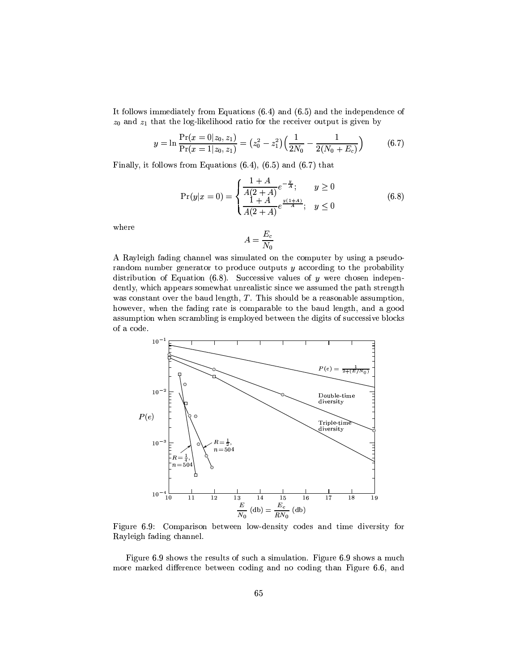It follows immediately from Equations  $(6.4)$  and  $(6.5)$  and the independence of  $z_0$  and  $z_1$  that the log-likelihood ratio for the receiver output is given by

$$
y = \ln \frac{\Pr(x = 0|z_0, z_1)}{\Pr(x = 1|z_0, z_1)} = (z_0^2 - z_1^2) \left(\frac{1}{2N_0} - \frac{1}{2(N_0 + E_c)}\right)
$$
(6.7)

Finally, it follows from Equations  $(6.4)$ ,  $(6.5)$  and  $(6.7)$  that

$$
\Pr(y|x=0) = \begin{cases} \frac{1+A}{A(2+A)}e^{-\frac{y}{A}}; & y \ge 0\\ \frac{1+A}{A(2+A)}e^{\frac{y(1+A)}{A}}; & y \le 0 \end{cases}
$$
(6.8)

where

$$
A=\frac{E_c}{N_0}
$$

A Rayleigh fading channel was simulated on the computer by using a pseudorandom number generator to produce outputs  $y$  according to the probability distribution of Equation  $(6.8)$ . Successive values of y were chosen independently, which appears somewhat unrealistic since we assumed the path strength was constant over the baud length,  $T$ . This should be a reasonable assumption, however, when the fading rate is comparable to the baud length, and a good assumption when scrambling is employed between the digits of successive blocks of a code.



Figure 6.9: Comparison between low-density codes and time diversity for Rayleigh fading channel.

Figure 6.9 shows the results of such a simulation. Figure 6.9 shows a much more marked difference between coding and no coding than Figure 6.6, and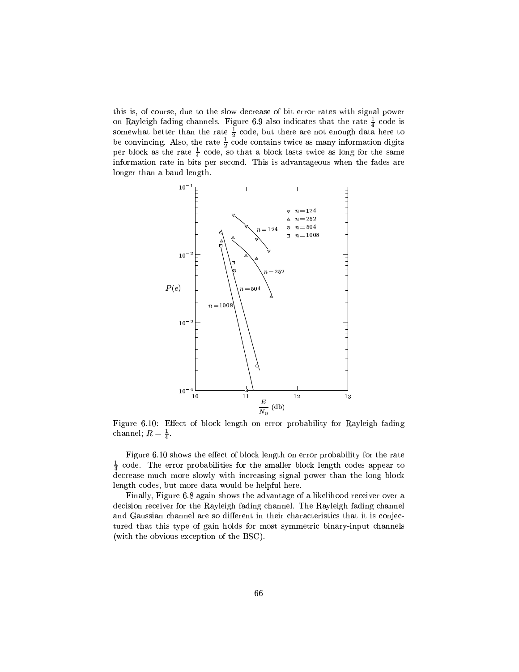this is, of course, due to the slow decrease of bit error rates with signal power on Rayleigh fading channels. Figure 6.9 also indicates that the rate  $\frac{1}{4}$  code is somewhat better than the rate  $\frac{1}{2}$  code, but there are not enough data here to be convincing. Also, the rate  $\frac{1}{2}$  code contains twice as many information digits<br>per block as the rate  $\frac{1}{4}$  code, so that a block lasts twice as long for the same information rate in bits per second. This is advantageous when the fades are longer than a baud length.



Figure 6.10: Effect of block length on error probability for Rayleigh fading channel;  $R=\frac{1}{4}$ .

Figure 6.10 shows the effect of block length on error probability for the rate  $\frac{1}{4}$  code. The error probabilities for the smaller block length codes appear to decrease much more slowly with increasing signal power than the long block length codes, but more data would be helpful here.

Finally, Figure 6.8 again shows the advantage of a likelihood receiver over a decision receiver for the Rayleigh fading channel. The Rayleigh fading channel and Gaussian channel are so different in their characteristics that it is conjectured that this type of gain holds for most symmetric binary-input channels (with the obvious exception of the BSC).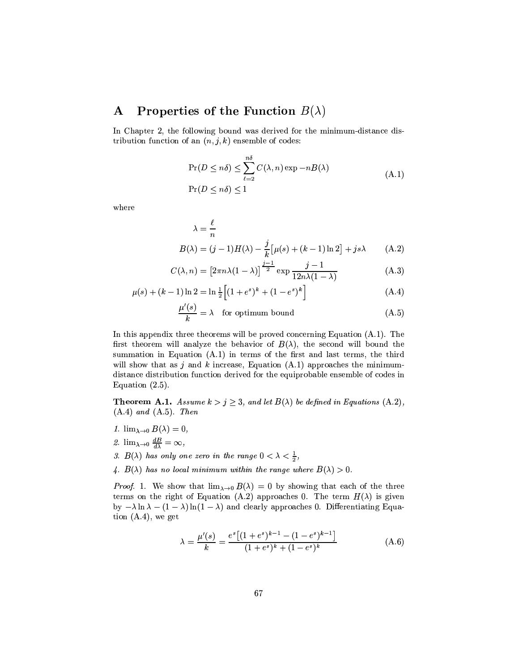## Properties of the Function  $B(\lambda)$  $\mathbf A$

In Chapter 2, the following bound was derived for the minimum-distance distribution function of an  $(n, j, k)$  ensemble of codes:

$$
\Pr(D \le n\delta) \le \sum_{\ell=2}^{n\delta} C(\lambda, n) \exp -nB(\lambda)
$$
  
 
$$
\Pr(D \le n\delta) \le 1
$$
 (A.1)

where

$$
\lambda = \frac{\ell}{n}
$$
  

$$
B(\lambda) = (j - 1)H(\lambda) - \frac{j}{k}[\mu(s) + (k - 1)\ln 2] + js\lambda
$$
 (A.2)

$$
C(\lambda, n) = \left[2\pi n\lambda(1-\lambda)\right]^{\frac{j-1}{2}} \exp\frac{j-1}{12n\lambda(1-\lambda)}
$$
(A.3)

$$
\mu(s) + (k-1)\ln 2 = \ln \frac{1}{2} \left[ (1 + e^s)^k + (1 - e^s)^k \right]
$$
\n(A.4)

$$
\frac{\mu'(s)}{k} = \lambda \quad \text{for optimum bound} \tag{A.5}
$$

In this appendix three theorems will be proved concerning Equation  $(A.1)$ . The first theorem will analyze the behavior of  $B(\lambda)$ , the second will bound the summation in Equation (A.1) in terms of the first and last terms, the third will show that as j and k increase, Equation  $(A.1)$  approaches the minimumdistance distribution function derived for the equiprobable ensemble of codes in Equation  $(2.5)$ .

**Theorem A.1.** Assume  $k > j \geq 3$ , and let  $B(\lambda)$  be defined in Equations (A.2),  $(A.4)$  and  $(A.5)$ . Then

- 1.  $\lim_{\lambda\to 0} B(\lambda) = 0$ ,
- 2.  $\lim_{\lambda\to 0} \frac{dB}{d\lambda} = \infty$ ,
- 3.  $B(\lambda)$  has only one zero in the range  $0 < \lambda < \frac{1}{2}$ ,

4.  $B(\lambda)$  has no local minimum within the range where  $B(\lambda) > 0$ .

*Proof.* 1. We show that  $\lim_{\lambda\to 0} B(\lambda) = 0$  by showing that each of the three terms on the right of Equation (A.2) approaches 0. The term  $H(\lambda)$  is given by  $-\lambda \ln \lambda - (1 - \lambda) \ln(1 - \lambda)$  and clearly approaches 0. Differentiating Equation  $(A.4)$ , we get

$$
\lambda = \frac{\mu'(s)}{k} = \frac{e^s \left[ (1 + e^s)^{k-1} - (1 - e^s)^{k-1} \right]}{(1 + e^s)^k + (1 - e^s)^k}
$$
(A.6)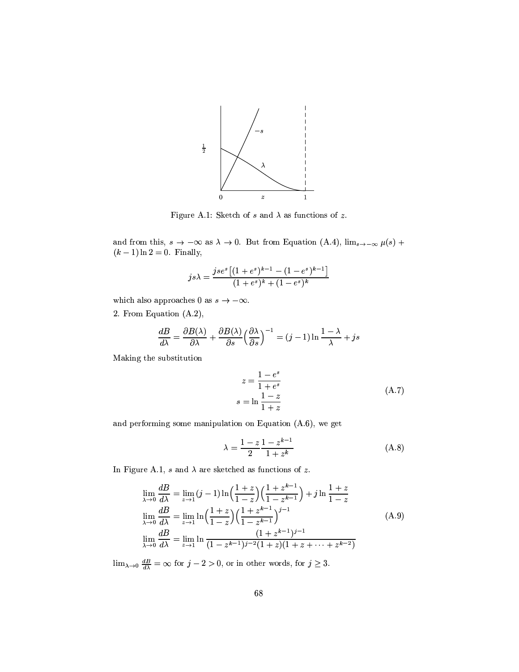

Figure A.1: Sketch of  $s$  and  $\lambda$  as functions of  $z$ .

and from this,  $s \to -\infty$  as  $\lambda \to 0$ . But from Equation (A.4),  $\lim_{s \to -\infty} \mu(s)$  +  $(k-1) \ln 2 = 0$ . Finally,

$$
js\lambda = \frac{jse^s \left[ (1+e^s)^{k-1} - (1-e^s)^{k-1} \right]}{(1+e^s)^k + (1-e^s)^k}
$$

which also approaches 0 as  $s \to -\infty$ .

2. From Equation  $(A.2)$ ,

$$
\frac{dB}{d\lambda} = \frac{\partial B(\lambda)}{\partial \lambda} + \frac{\partial B(\lambda)}{\partial s} \left(\frac{\partial \lambda}{\partial s}\right)^{-1} = (j-1)\ln \frac{1-\lambda}{\lambda} + js
$$

Making the substitution

$$
z = \frac{1 - e^{s}}{1 + e^{s}}
$$
  
\n
$$
s = \ln \frac{1 - z}{1 + z}
$$
 (A.7)

and performing some manipulation on Equation  $(A.6)$ , we get

$$
\lambda = \frac{1 - z}{2} \frac{1 - z^{k-1}}{1 + z^k} \tag{A.8}
$$

In Figure A.1, s and  $\lambda$  are sketched as functions of z.

$$
\lim_{\lambda \to 0} \frac{dB}{d\lambda} = \lim_{z \to 1} (j - 1) \ln \left( \frac{1 + z}{1 - z} \right) \left( \frac{1 + z^{k-1}}{1 - z^{k-1}} \right) + j \ln \frac{1 + z}{1 - z}
$$
\n
$$
\lim_{\lambda \to 0} \frac{dB}{d\lambda} = \lim_{z \to 1} \ln \left( \frac{1 + z}{1 - z} \right) \left( \frac{1 + z^{k-1}}{1 - z^{k-1}} \right)^{j-1}
$$
\n
$$
\lim_{\lambda \to 0} \frac{dB}{d\lambda} = \lim_{z \to 1} \ln \frac{(1 + z^{k-1})^{j-1}}{(1 - z^{k-1})^{j-2} (1 + z)(1 + z + \dots + z^{k-2})}
$$
\n(A.9)

 $\lim\nolimits_{\lambda\rightarrow0}\frac{dB}{d\lambda}=\infty\text{ for }j-2>0\text{, or in other words, for }j\geq3.$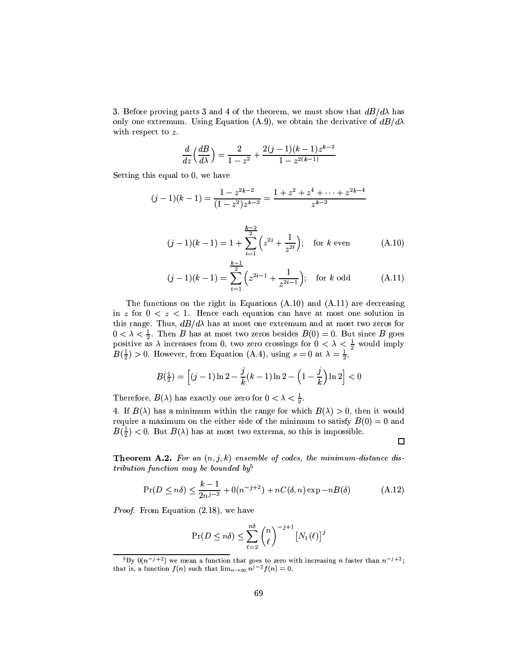3. Before proving parts 3 and 4 of the theorem, we must show that  $dB/d\lambda$  has only one extremum. Using Equation (A.9), we obtain the derivative of  $dB/d\lambda$ with respect to  $z$ .

$$
\frac{d}{dz}\left(\frac{dB}{d\lambda}\right) = \frac{2}{1-z^2} + \frac{2(j-1)(k-1)z^{k-2}}{1-z^{2(k-1)}}
$$

Setting this equal to 0, we have

$$
(j-1)(k-1) = \frac{1-z^{2k-2}}{(1-z^2)z^{k-2}} = \frac{1+z^2+z^4+\dots+z^{2k-4}}{z^{k-2}}
$$

$$
(j-1)(k-1) = 1 + \sum_{i=1}^{k-2} \left(z^{2i} + \frac{1}{z^{2i}}\right); \text{ for } k \text{ even}
$$
 (A.10)

$$
(j-1)(k-1) = \sum_{i=1}^{\frac{n-1}{2}} \left( z^{2i-1} + \frac{1}{z^{2i-1}} \right); \text{ for } k \text{ odd}
$$
 (A.11)

The functions on the right in Equations  $(A.10)$  and  $(A.11)$  are decreasing in z for  $0 \lt z \lt 1$ . Hence each equation can have at most one solution in this range. Thus,  $dB/d\lambda$  has at most one extremum and at most two zeros for  $0 < \lambda < \frac{1}{2}$ . Then B has at most two zeros besides  $B(0) = 0$ . But since B goes positive as  $\lambda$  increases from 0, two zero crossings for  $0 < \lambda < \frac{1}{2}$  would imply  $B(\frac{1}{2}) > 0$ . However, from Equation (A.4), using  $s = 0$  at  $\lambda = \frac{1}{2}$ ,

$$
B(\frac{1}{2}) = \left[ (j-1)\ln 2 - \frac{j}{k}(k-1)\ln 2 - \left(1 - \frac{j}{k}\right)\ln 2 \right] < 0
$$

Therefore,  $B(\lambda)$  has exactly one zero for  $0 < \lambda < \frac{1}{2}$ .

4. If  $B(\lambda)$  has a minimum within the range for which  $B(\lambda) > 0$ , then it would require a maximum on the either side of the minimum to satisfy  $B(0) = 0$  and  $B(\frac{1}{2})$  < 0. But  $B(\lambda)$  has at most two extrema, so this is impossible.

**Theorem A.2.** For an  $(n, j, k)$  ensemble of codes, the minimum-distance distribution function may be bounded by

$$
\Pr(D \le n\delta) \le \frac{k-1}{2n^{j-2}} + 0(n^{-j+2}) + nC(\delta, n) \exp - nB(\delta)
$$
 (A.12)

*Proof.* From Equation  $(2.18)$ , we have

$$
\Pr(D \le n\delta) \le \sum_{\ell=2}^{n\delta} \binom{n}{\ell}^{-j+1} [N_1(\ell)]^j
$$

 $\Box$ 

<sup>&</sup>lt;sup>5</sup>By 0( $n^{-j+2}$ ) we mean a function that goes to zero with increasing *n* faster than  $n^{-j+2}$ ; that is, a function  $f(n)$  such that  $\lim_{n\to\infty} n^{j-2} f(n) = 0$ .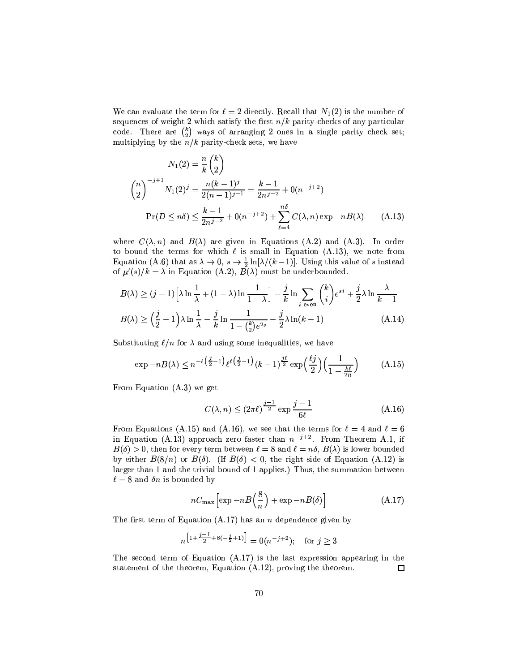We can evaluate the term for  $\ell = 2$  directly. Recall that  $N_1(2)$  is the number of sequences of weight 2 which satisfy the first  $n/k$  parity-checks of any particular code. There are  $\binom{k}{2}$  ways of arranging 2 ones in a single parity check set; multiplying by the  $\overline{n}/k$  parity-check sets, we have

$$
N_1(2) = \frac{n}{k} {k \choose 2}
$$
  

$$
{n \choose 2}^{-j+1} N_1(2)^j = \frac{n(k-1)^j}{2(n-1)^{j-1}} = \frac{k-1}{2n^{j-2}} + 0(n^{-j+2})
$$
  

$$
\Pr(D \le n\delta) \le \frac{k-1}{2n^{j-2}} + 0(n^{-j+2}) + \sum_{\ell=4}^{n\delta} C(\lambda, n) \exp(-n\beta(\lambda)) \tag{A.13}
$$

where  $C(\lambda, n)$  and  $B(\lambda)$  are given in Equations (A.2) and (A.3). In order to bound the terms for which  $\ell$  is small in Equation (A.13), we note from Equation (A.6) that as  $\lambda \to 0$ ,  $s \to \frac{1}{2} \ln[\lambda/(k-1)]$ . Using this value of s instead of  $\mu'(s)/k = \lambda$  in Equation (A.2),  $\overline{B}(\lambda)$  must be underbounded.

$$
B(\lambda) \ge (j-1) \left[ \lambda \ln \frac{1}{\lambda} + (1-\lambda) \ln \frac{1}{1-\lambda} \right] - \frac{j}{k} \ln \sum_{i \text{ even}} {k \choose i} e^{si} + \frac{j}{2} \lambda \ln \frac{\lambda}{k-1}
$$
  

$$
B(\lambda) \ge (\frac{j}{2} - 1) \lambda \ln \frac{1}{\lambda} - \frac{j}{k} \ln \frac{1}{1 - {k \choose 2} e^{2s}} - \frac{j}{2} \lambda \ln(k-1)
$$
(A.14)

Substituting  $\ell/n$  for  $\lambda$  and using some inequalities, we have

$$
\exp -nB(\lambda) \le n^{-\ell\left(\frac{j}{2}-1\right)} \ell^{\ell\left(\frac{j}{2}-1\right)} \left(k-1\right)^{\frac{j\ell}{2}} \exp\left(\frac{\ell j}{2}\right) \left(\frac{1}{1-\frac{k\ell}{2n}}\right) \tag{A.15}
$$

From Equation  $(A.3)$  we get

$$
C(\lambda, n) \le (2\pi\ell)^{\frac{j-1}{2}} \exp \frac{j-1}{6\ell} \tag{A.16}
$$

From Equations (A.15) and (A.16), we see that the terms for  $\ell = 4$  and  $\ell = 6$ in Equation (A.13) approach zero faster than  $n^{-j+2}$ . From Theorem A.1, if  $B(\delta) > 0$ , then for every term between  $\ell = 8$  and  $\ell = n\delta$ ,  $B(\lambda)$  is lower bounded by either  $B(8/n)$  or  $B(\delta)$ . (If  $B(\delta) < 0$ , the right side of Equation (A.12) is larger than 1 and the trivial bound of 1 applies.) Thus, the summation between  $\ell = 8$  and  $\delta n$  is bounded by

$$
nC_{\max}\left[\exp -nB\left(\frac{8}{n}\right) + \exp -nB(\delta)\right]
$$
 (A.17)

The first term of Equation  $(A.17)$  has an *n* dependence given by

$$
n^{\left[1+\frac{j-1}{2}+8(-\frac{j}{2}+1)\right]} = 0(n^{-j+2}); \text{ for } j \geq 3
$$

The second term of Equation  $(A.17)$  is the last expression appearing in the statement of the theorem, Equation  $(A.12)$ , proving the theorem.  $\Box$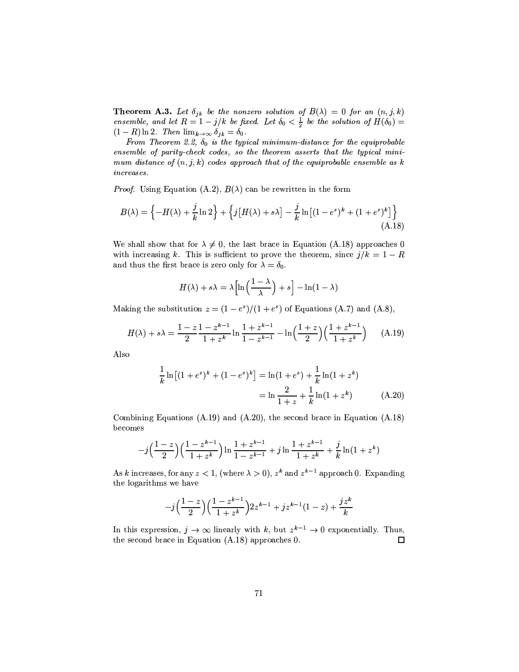**Theorem A.3.** Let  $\delta_{jk}$  be the nonzero solution of  $B(\lambda) = 0$  for an  $(n, j, k)$ ensemble, and let  $R = 1 - j/k$  be fixed. Let  $\delta_0 < \frac{1}{2}$  be the solution of  $H(\delta_0)$  $(1 - R) \ln 2$ . Then  $\lim_{k \to \infty} \delta_{jk} = \delta_0$ .

From Theorem 2.2,  $\delta_0$  is the typical minimum-distance for the equiprobable ensemble of parity-check codes, so the theorem asserts that the typical minimum distance of  $(n, j, k)$  codes approach that of the equiprobable ensemble as k increases.

*Proof.* Using Equation (A.2),  $B(\lambda)$  can be rewritten in the form

$$
B(\lambda) = \left\{-H(\lambda) + \frac{j}{k}\ln 2\right\} + \left\{j\left[H(\lambda) + s\lambda\right] - \frac{j}{k}\ln\left[(1 - e^s)^k + (1 + e^s)^k\right]\right\}
$$
\n(A.18)

We shall show that for  $\lambda \neq 0$ , the last brace in Equation (A.18) approaches 0 with increasing k. This is sufficient to prove the theorem, since  $j/k = 1 - R$ and thus the first brace is zero only for  $\lambda = \delta_0$ .

$$
H(\lambda) + s\lambda = \lambda \left[ \ln \left( \frac{1 - \lambda}{\lambda} \right) + s \right] - \ln(1 - \lambda)
$$

Making the substitution  $z = (1 - e^s)/(1 + e^s)$  of Equations (A.7) and (A.8),

$$
H(\lambda) + s\lambda = \frac{1-z}{2} \frac{1-z^{k-1}}{1+z^k} \ln \frac{1+z^{k-1}}{1-z^{k-1}} - \ln \left(\frac{1+z}{2}\right) \left(\frac{1+z^{k-1}}{1+z^k}\right) \tag{A.19}
$$

Also

$$
\frac{1}{k}\ln\left[(1+e^s)^k + (1-e^s)^k\right] = \ln(1+e^s) + \frac{1}{k}\ln(1+z^k)
$$

$$
= \ln\frac{2}{1+z} + \frac{1}{k}\ln(1+z^k) \tag{A.20}
$$

Combining Equations  $(A.19)$  and  $(A.20)$ , the second brace in Equation  $(A.18)$ becomes

$$
-j\left(\frac{1-z}{2}\right)\left(\frac{1-z^{k-1}}{1+z^k}\right)\ln\frac{1+z^{k-1}}{1-z^{k-1}}+j\ln\frac{1+z^{k-1}}{1+z^k}+\frac{j}{k}\ln(1+z^k)
$$

As k increases, for any  $z < 1$ , (where  $\lambda > 0$ ),  $z^k$  and  $z^{k-1}$  approach 0. Expanding the logarithms we have

$$
-j\left(\frac{1-z}{2}\right)\left(\frac{1-z^{k-1}}{1+z^k}\right)2z^{k-1}+jz^{k-1}(1-z)+\frac{jz^k}{k}
$$

In this expression,  $j \to \infty$  linearly with k, but  $z^{k-1} \to 0$  exponentially. Thus, the second brace in Equation (A.18) approaches 0.  $\Box$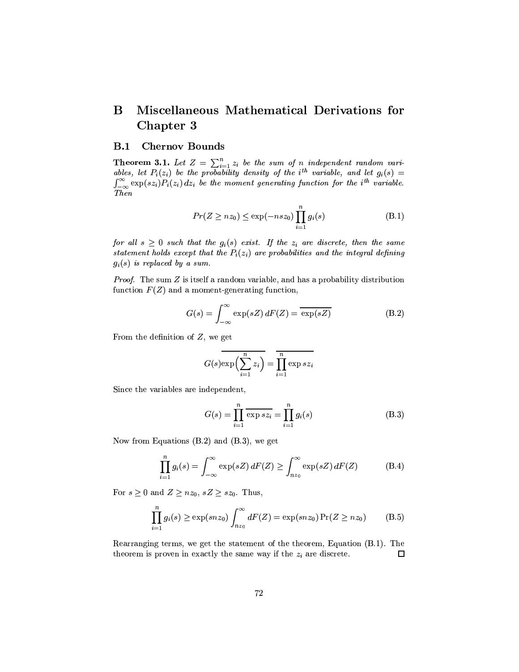# Miscellaneous Mathematical Derivations for B Chapter 3

#### $B.1$ **Chernov Bounds**

**Theorem 3.1.** Let  $Z = \sum_{i=1}^{n} z_i$  be the sum of *n* independent random variables, let  $P_i(z_i)$  be the probability density of the *i*<sup>th</sup> variable, and let  $g_i(s) = \int_{-\infty}^{\infty} \exp(sz_i) P_i(z_i) dz_i$  be the moment generating functio **Then** 

$$
Pr(Z \ge nz_0) \le \exp(-nsz_0) \prod_{i=1}^n g_i(s)
$$
\n(B.1)

for all  $s \geq 0$  such that the  $g_i(s)$  exist. If the  $z_i$  are discrete, then the same statement holds except that the  $P_i(z_i)$  are probabilities and the integral defining  $g_i(s)$  is replaced by a sum.

*Proof.* The sum  $Z$  is itself a random variable, and has a probability distribution function  $F(Z)$  and a moment-generating function,

$$
G(s) = \int_{-\infty}^{\infty} \exp(sZ) \, dF(Z) = \overline{\exp(sZ)} \tag{B.2}
$$

From the definition of  $Z$ , we get

$$
G(s) \overline{\exp\left(\sum_{i=1}^{n} z_i\right)} = \overline{\prod_{i=1}^{n} \exp sz_i}
$$

Since the variables are independent,

$$
G(s) = \prod_{i=1}^{n} \overline{\exp sz_i} = \prod_{i=1}^{n} g_i(s)
$$
 (B.3)

Now from Equations  $(B.2)$  and  $(B.3)$ , we get

$$
\prod_{i=1}^{n} g_i(s) = \int_{-\infty}^{\infty} \exp(sZ) dF(Z) \ge \int_{nz_0}^{\infty} \exp(sZ) dF(Z) \tag{B.4}
$$

For  $s \geq 0$  and  $Z \geq nz_0$ ,  $sZ \geq sz_0$ . Thus,

$$
\prod_{i=1}^{n} g_i(s) \ge \exp(snz_0) \int_{nz_0}^{\infty} dF(Z) = \exp(snz_0) \Pr(Z \ge nz_0)
$$
 (B.5)

Rearranging terms, we get the statement of the theorem, Equation (B.1). The theorem is proven in exactly the same way if the  $z_i$  are discrete.  $\Box$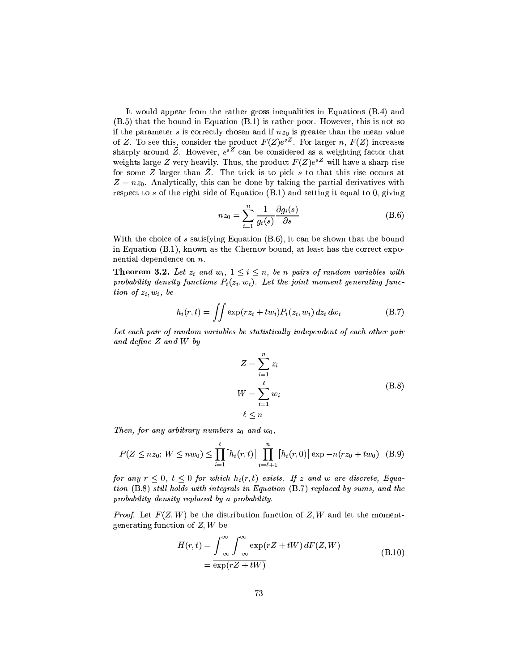It would appear from the rather gross inequalities in Equations (B.4) and (B.5) that the bound in Equation (B.1) is rather poor. However, this is not so if the parameter s is correctly chosen and if  $nz_0$  is greater than the mean value of Z. To see this, consider the product  $F(Z)e^{sZ}$ . For larger n,  $F(Z)$  increases sharply around  $\overline{Z}$ . However,  $e^{sZ}$  can be considered as a weighting factor that weights large Z very heavily. Thus, the product  $F(Z)e^{sZ}$  will have a sharp rise for some  $Z$  larger than  $\overline{Z}$ . The trick is to pick s to that this rise occurs at  $Z = nz_0$ . Analytically, this can be done by taking the partial derivatives with respect to s of the right side of Equation  $(B.1)$  and setting it equal to 0, giving

$$
nz_0 = \sum_{i=1}^{n} \frac{1}{g_i(s)} \frac{\partial g_i(s)}{\partial s}
$$
 (B.6)

With the choice of s satisfying Equation  $(B.6)$ , it can be shown that the bound in Equation (B.1), known as the Chernov bound, at least has the correct exponential dependence on  $n$ .

**Theorem 3.2.** Let  $z_i$  and  $w_i$ ,  $1 \leq i \leq n$ , be *n* pairs of random variables with probability density functions  $P_i(z_i, w_i)$ . Let the joint moment generating function of  $z_i, w_i$ , be

$$
h_i(r,t) = \iint \exp(rz_i + tw_i)P_i(z_i, w_i) dz_i dw_i \tag{B.7}
$$

Let each pair of random variables be statistically independent of each other pair and define  $Z$  and  $W$  by

$$
Z = \sum_{i=1}^{n} z_i
$$
  
\n
$$
W = \sum_{i=1}^{\ell} w_i
$$
  
\n
$$
\ell \le n
$$
 (B.8)

Then, for any arbitrary numbers  $z_0$  and  $w_0$ ,

$$
P(Z \leq nz_0; W \leq nw_0) \leq \prod_{i=1}^{\ell} [h_i(r, t)] \prod_{i=\ell+1}^n [h_i(r, 0)] \exp -n(rz_0 + tw_0) \quad (B.9)
$$

for any  $r \leq 0$ ,  $t \leq 0$  for which  $h_i(r, t)$  exists. If z and w are discrete, Equation (B.8) still holds with integrals in Equation (B.7) replaced by sums, and the probability density replaced by a probability.

*Proof.* Let  $F(Z, W)$  be the distribution function of Z, W and let the momentgenerating function of  $Z, W$  be

$$
H(r,t) = \int_{-\infty}^{\infty} \int_{-\infty}^{\infty} \exp(rZ + tW) \, dF(Z, W)
$$
  
= 
$$
\frac{\exp(rZ + tW)}{\exp(rZ + tW)}
$$
 (B.10)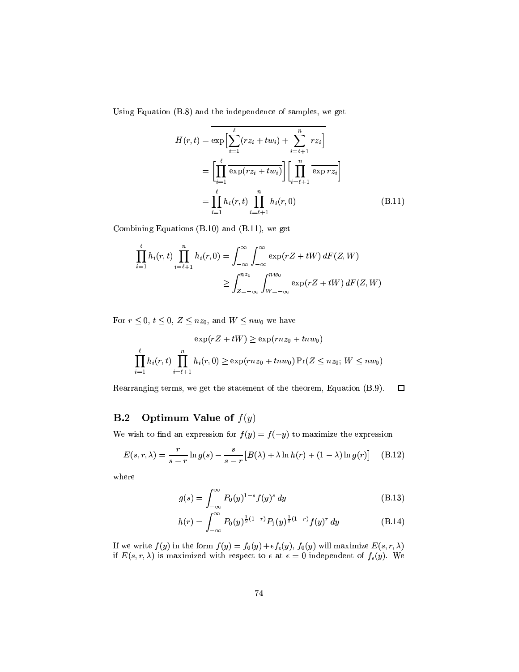Using Equation (B.8) and the independence of samples, we get

$$
H(r,t) = \overline{\exp\left[\sum_{i=1}^{\ell} (rz_i + tw_i) + \sum_{i=\ell+1}^{n} rz_i\right]}
$$

$$
= \left[\prod_{i=1}^{\ell} \overline{\exp(rz_i + tw_i)}\right] \left[\prod_{i=\ell+1}^{n} \overline{\exprz_i}\right]
$$

$$
= \prod_{i=1}^{\ell} h_i(r,t) \prod_{i=\ell+1}^{n} h_i(r,0) \tag{B.11}
$$

Combining Equations (B.10) and (B.11), we get

$$
\prod_{i=1}^{\ell} h_i(r,t) \prod_{i=\ell+1}^{n} h_i(r,0) = \int_{-\infty}^{\infty} \int_{-\infty}^{\infty} \exp(rZ + tW) dF(Z,W)
$$

$$
\geq \int_{Z=-\infty}^{nz_0} \int_{W=-\infty}^{nw_0} \exp(rZ + tW) dF(Z,W)
$$

For  $r \leq 0, t \leq 0, Z \leq nz_0$ , and  $W \leq nw_0$  we have

$$
\exp(rZ + tW) \ge \exp(rnz_0 + t n w_0)
$$
  

$$
\prod_{i=1}^{\ell} h_i(r, t) \prod_{i=\ell+1}^{n} h_i(r, 0) \ge \exp(rnz_0 + t n w_0) \Pr(Z \le nz_0; W \le nw_0)
$$

Rearranging terms, we get the statement of the theorem, Equation (B.9).  $\Box$ 

### Optimum Value of  $f(y)$  $B.2$

We wish to find an expression for  $f(y) = f(-y)$  to maximize the expression

$$
E(s,r,\lambda) = \frac{r}{s-r} \ln g(s) - \frac{s}{s-r} \left[ B(\lambda) + \lambda \ln h(r) + (1-\lambda) \ln g(r) \right]
$$
 (B.12)

where

$$
g(s) = \int_{-\infty}^{\infty} P_0(y)^{1-s} f(y)^s \, dy \tag{B.13}
$$

$$
h(r) = \int_{-\infty}^{\infty} P_0(y)^{\frac{1}{2}(1-r)} P_1(y)^{\frac{1}{2}(1-r)} f(y)^r dy
$$
 (B.14)

If we write  $f(y)$  in the form  $f(y) = f_0(y) + \epsilon f_{\epsilon}(y)$ ,  $f_0(y)$  will maximize  $E(s, r, \lambda)$ if  $E(s,r,\lambda)$  is maximized with respect to  $\epsilon$  at  $\epsilon = 0$  independent of  $f_{\epsilon}(y)$ . We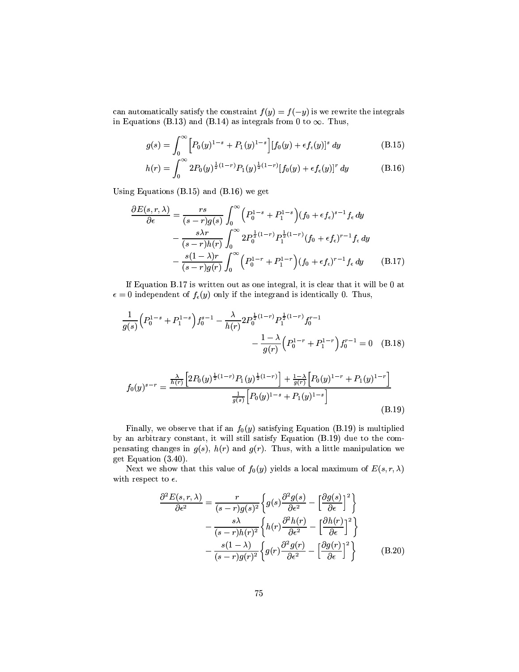can automatically satisfy the constraint  $f(y) = f(-y)$  is we rewrite the integrals in Equations (B.13) and (B.14) as integrals from 0 to  $\infty$ . Thus,

$$
g(s) = \int_0^\infty \left[ P_0(y)^{1-s} + P_1(y)^{1-s} \right] [f_0(y) + \epsilon f_\epsilon(y)]^s dy \tag{B.15}
$$

$$
h(r) = \int_0^\infty 2P_0(y)^{\frac{1}{2}(1-r)} P_1(y)^{\frac{1}{2}(1-r)} [f_0(y) + \epsilon f_\epsilon(y)]^r dy \tag{B.16}
$$

Using Equations  $(B.15)$  and  $(B.16)$  we get

$$
\frac{\partial E(s,r,\lambda)}{\partial \epsilon} = \frac{rs}{(s-r)g(s)} \int_0^\infty \left( P_0^{1-s} + P_1^{1-s} \right) (f_0 + \epsilon f_\epsilon)^{s-1} f_\epsilon \, dy
$$

$$
- \frac{s\lambda r}{(s-r)h(r)} \int_0^\infty 2P_0^{\frac{1}{2}(1-r)} P_1^{\frac{1}{2}(1-r)} (f_0 + \epsilon f_\epsilon)^{r-1} f_\epsilon \, dy
$$

$$
- \frac{s(1-\lambda)r}{(s-r)g(r)} \int_0^\infty \left( P_0^{1-r} + P_1^{1-r} \right) (f_0 + \epsilon f_\epsilon)^{r-1} f_\epsilon \, dy \qquad (B.17)
$$

If Equation B.17 is written out as one integral, it is clear that it will be 0 at  $\epsilon = 0$  independent of  $f_{\epsilon}(y)$  only if the integrand is identically 0. Thus,

$$
\frac{1}{g(s)}\Big(P_0^{1-s} + P_1^{1-s}\Big)f_0^{s-1} - \frac{\lambda}{h(r)} 2P_0^{\frac{1}{2}(1-r)} P_1^{\frac{1}{2}(1-r)} f_0^{r-1} - \frac{1-\lambda}{g(r)} \Big(P_0^{1-r} + P_1^{1-r}\Big) f_0^{r-1} = 0 \quad (B.18)
$$

$$
f_0(y)^{s-r} = \frac{\frac{\lambda}{h(r)} \left[ 2P_0(y)^{\frac{1}{2}(1-r)} P_1(y)^{\frac{1}{2}(1-r)} \right] + \frac{1-\lambda}{g(r)} \left[ P_0(y)^{1-r} + P_1(y)^{1-r} \right]}{\frac{1}{g(s)} \left[ P_0(y)^{1-s} + P_1(y)^{1-s} \right]}
$$
(B.19)

Finally, we observe that if an  $f_0(y)$  satisfying Equation (B.19) is multiplied by an arbitrary constant, it will still satisfy Equation (B.19) due to the compensating changes in  $g(s)$ ,  $h(r)$  and  $g(r)$ . Thus, with a little manipulation we get Equation  $(3.40)$ .

Next we show that this value of  $f_0(y)$  yields a local maximum of  $E(s,r,\lambda)$ with respect to  $\epsilon$ .

$$
\frac{\partial^2 E(s, r, \lambda)}{\partial \epsilon^2} = \frac{r}{(s - r)g(s)^2} \left\{ g(s) \frac{\partial^2 g(s)}{\partial \epsilon^2} - \left[ \frac{\partial g(s)}{\partial \epsilon} \right]^2 \right\} \n- \frac{s\lambda}{(s - r)h(r)^2} \left\{ h(r) \frac{\partial^2 h(r)}{\partial \epsilon^2} - \left[ \frac{\partial h(r)}{\partial \epsilon} \right]^2 \right\} \n- \frac{s(1 - \lambda)}{(s - r)g(r)^2} \left\{ g(r) \frac{\partial^2 g(r)}{\partial \epsilon^2} - \left[ \frac{\partial g(r)}{\partial \epsilon} \right]^2 \right\}
$$
(B.20)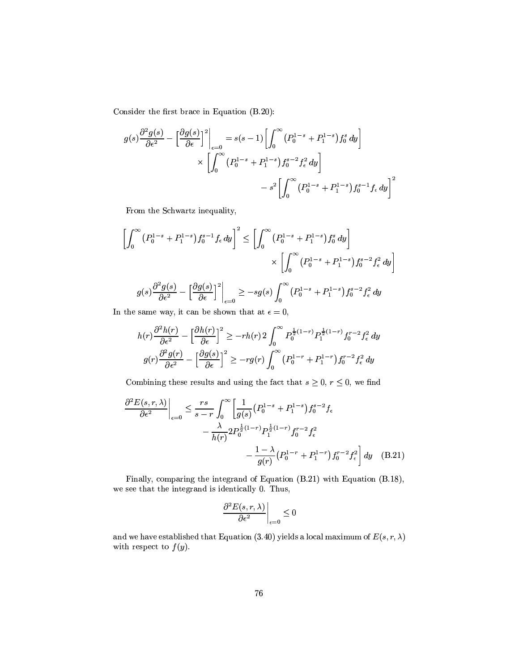Consider the first brace in Equation (B.20):

$$
g(s)\frac{\partial^2 g(s)}{\partial \epsilon^2} - \left[\frac{\partial g(s)}{\partial \epsilon}\right]^2 \Big|_{\epsilon=0} = s(s-1) \left[ \int_0^\infty (P_0^{1-s} + P_1^{1-s}) f_0^s \, dy \right]
$$

$$
\times \left[ \int_0^\infty (P_0^{1-s} + P_1^{1-s}) f_0^{s-2} f_\epsilon^2 \, dy \right]
$$

$$
- s^2 \left[ \int_0^\infty (P_0^{1-s} + P_1^{1-s}) f_0^{s-1} f_\epsilon \, dy \right]^2
$$

From the Schwartz inequality,

$$
\left[ \int_0^\infty (P_0^{1-s} + P_1^{1-s}) f_0^{s-1} f_\epsilon \, dy \right]^2 \le \left[ \int_0^\infty (P_0^{1-s} + P_1^{1-s}) f_0^s \, dy \right]
$$

$$
\times \left[ \int_0^\infty (P_0^{1-s} + P_1^{1-s}) f_0^{s-2} f_\epsilon^2 \, dy \right]
$$

$$
g(s) \frac{\partial^2 g(s)}{\partial \epsilon^2} - \left[ \frac{\partial g(s)}{\partial \epsilon} \right]^2 \Big|_{\epsilon=0} \ge -sg(s) \int_0^\infty (P_0^{1-s} + P_1^{1-s}) f_0^{s-2} f_\epsilon^2 \, dy
$$

In the same way, it can be shown that at  $\epsilon=0,$ 

$$
h(r)\frac{\partial^2 h(r)}{\partial \epsilon^2} - \left[\frac{\partial h(r)}{\partial \epsilon}\right]^2 \ge -rh(r) 2 \int_0^\infty P_0^{\frac{1}{2}(1-r)} P_1^{\frac{1}{2}(1-r)} f_0^{r-2} f_\epsilon^2 dy
$$
  

$$
g(r)\frac{\partial^2 g(r)}{\partial \epsilon^2} - \left[\frac{\partial g(s)}{\partial \epsilon}\right]^2 \ge -rg(r) \int_0^\infty \left(P_0^{1-r} + P_1^{1-r}\right) f_0^{r-2} f_\epsilon^2 dy
$$

Combining these results and using the fact that  $s\geq 0,\,r\leq 0,$  we find

$$
\frac{\partial^2 E(s, r, \lambda)}{\partial \epsilon^2} \bigg|_{\epsilon=0} \le \frac{rs}{s-r} \int_0^\infty \left[ \frac{1}{g(s)} \left( P_0^{1-s} + P_1^{1-s} \right) f_0^{s-2} f_\epsilon \right. \\ \left. - \frac{\lambda}{h(r)} 2 P_0^{\frac{1}{2}(1-r)} P_1^{\frac{1}{2}(1-r)} f_0^{r-2} f_\epsilon^2 \right. \\ \left. - \frac{1-\lambda}{g(r)} \left( P_0^{1-r} + P_1^{1-r} \right) f_0^{r-2} f_\epsilon^2 \right] dy \quad \text{(B.21)}
$$

Finally, comparing the integrand of Equation (B.21) with Equation (B.18), we see that the integrand is identically 0. Thus,

$$
\left. \frac{\partial^2 E(s, r, \lambda)}{\partial \epsilon^2} \right|_{\epsilon=0} \le 0
$$

and we have established that Equation (3.40) yields a local maximum of  $E(s,r,\lambda)$ with respect to  $f(y)$ .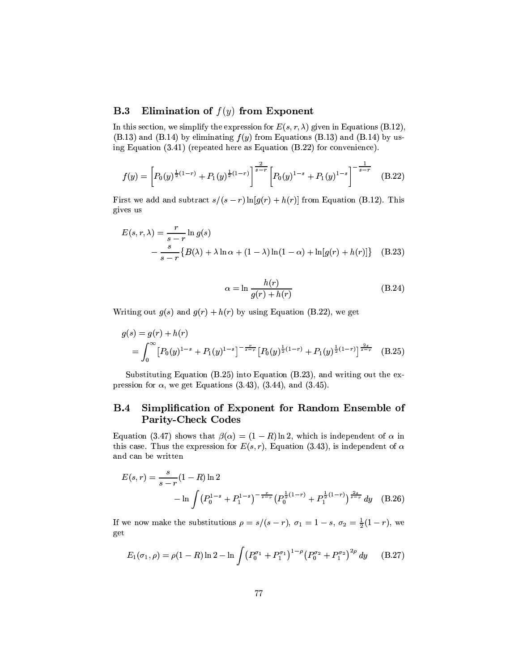#### $B.3$ Elimination of  $f(y)$  from Exponent

In this section, we simplify the expression for  $E(s, r, \lambda)$  given in Equations (B.12),  $(B.13)$  and  $(B.14)$  by eliminating  $f(y)$  from Equations  $(B.13)$  and  $(B.14)$  by using Equation  $(3.41)$  (repeated here as Equation  $(B.22)$ ) for convenience).

$$
f(y) = \left[ P_0(y)^{\frac{1}{2}(1-r)} + P_1(y)^{\frac{1}{2}(1-r)} \right]^{\frac{2}{s-r}} \left[ P_0(y)^{1-s} + P_1(y)^{1-s} \right]^{-\frac{1}{s-r}} \quad (B.22)
$$

First we add and subtract  $s/(s-r)\ln[g(r)+h(r)]$  from Equation (B.12). This gives us

$$
E(s,r,\lambda) = \frac{r}{s-r} \ln g(s)
$$
  
 
$$
- \frac{s}{s-r} \{B(\lambda) + \lambda \ln \alpha + (1-\lambda) \ln(1-\alpha) + \ln[g(r) + h(r)]\}
$$
 (B.23)

$$
\alpha = \ln \frac{h(r)}{g(r) + h(r)}\tag{B.24}
$$

Writing out  $g(s)$  and  $g(r) + h(r)$  by using Equation (B.22), we get

$$
g(s) = g(r) + h(r)
$$
  
= 
$$
\int_0^{\infty} \left[ P_0(y)^{1-s} + P_1(y)^{1-s} \right]^{-\frac{r}{s-r}} \left[ P_0(y)^{\frac{1}{2}(1-r)} + P_1(y)^{\frac{1}{2}(1-r)} \right]^{\frac{2s}{s-r}}
$$
 (B.25)

Substituting Equation (B.25) into Equation (B.23), and writing out the expression for  $\alpha$ , we get Equations (3.43), (3.44), and (3.45).

### $B.4$ Simplification of Exponent for Random Ensemble of **Parity-Check Codes**

Equation (3.47) shows that  $\beta(\alpha) = (1 - R) \ln 2$ , which is independent of  $\alpha$  in this case. Thus the expression for  $E(s, r)$ , Equation (3.43), is independent of  $\alpha$ and can be written

$$
E(s,r) = \frac{s}{s-r}(1-R)\ln 2
$$
  
-  $\ln \int (P_0^{1-s} + P_1^{1-s})^{-\frac{r}{s-r}} (P_0^{\frac{1}{2}(1-r)} + P_1^{\frac{1}{2}(1-r)})^{\frac{2s}{s-r}} dy$  (B.26)

If we now make the substitutions  $\rho = s/(s-r)$ ,  $\sigma_1 = 1-s$ ,  $\sigma_2 = \frac{1}{2}(1-r)$ , we get

$$
E_1(\sigma_1, \rho) = \rho(1 - R) \ln 2 - \ln \int (P_0^{\sigma_1} + P_1^{\sigma_1})^{1 - \rho} (P_0^{\sigma_2} + P_1^{\sigma_2})^{2\rho} dy \qquad (B.27)
$$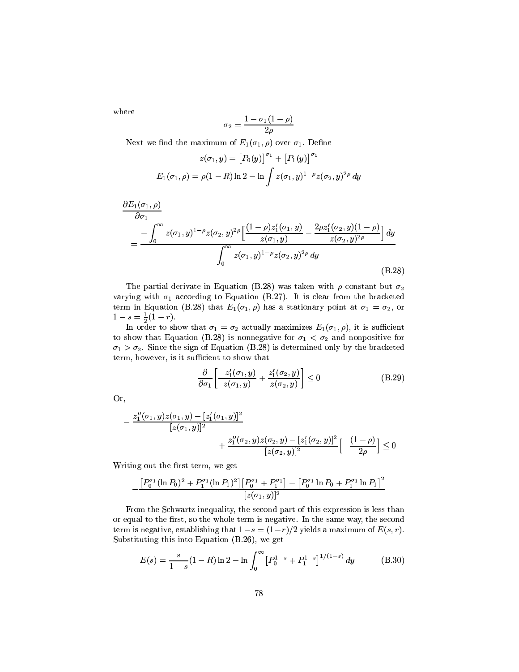where

$$
\sigma_2 = \frac{1 - \sigma_1(1 - \rho)}{2\rho}
$$

Next we find the maximum of  $E_1(\sigma_1,\rho)$  over  $\sigma_1$ . Define

$$
z(\sigma_1, y) = [P_0(y)]^{\sigma_1} + [P_1(y)]^{\sigma_1}
$$

$$
E_1(\sigma_1, \rho) = \rho(1 - R) \ln 2 - \ln \int z(\sigma_1, y)^{1 - \rho} z(\sigma_2, y)^{2\rho} dy
$$

$$
\frac{\partial E_1(\sigma_1, \rho)}{\partial \sigma_1} = \frac{-\int_0^\infty z(\sigma_1, y)^{1-\rho} z(\sigma_2, y)^{2\rho} \left[ \frac{(1-\rho)z_1'(\sigma_1, y)}{z(\sigma_1, y)} - \frac{2\rho z_1'(\sigma_2, y)(1-\rho)}{z(\sigma_2, y)^{2\rho}} \right] dy}{\int_0^\infty z(\sigma_1, y)^{1-\rho} z(\sigma_2, y)^{2\rho} dy}
$$
\n(B.28)

The partial derivate in Equation (B.28) was taken with  $\rho$  constant but  $\sigma_2$ varying with  $\sigma_1$  according to Equation (B.27). It is clear from the bracketed term in Equation (B.28) that  $E_1(\sigma_1,\rho)$  has a stationary point at  $\sigma_1 = \sigma_2$ , or  $1-s=\frac{1}{2}(1-r).$ 

In order to show that  $\sigma_1 = \sigma_2$  actually maximizes  $E_1(\sigma_1, \rho)$ , it is sufficient to show that Equation (B.28) is nonnegative for  $\sigma_1 < \sigma_2$  and nonpositive for  $\sigma_1 > \sigma_2$ . Since the sign of Equation (B.28) is determined only by the bracketed term, however, is it sufficient to show that

$$
\frac{\partial}{\partial \sigma_1} \left[ \frac{-z_1'(\sigma_1, y)}{z(\sigma_1, y)} + \frac{z_1'(\sigma_2, y)}{z(\sigma_2, y)} \right] \le 0
$$
\n(B.29)

Or,

$$
-\frac{z_1''(\sigma_1, y)z(\sigma_1, y) - [z_1'(\sigma_1, y)]^2}{[z(\sigma_1, y)]^2} + \frac{z_1''(\sigma_2, y)z(\sigma_2, y) - [z_1'(\sigma_2, y)]^2}{[z(\sigma_2, y)]^2} \left[-\frac{(1-\rho)}{2\rho}\right] \le 0
$$

Writing out the first term, we get

$$
-\frac{\left[P_0^{\sigma_1}(\ln P_0)^2+P_1^{\sigma_1}(\ln P_1)^2\right]\left[P_0^{\sigma_1}+P_1^{\sigma_1}\right]-\left[P_0^{\sigma_1}\ln P_0+P_1^{\sigma_1}\ln P_1\right]^2}{[z(\sigma_1,y)]^2}
$$

From the Schwartz inequality, the second part of this expression is less than or equal to the first, so the whole term is negative. In the same way, the second term is negative, establishing that  $1-s = (1-r)/2$  yields a maximum of  $E(s,r)$ . Substituting this into Equation (B.26), we get

$$
E(s) = \frac{s}{1-s}(1-R)\ln 2 - \ln \int_0^\infty \left[P_0^{1-s} + P_1^{1-s}\right]^{1/(1-s)} dy \tag{B.30}
$$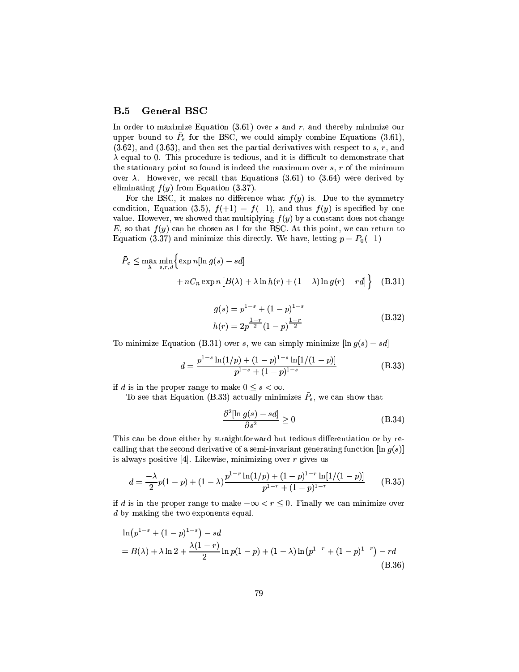#### $B.5$ **General BSC**

In order to maximize Equation (3.61) over  $s$  and  $r$ , and thereby minimize our upper bound to  $\bar{P}_e$  for the BSC, we could simply combine Equations (3.61),  $(3.62)$ , and  $(3.63)$ , and then set the partial derivatives with respect to s, r, and  $\lambda$  equal to 0. This procedure is tedious, and it is difficult to demonstrate that the stationary point so found is indeed the maximum over  $s, r$  of the minimum over  $\lambda$ . However, we recall that Equations (3.61) to (3.64) were derived by eliminating  $f(y)$  from Equation (3.37).

For the BSC, it makes no difference what  $f(y)$  is. Due to the symmetry condition, Equation (3.5),  $f(+1) = f(-1)$ , and thus  $f(y)$  is specified by one value. However, we showed that multiplying  $f(y)$  by a constant does not change E, so that  $f(y)$  can be chosen as 1 for the BSC. At this point, we can return to Equation (3.37) and minimize this directly. We have, letting  $p = P_0(-1)$ 

$$
\bar{P}_e \le \max_{\lambda} \min_{s,r,d} \left\{ \exp n[\ln g(s) - sd] + nC_n \exp n[B(\lambda) + \lambda \ln h(r) + (1 - \lambda) \ln g(r) - rd] \right\} \quad (B.31)
$$

$$
g(s) = p^{1-s} + (1-p)^{1-s}
$$
  
\n
$$
h(r) = 2p^{\frac{1-r}{2}}(1-p)^{\frac{1-r}{2}}
$$
\n(B.32)

To minimize Equation (B.31) over s, we can simply minimize  $[\ln g(s) - sd]$ 

$$
d = \frac{p^{1-s} \ln(1/p) + (1-p)^{1-s} \ln[1/(1-p)]}{p^{1-s} + (1-p)^{1-s}}
$$
(B.33)

if d is in the proper range to make  $0 \leq s < \infty$ .

To see that Equation (B.33) actually minimizes  $\bar{P}_e$ , we can show that

$$
\frac{\partial^2 [\ln g(s) - sd]}{\partial s^2} \ge 0
$$
 (B.34)

This can be done either by straightforward but tedious differentiation or by recalling that the second derivative of a semi-invariant generating function  $\left[ \ln g(s) \right]$ is always positive [4]. Likewise, minimizing over  $r$  gives us

$$
d = \frac{-\lambda}{2}p(1-p) + (1-\lambda)\frac{p^{1-r}\ln(1/p) + (1-p)^{1-r}\ln[1/(1-p)]}{p^{1-r} + (1-p)^{1-r}}
$$
(B.35)

if d is in the proper range to make  $-\infty < r \leq 0$ . Finally we can minimize over  $d$  by making the two exponents equal.

$$
\ln(p^{1-s} + (1-p)^{1-s}) - sd
$$
  
=  $B(\lambda) + \lambda \ln 2 + \frac{\lambda(1-r)}{2} \ln p(1-p) + (1-\lambda) \ln(p^{1-r} + (1-p)^{1-r}) - rd$   
(B.36)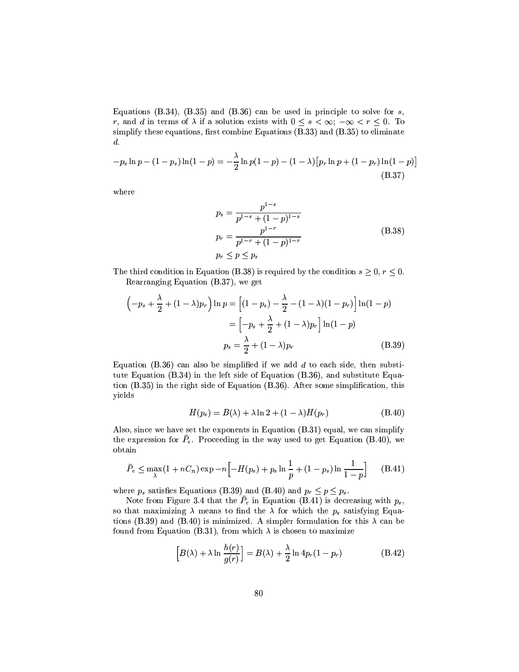Equations (B.34), (B.35) and (B.36) can be used in principle to solve for  $s$ , r, and d in terms of  $\lambda$  if a solution exists with  $0 \leq s < \infty$ ;  $-\infty < r \leq 0$ . To simplify these equations, first combine Equations  $(B.33)$  and  $(B.35)$  to eliminate  $d$ .

$$
-p_s \ln p - (1 - p_s) \ln(1 - p) = -\frac{\lambda}{2} \ln p(1 - p) - (1 - \lambda) \left[ p_r \ln p + (1 - p_r) \ln(1 - p) \right]
$$
\n(B.37)

where

$$
p_s = \frac{p^{1-s}}{p^{1-s} + (1-p)^{1-s}}
$$
  
\n
$$
p_r = \frac{p^{1-r}}{p^{1-r} + (1-p)^{1-r}}
$$
  
\n
$$
p_r \le p \le p_s
$$
  
\n(B.38)

The third condition in Equation (B.38) is required by the condition  $s \geq 0, r \leq 0$ .

Rearranging Equation (B.37), we get

$$
\left(-p_s + \frac{\lambda}{2} + (1-\lambda)p_r\right)\ln p = \left[(1-p_s) - \frac{\lambda}{2} - (1-\lambda)(1-p_r)\right]\ln(1-p)
$$

$$
= \left[-p_s + \frac{\lambda}{2} + (1-\lambda)p_r\right]\ln(1-p)
$$

$$
p_s = \frac{\lambda}{2} + (1-\lambda)p_r \tag{B.39}
$$

Equation (B.36) can also be simplified if we add  $d$  to each side, then substitute Equation  $(B.34)$  in the left side of Equation  $(B.36)$ , and substitute Equation (B.35) in the right side of Equation (B.36). After some simplification, this yields

$$
H(p_s) = B(\lambda) + \lambda \ln 2 + (1 - \lambda)H(p_r)
$$
 (B.40)

Also, since we have set the exponents in Equation (B.31) equal, we can simplify the expression for  $\bar{P}_e$ . Proceeding in the way used to get Equation (B.40), we  $obtain$ 

$$
\bar{P}_e \le \max_{\lambda} (1 + nC_n) \exp(-n\left[-H(p_s) + p_s \ln \frac{1}{p} + (1 - p_s) \ln \frac{1}{1 - p}\right] \tag{B.41}
$$

where  $p_s$  satisfies Equations (B.39) and (B.40) and  $p_r \leq p \leq p_s$ .

Note from Figure 3.4 that the  $\overline{P}_e$  in Equation (B.41) is decreasing with  $p_s$ , so that maximizing  $\lambda$  means to find the  $\lambda$  for which the  $p_s$  satisfying Equations (B.39) and (B.40) is minimized. A simpler formulation for this  $\lambda$  can be found from Equation (B.31), from which  $\lambda$  is chosen to maximize

$$
\[B(\lambda) + \lambda \ln \frac{h(r)}{g(r)}\] = B(\lambda) + \frac{\lambda}{2} \ln 4p_r(1 - p_r) \tag{B.42}
$$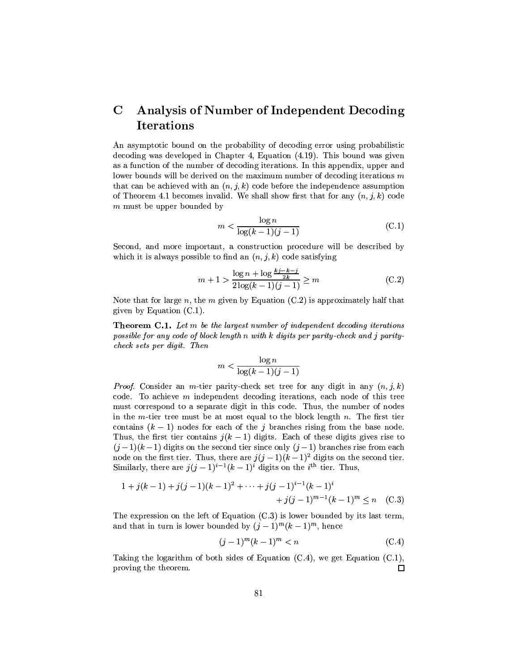## **Analysis of Number of Independent Decoding**  $\mathbf C$ **Iterations**

An asymptotic bound on the probability of decoding error using probabilistic decoding was developed in Chapter 4, Equation  $(4.19)$ . This bound was given as a function of the number of decoding iterations. In this appendix, upper and lower bounds will be derived on the maximum number of decoding iterations  $m$ that can be achieved with an  $(n, j, k)$  code before the independence assumption of Theorem 4.1 becomes invalid. We shall show first that for any  $(n, j, k)$  code  $m$  must be upper bounded by

$$
m < \frac{\log n}{\log(k-1)(j-1)}\tag{C.1}
$$

Second, and more important, a construction procedure will be described by which it is always possible to find an  $(n, j, k)$  code satisfying

$$
m+1 > \frac{\log n + \log \frac{kj - k - j}{2k}}{2\log(k-1)(j-1)} \ge m
$$
 (C.2)

Note that for large n, the m given by Equation  $(C.2)$  is approximately half that given by Equation  $(C.1)$ .

**Theorem C.1.** Let m be the largest number of independent decoding iterations possible for any code of block length n with k digits per parity-check and j paritycheck sets per digit. Then

$$
m < \frac{\log n}{\log(k-1)(j-1)}
$$

*Proof.* Consider an *m*-tier parity-check set tree for any digit in any  $(n, j, k)$ code. To achieve  $m$  independent decoding iterations, each node of this tree must correspond to a separate digit in this code. Thus, the number of nodes in the m-tier tree must be at most equal to the block length n. The first tier contains  $(k-1)$  nodes for each of the j branches rising from the base node. Thus, the first tier contains  $j(k-1)$  digits. Each of these digits gives rise to  $(j-1)(k-1)$  digits on the second tier since only  $(j-1)$  branches rise from each node on the first tier. Thus, there are  $j(j-1)(k-1)^2$  digits on the second tier. Similarly, there are  $i(i-1)^{i-1}(k-1)^i$  digits on the i<sup>th</sup> tier. Thus,

$$
1 + j(k-1) + j(j-1)(k-1)^2 + \dots + j(j-1)^{i-1}(k-1)^i
$$
  
+  $j(j-1)^{m-1}(k-1)^m \le n$  (C.3)

The expression on the left of Equation  $(C.3)$  is lower bounded by its last term, and that in turn is lower bounded by  $(j-1)^m (k-1)^m$ , hence

$$
(j-1)^m (k-1)^m < n
$$
 (C.4)

Taking the logarithm of both sides of Equation  $(C.4)$ , we get Equation  $(C.1)$ ,  $\Box$ proving the theorem.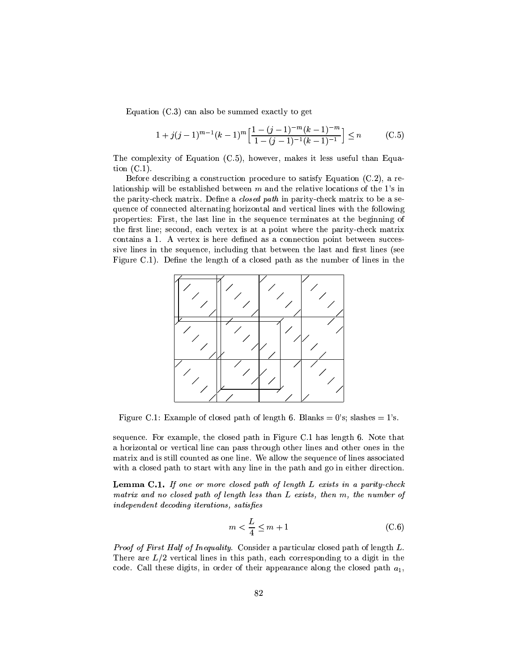Equation  $(C.3)$  can also be summed exactly to get

$$
1 + j(j-1)^{m-1}(k-1)^m \left[ \frac{1 - (j-1)^{-m}(k-1)^{-m}}{1 - (j-1)^{-1}(k-1)^{-1}} \right] \le n \tag{C.5}
$$

The complexity of Equation (C.5), however, makes it less useful than Equation  $(C.1)$ .

Before describing a construction procedure to satisfy Equation  $(C.2)$ , a relationship will be established between  $m$  and the relative locations of the 1's in the parity-check matrix. Define a *closed path* in parity-check matrix to be a sequence of connected alternating horizontal and vertical lines with the following properties: First, the last line in the sequence terminates at the beginning of the first line; second, each vertex is at a point where the parity-check matrix contains a 1. A vertex is here defined as a connection point between successive lines in the sequence, including that between the last and first lines (see Figure C.1). Define the length of a closed path as the number of lines in the



Figure C.1: Example of closed path of length 6. Blanks =  $0$ 's; slashes =  $1$ 's.

sequence. For example, the closed path in Figure C.1 has length 6. Note that a horizontal or vertical line can pass through other lines and other ones in the matrix and is still counted as one line. We allow the sequence of lines associated with a closed path to start with any line in the path and go in either direction.

Lemma C.1. If one or more closed path of length L exists in a parity-check matrix and no closed path of length less than L exists, then m, the number of independent decoding iterations, satisfies

$$
m < \frac{L}{4} \le m + 1\tag{C.6}
$$

**Proof of First Half of Inequality.** Consider a particular closed path of length L. There are  $L/2$  vertical lines in this path, each corresponding to a digit in the code. Call these digits, in order of their appearance along the closed path  $a_1$ ,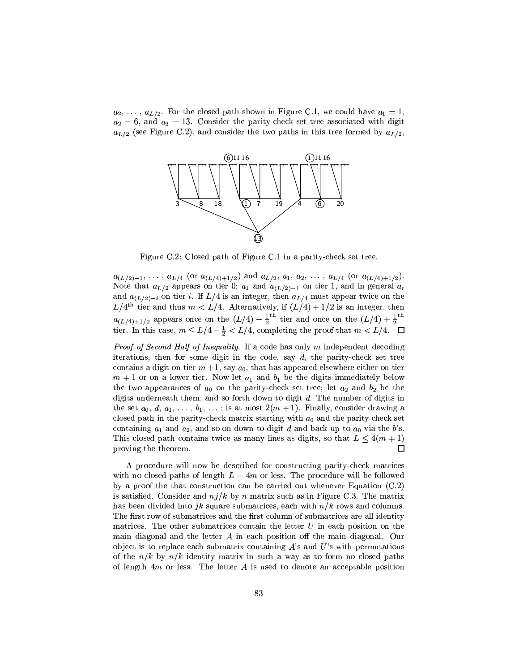$a_2, \ldots, a_{L/2}$ . For the closed path shown in Figure C.1, we could have  $a_1 = 1$ ,  $a_2 = 6$ , and  $a_3 = 13$ . Consider the parity-check set tree associated with digit  $a_{L/2}$  (see Figure C.2), and consider the two paths in this tree formed by  $a_{L/2}$ ,



Figure C.2: Closed path of Figure C.1 in a parity-check set tree.

 $a_{(L/2)-1}, \ldots, a_{L/4}$  (or  $a_{(L/4)+1/2}$ ) and  $a_{L/2}, a_1, a_2, \ldots, a_{L/4}$  (or  $a_{(L/4)+1/2}$ ). Note that  $a_{L/2}$  appears on tier 0;  $a_1$  and  $a_{(L/2)-1}$  on tier 1, and in general  $a_i$ and  $a_{(L/2)-i}$  on tier *i*. If  $L/4$  is an integer, then  $a_{L/4}$  must appear twice on the  $L/4^{\text{th}}$  tier and thus  $m < L/4$ . Alternatively, if  $(L/4) + 1/2$  is an integer, then  $a_{(L/4)+1/2}$  appears once on the  $(L/4) - \frac{1}{2}$ <sup>th</sup> tier and once on the  $(L/4) + \frac{1}{2}$ <br>tier. In this case,  $m \le L/4 - \frac{1}{2} < L/4$ , completing the proof that  $m < L/4$ .

Proof of Second Half of Inequality. If a code has only  $m$  independent decoding iterations, then for some digit in the code, say  $d$ , the parity-check set tree contains a digit on tier  $m+1$ , say  $a_0$ , that has appeared elsewhere either on tier  $m + 1$  or on a lower tier. Now let  $a_1$  and  $b_1$  be the digits immediately below the two appearances of  $a_0$  on the parity-check set tree; let  $a_2$  and  $b_2$  be the digits underneath them, and so forth down to digit  $d$ . The number of digits in the set  $a_0, d, a_1, \ldots, b_1, \ldots$ ; is at most  $2(m + 1)$ . Finally, consider drawing a closed path in the parity-check matrix starting with  $a_0$  and the parity check set containing  $a_1$  and  $a_2$ , and so on down to digit d and back up to  $a_0$  via the b's. This closed path contains twice as many lines as digits, so that  $L \leq 4(m + 1)$ proving the theorem.  $\Box$ 

A procedure will now be described for constructing parity-check matrices with no closed paths of length  $L = 4m$  or less. The procedure will be followed by a proof the that construction can be carried out whenever Equation  $(C.2)$ is satisfied. Consider and  $n_j/k$  by n matrix such as in Figure C.3. The matrix has been divided into *jk* square submatrices, each with  $n/k$  rows and columns. The first row of submatrices and the first column of submatrices are all identity matrices. The other submatrices contain the letter  $U$  in each position on the main diagonal and the letter  $A$  in each position off the main diagonal. Our object is to replace each submatrix containing  $A$ 's and  $U$ 's with permutations of the  $n/k$  by  $n/k$  identity matrix in such a way as to form no closed paths of length  $4m$  or less. The letter A is used to denote an acceptable position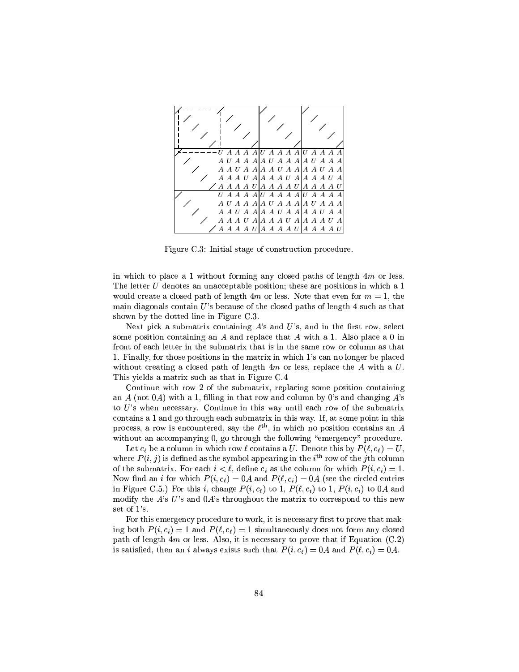

Figure C.3: Initial stage of construction procedure.

in which to place a 1 without forming any closed paths of length  $4m$  or less. The letter U denotes an unacceptable position; these are positions in which a 1 would create a closed path of length 4m or less. Note that even for  $m = 1$ , the main diagonals contain  $U$ 's because of the closed paths of length 4 such as that shown by the dotted line in Figure C.3.

Next pick a submatrix containing  $A$ 's and  $U$ 's, and in the first row, select some position containing an  $A$  and replace that  $A$  with a 1. Also place a 0 in front of each letter in the submatrix that is in the same row or column as that 1. Finally, for those positions in the matrix in which 1's can no longer be placed without creating a closed path of length  $4m$  or less, replace the A with a U. This yields a matrix such as that in Figure C.4

Continue with row 2 of the submatrix, replacing some position containing an A (not 0A) with a 1, filling in that row and column by 0's and changing A's to  $U$ 's when necessary. Continue in this way until each row of the submatrix contains a 1 and go through each submatrix in this way. If, at some point in this process, a row is encountered, say the  $\ell^{\text{th}}$ , in which no position contains an A without an accompanying 0, go through the following "emergency" procedure.

Let  $c_{\ell}$  be a column in which row  $\ell$  contains a U. Denote this by  $P(\ell, c_{\ell}) = U$ , where  $P(i, j)$  is defined as the symbol appearing in the i<sup>th</sup> row of the j<sup>th</sup> column of the submatrix. For each  $i < l$ , define  $c_i$  as the column for which  $P(i, c_i) = 1$ . Now find an *i* for which  $P(i, c_{\ell}) = 0A$  and  $P(\ell, c_i) = 0A$  (see the circled entries in Figure C.5.) For this i, change  $P(i, c_{\ell})$  to 1,  $P(\ell, c_i)$  to 1,  $P(i, c_i)$  to 0A and modify the  $A$ 's U's and  $0A$ 's throughout the matrix to correspond to this new set of 1's.

For this emergency procedure to work, it is necessary first to prove that making both  $P(i, c_i) = 1$  and  $P(\ell, c_i) = 1$  simultaneously does not form any closed path of length  $4m$  or less. Also, it is necessary to prove that if Equation (C.2) is satisfied, then an *i* always exists such that  $P(i, c_i) = 0A$  and  $P(\ell, c_i) = 0A$ .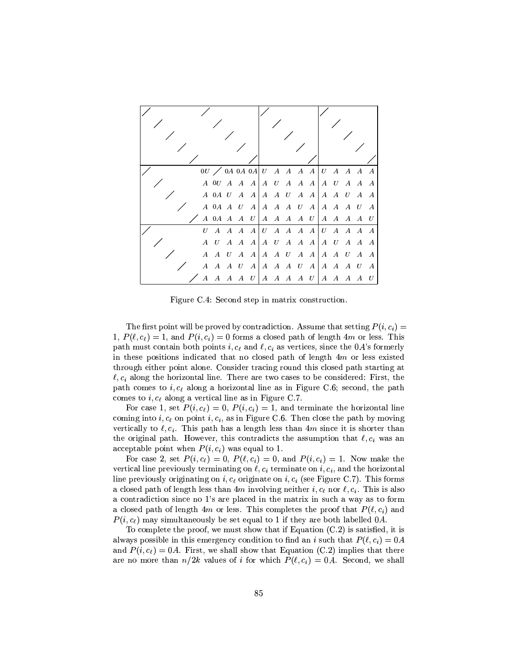|   | $0U \nearrow 0A$ 0A $0A$   U A A A A   U A A A                                                                           |  |                                                                                                           |  |  |                                                                             |  |  | $\boldsymbol{A}$ |
|---|--------------------------------------------------------------------------------------------------------------------------|--|-----------------------------------------------------------------------------------------------------------|--|--|-----------------------------------------------------------------------------|--|--|------------------|
|   | $A$ OU A A A A U A A A A A U A A A                                                                                       |  |                                                                                                           |  |  |                                                                             |  |  |                  |
|   | A 0A U A $A \parallel A \parallel A \parallel U \parallel A \parallel A \parallel A \parallel U \parallel A \parallel A$ |  |                                                                                                           |  |  |                                                                             |  |  |                  |
|   | $A$ 0A A U A                                                                                                             |  |                                                                                                           |  |  | $A \quad A \quad A \quad U \quad A \mid A \quad A \quad A \quad U \quad A$  |  |  |                  |
|   | $A$ $0A$ $A$ $A$ $U$                                                                                                     |  |                                                                                                           |  |  | $A$ $A$ $A$ $B$ $U$ $A$ $A$ $A$ $B$ $U$                                     |  |  |                  |
| U |                                                                                                                          |  | $A \quad A \quad A \quad A \mid U \quad A \quad A \quad A \quad A \mid U \quad A \quad A \quad A \quad A$ |  |  |                                                                             |  |  |                  |
|   | $A$ U $A$ $A$ $A$ $A$ $U$ $A$ $A$ $A$ $A$ $U$ $A$ $A$ $A$                                                                |  |                                                                                                           |  |  |                                                                             |  |  |                  |
|   | $A \quad A \quad U \quad A \quad A \mid A \quad A \quad U \quad A \quad A \mid A \quad A \quad U \quad A \quad A$        |  |                                                                                                           |  |  |                                                                             |  |  |                  |
|   | $A \ A \ A \ U \ A \$                                                                                                    |  |                                                                                                           |  |  | $A \quad A \quad A \quad U \quad A \quad A \quad A \quad A \quad U \quad A$ |  |  |                  |
|   | A A A A U $ A \ A \ A \ U $ A A A U $ A \ A \ A \ A \ U$                                                                 |  |                                                                                                           |  |  |                                                                             |  |  |                  |

Figure C.4: Second step in matrix construction.

The first point will be proved by contradiction. Assume that setting  $P(i, c_i)$ 1,  $P(\ell, c_{\ell}) = 1$ , and  $P(i, c_i) = 0$  forms a closed path of length 4m or less. This path must contain both points i,  $c_{\ell}$  and  $\ell$ ,  $c_i$  as vertices, since the 0.4's formerly in these positions indicated that no closed path of length 4m or less existed through either point alone. Consider tracing round this closed path starting at  $\ell, c_i$  along the horizontal line. There are two cases to be considered: First, the path comes to  $i, c_{\ell}$  along a horizontal line as in Figure C.6; second, the path comes to  $i, c_{\ell}$  along a vertical line as in Figure C.7.

For case 1, set  $P(i, c_{\ell}) = 0$ ,  $P(i, c_i) = 1$ , and terminate the horizontal line coming into i,  $c_{\ell}$  on point i,  $c_i$ , as in Figure C.6. Then close the path by moving vertically to  $\ell, c_i$ . This path has a length less than 4m since it is shorter than the original path. However, this contradicts the assumption that  $\ell, c_i$  was an acceptable point when  $P(i, c_i)$  was equal to 1.

For case 2, set  $P(i, c_{\ell}) = 0$ ,  $P(\ell, c_i) = 0$ , and  $P(i, c_i) = 1$ . Now make the vertical line previously terminating on  $\ell$ ,  $c_i$  terminate on  $i$ ,  $c_i$ , and the horizontal line previously originating on i,  $c_i$  originate on i,  $c_i$  (see Figure C.7). This forms a closed path of length less than 4m involving neither *i*,  $c_{\ell}$  nor  $\ell$ ,  $c_i$ . This is also a contradiction since no 1's are placed in the matrix in such a way as to form a closed path of length 4m or less. This completes the proof that  $P(\ell,c_i)$  and  $P(i, c<sub>f</sub>)$  may simultaneously be set equal to 1 if they are both labelled 0A.

To complete the proof, we must show that if Equation  $(C.2)$  is satisfied, it is always possible in this emergency condition to find an i such that  $P(\ell, c_i) = 0A$ and  $P(i, c_{\ell}) = 0A$ . First, we shall show that Equation (C.2) implies that there are no more than  $n/2k$  values of i for which  $P(\ell, c_i) = 0A$ . Second, we shall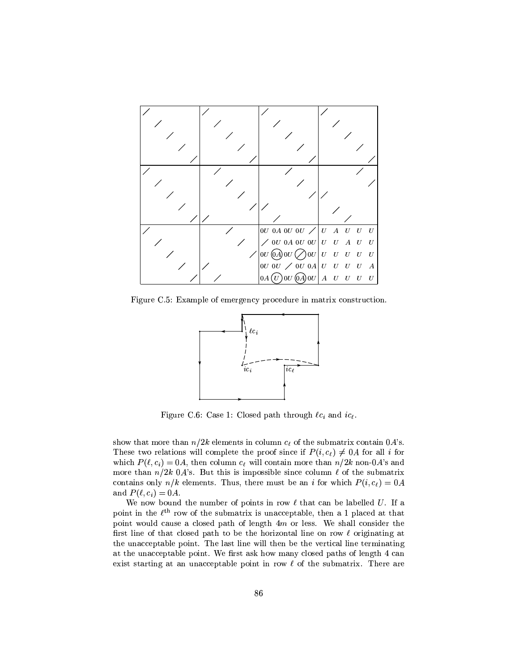

Figure C.5: Example of emergency procedure in matrix construction.



Figure C.6: Case 1: Closed path through  $\ell c_i$  and  $ic_{\ell}$ .

show that more than  $n/2k$  elements in column  $c_{\ell}$  of the submatrix contain 0A's. These two relations will complete the proof since if  $P(i, c_{\ell}) \neq 0A$  for all i for which  $P(\ell, c_i) = 0A$ , then column  $c_{\ell}$  will contain more than  $n/2k$  non-0A's and more than  $n/2k$  0A's. But this is impossible since column  $\ell$  of the submatrix contains only  $n/k$  elements. Thus, there must be an *i* for which  $P(i, c_\ell) = 0A$ and  $P(\ell, c_i) = 0A$ .

We now bound the number of points in row  $\ell$  that can be labelled  $U$ . If a point in the  $\ell^{th}$  row of the submatrix is unacceptable, then a 1 placed at that point would cause a closed path of length  $4m$  or less. We shall consider the first line of that closed path to be the horizontal line on row  $\ell$  originating at the unacceptable point. The last line will then be the vertical line terminating at the unacceptable point. We first ask how many closed paths of length 4 can exist starting at an unacceptable point in row  $\ell$  of the submatrix. There are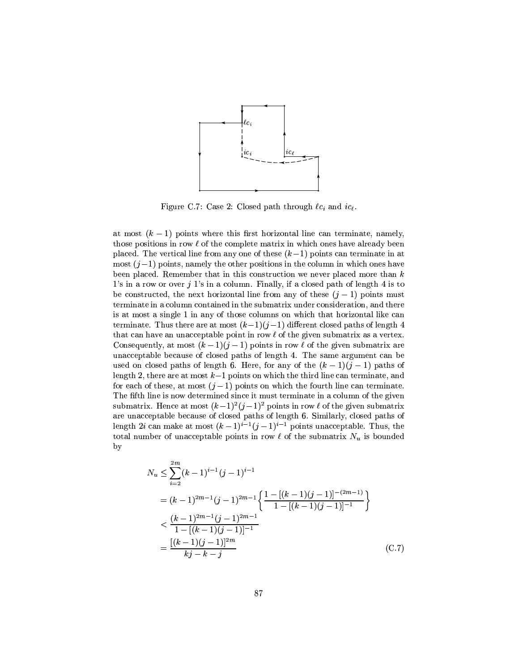

Figure C.7: Case 2: Closed path through  $\ell c_i$  and  $ic_{\ell}$ .

at most  $(k-1)$  points where this first horizontal line can terminate, namely, those positions in row  $\ell$  of the complete matrix in which ones have already been placed. The vertical line from any one of these  $(k-1)$  points can terminate in at most  $(i-1)$  points, namely the other positions in the column in which ones have been placed. Remember that in this construction we never placed more than  $k$ 1's in a row or over  $i$  1's in a column. Finally, if a closed path of length 4 is to be constructed, the next horizontal line from any of these  $(j - 1)$  points must terminate in a column contained in the submatrix under consideration, and there is at most a single 1 in any of those columns on which that horizontal like can terminate. Thus there are at most  $(k-1)(j-1)$  different closed paths of length 4 that can have an unacceptable point in row  $\ell$  of the given submatrix as a vertex. Consequently, at most  $(k-1)(j-1)$  points in row  $\ell$  of the given submatrix are unacceptable because of closed paths of length 4. The same argument can be used on closed paths of length 6. Here, for any of the  $(k-1)(j-1)$  paths of length 2, there are at most  $k-1$  points on which the third line can terminate, and for each of these, at most  $(j - 1)$  points on which the fourth line can terminate. The fifth line is now determined since it must terminate in a column of the given submatrix. Hence at most  $(k-1)^2(j-1)^2$  points in row  $\ell$  of the given submatrix are unacceptable because of closed paths of length 6. Similarly, closed paths of length 2i can make at most  $(k-1)^{i-1}(j-1)^{i-1}$  points unacceptable. Thus, the total number of unacceptable points in row  $\ell$  of the submatrix  $N_u$  is bounded by

$$
N_u \le \sum_{i=2}^{2m} (k-1)^{i-1} (j-1)^{i-1}
$$
  
=  $(k-1)^{2m-1} (j-1)^{2m-1} \left\{ \frac{1 - [(k-1)(j-1)]^{-(2m-1)}}{1 - [(k-1)(j-1)]^{-1}} \right\}$   
 $< \frac{(k-1)^{2m-1} (j-1)^{2m-1}}{1 - [(k-1)(j-1)]^{-1}}$   
=  $\frac{[(k-1)(j-1)]^{2m}}{kj - k - j}$  (C.7)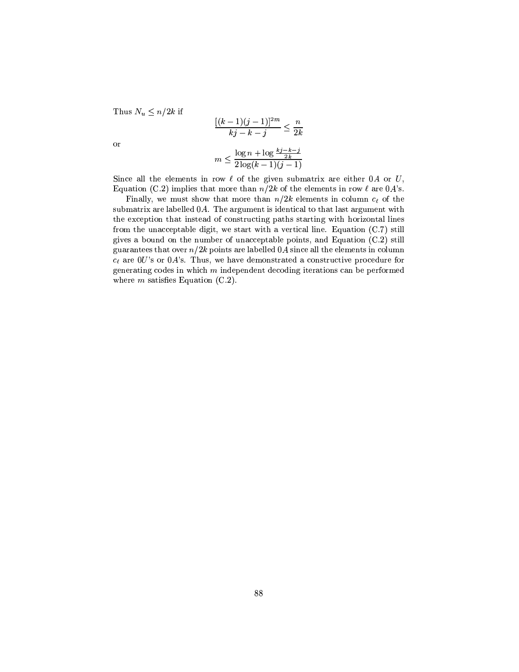Thus  $N_u \leq n/2k$  if

or

$$
\frac{[(k-1)(j-1)]^{2m}}{kj - k - j} \le \frac{n}{2k}
$$

$$
m \le \frac{\log n + \log \frac{kj - k - j}{2k}}{2\log(k - 1)(j - 1)}
$$

Since all the elements in row  $\ell$  of the given submatrix are either 0.4 or U,

Equation (C.2) implies that more than  $n/2k$  of the elements in row  $\ell$  are 0.4's. Finally, we must show that more than  $n/2k$  elements in column  $c_{\ell}$  of the submatrix are labelled 0.4. The argument is identical to that last argument with the exception that instead of constructing paths starting with horizontal lines from the unacceptable digit, we start with a vertical line. Equation  $(C.7)$  still gives a bound on the number of unacceptable points, and Equation  $(C.2)$  still guarantees that over  $n/2k$  points are labelled 0A since all the elements in column  $c_{\ell}$  are 0U's or 0A's. Thus, we have demonstrated a constructive procedure for generating codes in which  $m$  independent decoding iterations can be performed where  $m$  satisfies Equation (C.2).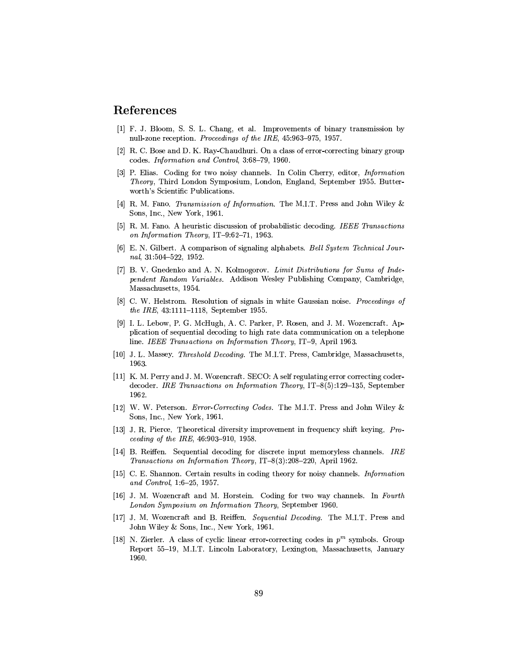# References

- [1] F. J. Bloom, S. S. L. Chang, et al. Improvements of binary transmission by null-zone reception. Proceedings of the IRE, 45:963-975, 1957.
- [2] R. C. Bose and D. K. Ray-Chaudhuri. On a class of error-correcting binary group codes. Information and Control, 3:68-79, 1960.
- [3] P. Elias. Coding for two noisy channels. In Colin Cherry, editor, Information Theory, Third London Symposium, London, England, September 1955. Butterworth's Scientific Publications.
- [4] R. M. Fano. Transmission of Information. The M.I.T. Press and John Wiley & Sons, Inc., New York, 1961.
- [5] R. M. Fano. A heuristic discussion of probabilistic decoding. IEEE Transactions on Information Theory, IT-9:62-71, 1963.
- [6] E. N. Gilbert. A comparison of signaling alphabets. Bell System Technical Journal, 31:504-522, 1952.
- [7] B. V. Gnedenko and A. N. Kolmogorov. Limit Distributions for Sums of Independent Random Variables. Addison Wesley Publishing Company, Cambridge, Massachusetts, 1954.
- [8] C. W. Helstrom. Resolution of signals in white Gaussian noise. *Proceedings of* the IRE, 43:1111-1118, September 1955.
- [9] I. L. Lebow, P. G. McHugh, A. C. Parker, P. Rosen, and J. M. Wozencraft. Application of sequential decoding to high rate data communication on a telephone line. IEEE Transactions on Information Theory, IT-9, April 1963.
- [10] J. L. Massey. Threshold Decoding. The M.I.T. Press, Cambridge, Massachusetts, 1963.
- [11] K. M. Perry and J. M. Wozencraft. SECO: A self regulating error correcting coderdecoder. IRE Transactions on Information Theory, IT-8(5):129-135, September 1962.
- [12] W. W. Peterson. Error Correcting Codes. The M.I.T. Press and John Wiley & Sons, Inc., New York, 1961.
- [13] J. R. Pierce. Theoretical diversity improvement in frequency shift keying. Proceeding of the IRE, 46:903-910, 1958.
- [14] B. Reiffen. Sequential decoding for discrete input memoryless channels. IRE Transactions on Information Theory, IT-8(3):208-220, April 1962.
- [15] C. E. Shannon. Certain results in coding theory for noisy channels. Information and Control, 1:6-25, 1957.
- [16] J. M. Wozencraft and M. Horstein. Coding for two way channels. In Fourth London Symposium on Information Theory, September 1960.
- [17] J. M. Wozencraft and B. Reiffen. Sequential Decoding. The M.I.T. Press and John Wiley & Sons, Inc., New York, 1961.
- [18] N. Zierler. A class of cyclic linear error-correcting codes in  $p^m$  symbols. Group Report 55-19, M.I.T. Lincoln Laboratory, Lexington, Massachusetts, January 1960.